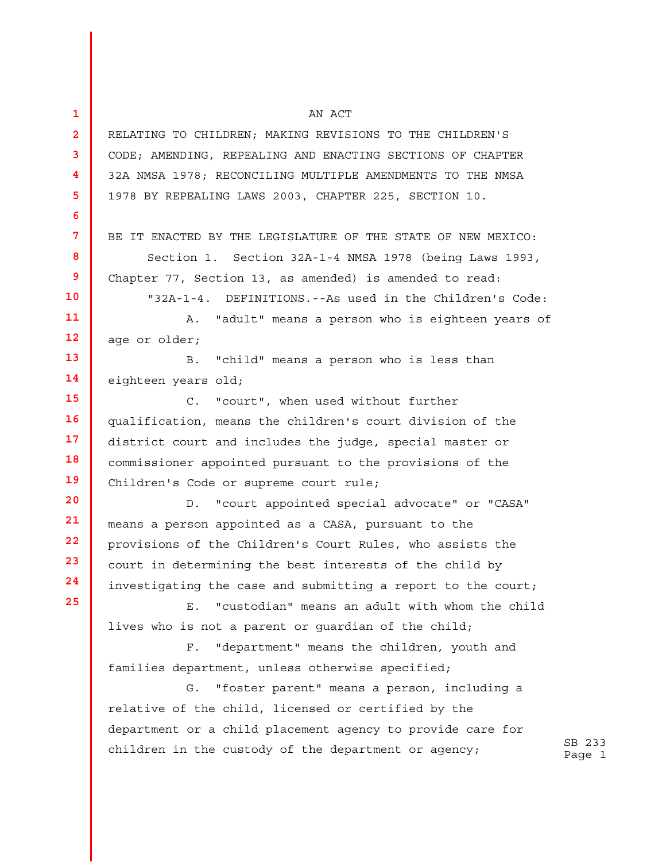**1 2 3 4 5 6 7 8 9 10 11 12 13 14 15 16 17 18 19 20 21 22 23 24 25**  AN ACT RELATING TO CHILDREN; MAKING REVISIONS TO THE CHILDREN'S CODE; AMENDING, REPEALING AND ENACTING SECTIONS OF CHAPTER 32A NMSA 1978; RECONCILING MULTIPLE AMENDMENTS TO THE NMSA 1978 BY REPEALING LAWS 2003, CHAPTER 225, SECTION 10. BE IT ENACTED BY THE LEGISLATURE OF THE STATE OF NEW MEXICO: Section 1. Section 32A-1-4 NMSA 1978 (being Laws 1993, Chapter 77, Section 13, as amended) is amended to read: "32A-1-4. DEFINITIONS.--As used in the Children's Code: A. "adult" means a person who is eighteen years of age or older; B. "child" means a person who is less than eighteen years old; C. "court", when used without further qualification, means the children's court division of the district court and includes the judge, special master or commissioner appointed pursuant to the provisions of the Children's Code or supreme court rule; D. "court appointed special advocate" or "CASA" means a person appointed as a CASA, pursuant to the provisions of the Children's Court Rules, who assists the court in determining the best interests of the child by investigating the case and submitting a report to the court; E. "custodian" means an adult with whom the child lives who is not a parent or guardian of the child; F. "department" means the children, youth and families department, unless otherwise specified; G. "foster parent" means a person, including a relative of the child, licensed or certified by the department or a child placement agency to provide care for children in the custody of the department or agency;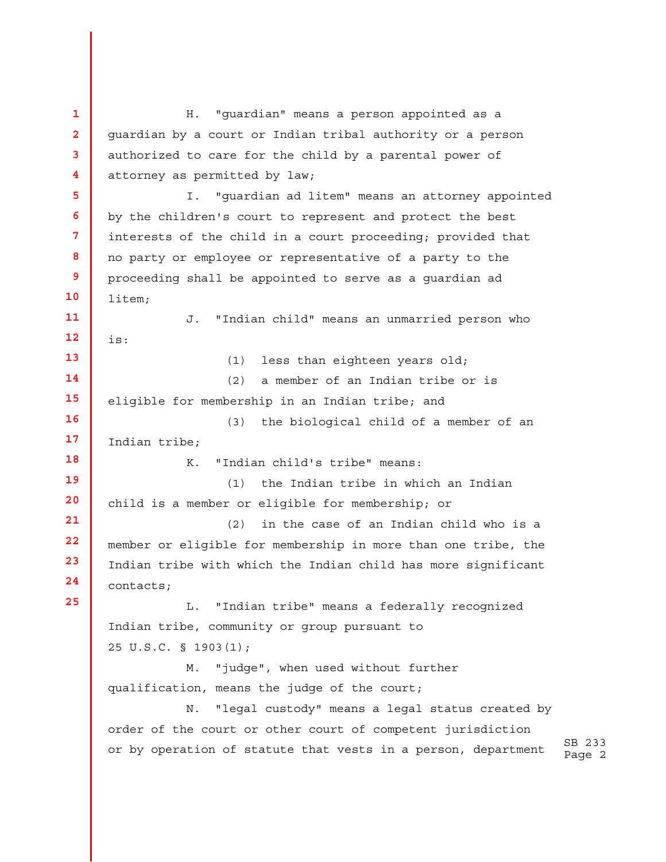**1 2 3 4 5 6 7 8 9 10 11 12 13 14 15 16 17 18 19 20 21 22 23 24 25**  H. "guardian" means a person appointed as a guardian by a court or Indian tribal authority or a person authorized to care for the child by a parental power of attorney as permitted by law; I. "guardian ad litem" means an attorney appointed by the children's court to represent and protect the best interests of the child in a court proceeding; provided that no party or employee or representative of a party to the proceeding shall be appointed to serve as a guardian ad litem; J. "Indian child" means an unmarried person who is: (1) less than eighteen years old; (2) a member of an Indian tribe or is eligible for membership in an Indian tribe; and (3) the biological child of a member of an Indian tribe; K. "Indian child's tribe" means: (1) the Indian tribe in which an Indian child is a member or eligible for membership; or (2) in the case of an Indian child who is a member or eligible for membership in more than one tribe, the Indian tribe with which the Indian child has more significant contacts; L. "Indian tribe" means a federally recognized Indian tribe, community or group pursuant to 25 U.S.C. § 1903(1); M. "judge", when used without further qualification, means the judge of the court; N. "legal custody" means a legal status created by order of the court or other court of competent jurisdiction or by operation of statute that vests in a person, department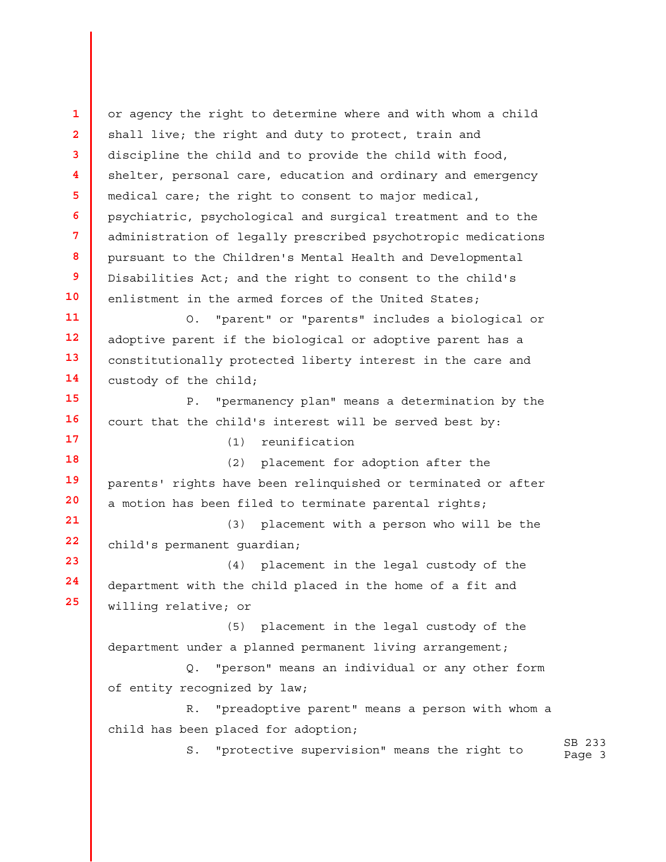**1 2 3 4 5 6 7 8 9 10**  or agency the right to determine where and with whom a child shall live; the right and duty to protect, train and discipline the child and to provide the child with food, shelter, personal care, education and ordinary and emergency medical care; the right to consent to major medical, psychiatric, psychological and surgical treatment and to the administration of legally prescribed psychotropic medications pursuant to the Children's Mental Health and Developmental Disabilities Act; and the right to consent to the child's enlistment in the armed forces of the United States;

O. "parent" or "parents" includes a biological or adoptive parent if the biological or adoptive parent has a constitutionally protected liberty interest in the care and custody of the child;

P. "permanency plan" means a determination by the court that the child's interest will be served best by:

(1) reunification

(2) placement for adoption after the parents' rights have been relinquished or terminated or after a motion has been filed to terminate parental rights;

(3) placement with a person who will be the child's permanent guardian;

(4) placement in the legal custody of the department with the child placed in the home of a fit and willing relative; or

(5) placement in the legal custody of the department under a planned permanent living arrangement;

Q. "person" means an individual or any other form of entity recognized by law;

R. "preadoptive parent" means a person with whom a child has been placed for adoption;

> SB 233 Page 3 S. "protective supervision" means the right to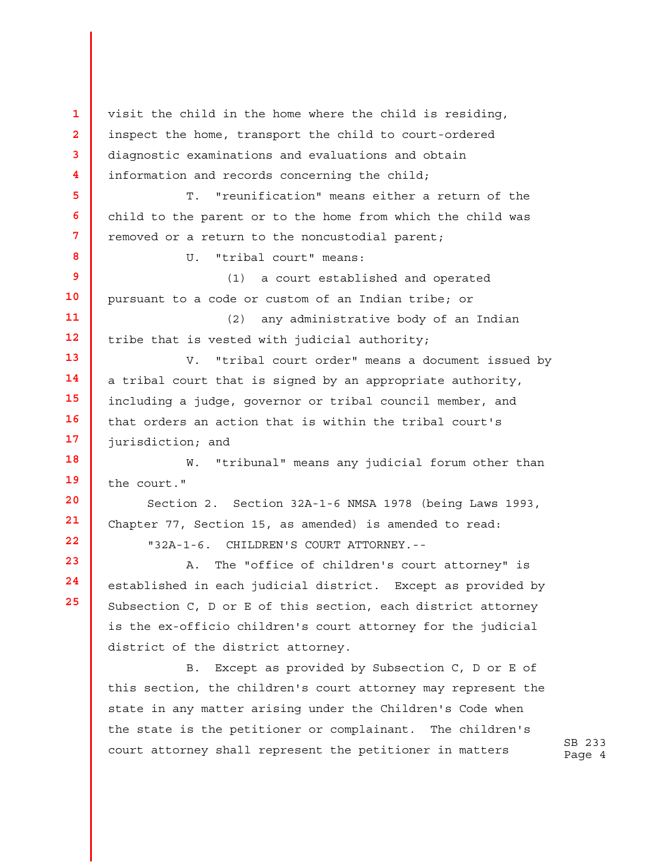**1 3 4**  visit the child in the home where the child is residing, inspect the home, transport the child to court-ordered diagnostic examinations and evaluations and obtain information and records concerning the child;

**2** 

T. "reunification" means either a return of the child to the parent or to the home from which the child was removed or a return to the noncustodial parent;

U. "tribal court" means:

(1) a court established and operated pursuant to a code or custom of an Indian tribe; or

(2) any administrative body of an Indian tribe that is vested with judicial authority;

V. "tribal court order" means a document issued by a tribal court that is signed by an appropriate authority, including a judge, governor or tribal council member, and that orders an action that is within the tribal court's jurisdiction; and

W. "tribunal" means any judicial forum other than the court."

Section 2. Section 32A-1-6 NMSA 1978 (being Laws 1993, Chapter 77, Section 15, as amended) is amended to read:

"32A-1-6. CHILDREN'S COURT ATTORNEY.--

A. The "office of children's court attorney" is established in each judicial district. Except as provided by Subsection C, D or E of this section, each district attorney is the ex-officio children's court attorney for the judicial district of the district attorney.

B. Except as provided by Subsection C, D or E of this section, the children's court attorney may represent the state in any matter arising under the Children's Code when the state is the petitioner or complainant. The children's court attorney shall represent the petitioner in matters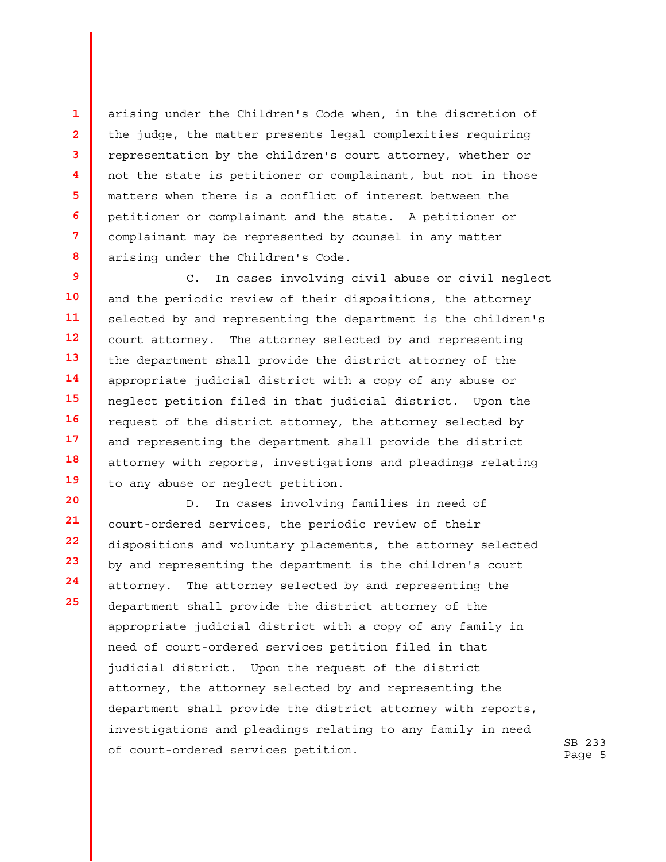arising under the Children's Code when, in the discretion of the judge, the matter presents legal complexities requiring representation by the children's court attorney, whether or not the state is petitioner or complainant, but not in those matters when there is a conflict of interest between the petitioner or complainant and the state. A petitioner or complainant may be represented by counsel in any matter arising under the Children's Code.

C. In cases involving civil abuse or civil neglect and the periodic review of their dispositions, the attorney selected by and representing the department is the children's court attorney. The attorney selected by and representing the department shall provide the district attorney of the appropriate judicial district with a copy of any abuse or neglect petition filed in that judicial district. Upon the request of the district attorney, the attorney selected by and representing the department shall provide the district attorney with reports, investigations and pleadings relating to any abuse or neglect petition.

D. In cases involving families in need of court-ordered services, the periodic review of their dispositions and voluntary placements, the attorney selected by and representing the department is the children's court attorney. The attorney selected by and representing the department shall provide the district attorney of the appropriate judicial district with a copy of any family in need of court-ordered services petition filed in that judicial district. Upon the request of the district attorney, the attorney selected by and representing the department shall provide the district attorney with reports, investigations and pleadings relating to any family in need of court-ordered services petition.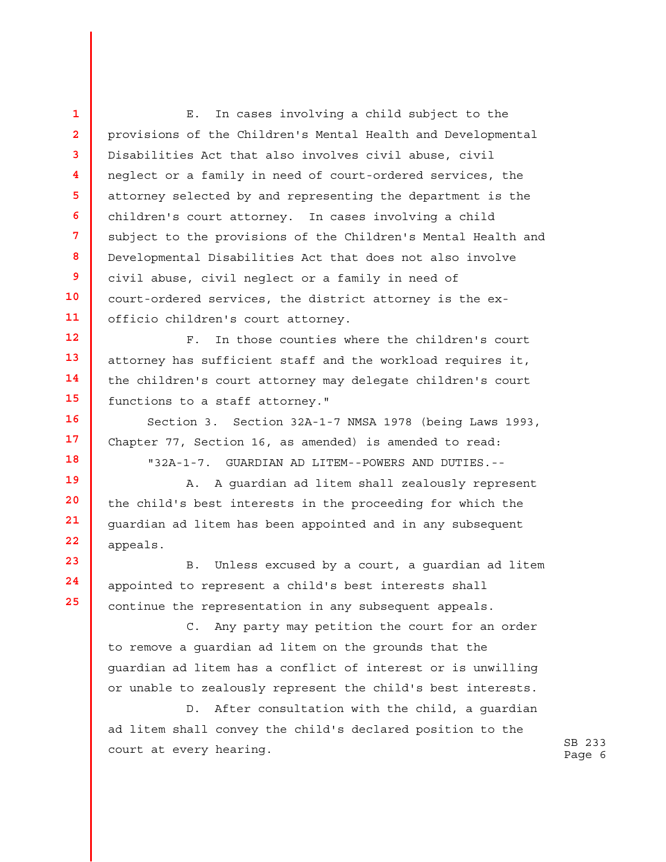E. In cases involving a child subject to the provisions of the Children's Mental Health and Developmental Disabilities Act that also involves civil abuse, civil neglect or a family in need of court-ordered services, the attorney selected by and representing the department is the children's court attorney. In cases involving a child subject to the provisions of the Children's Mental Health and Developmental Disabilities Act that does not also involve civil abuse, civil neglect or a family in need of court-ordered services, the district attorney is the exofficio children's court attorney.

F. In those counties where the children's court attorney has sufficient staff and the workload requires it, the children's court attorney may delegate children's court functions to a staff attorney."

Section 3. Section 32A-1-7 NMSA 1978 (being Laws 1993, Chapter 77, Section 16, as amended) is amended to read:

"32A-1-7. GUARDIAN AD LITEM--POWERS AND DUTIES.--

A. A guardian ad litem shall zealously represent the child's best interests in the proceeding for which the guardian ad litem has been appointed and in any subsequent appeals.

**25**  B. Unless excused by a court, a guardian ad litem appointed to represent a child's best interests shall continue the representation in any subsequent appeals.

C. Any party may petition the court for an order to remove a guardian ad litem on the grounds that the guardian ad litem has a conflict of interest or is unwilling or unable to zealously represent the child's best interests.

D. After consultation with the child, a guardian ad litem shall convey the child's declared position to the court at every hearing.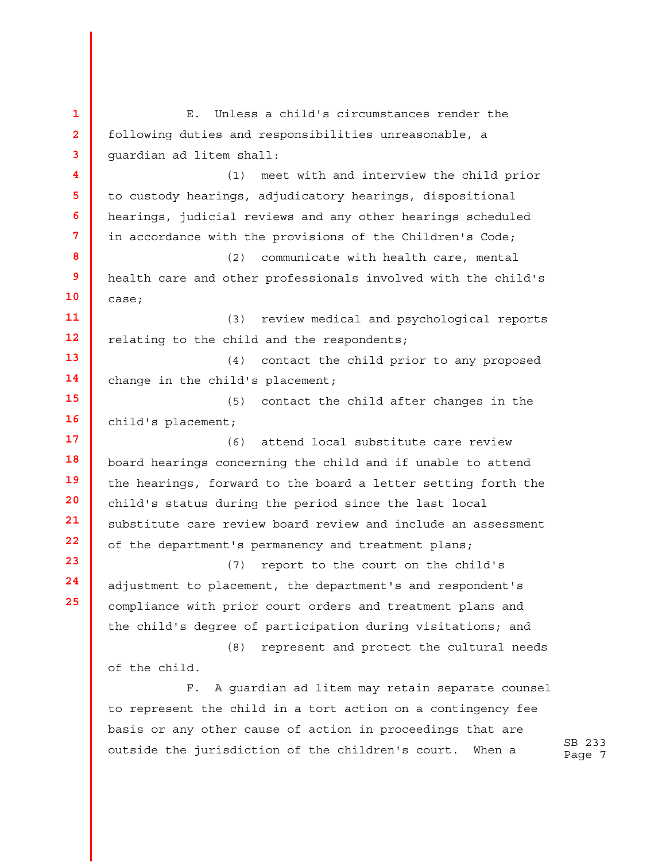**1 2 3 4 5 6 7 8 9 10 11 12 13 14 15 16 17 18 19 20 21 22 23 24 25**  E. Unless a child's circumstances render the following duties and responsibilities unreasonable, a guardian ad litem shall: (1) meet with and interview the child prior to custody hearings, adjudicatory hearings, dispositional hearings, judicial reviews and any other hearings scheduled in accordance with the provisions of the Children's Code; (2) communicate with health care, mental health care and other professionals involved with the child's case; (3) review medical and psychological reports relating to the child and the respondents; (4) contact the child prior to any proposed change in the child's placement; (5) contact the child after changes in the child's placement; (6) attend local substitute care review board hearings concerning the child and if unable to attend the hearings, forward to the board a letter setting forth the child's status during the period since the last local substitute care review board review and include an assessment of the department's permanency and treatment plans; (7) report to the court on the child's adjustment to placement, the department's and respondent's compliance with prior court orders and treatment plans and the child's degree of participation during visitations; and (8) represent and protect the cultural needs of the child. F. A guardian ad litem may retain separate counsel to represent the child in a tort action on a contingency fee basis or any other cause of action in proceedings that are

outside the jurisdiction of the children's court. When a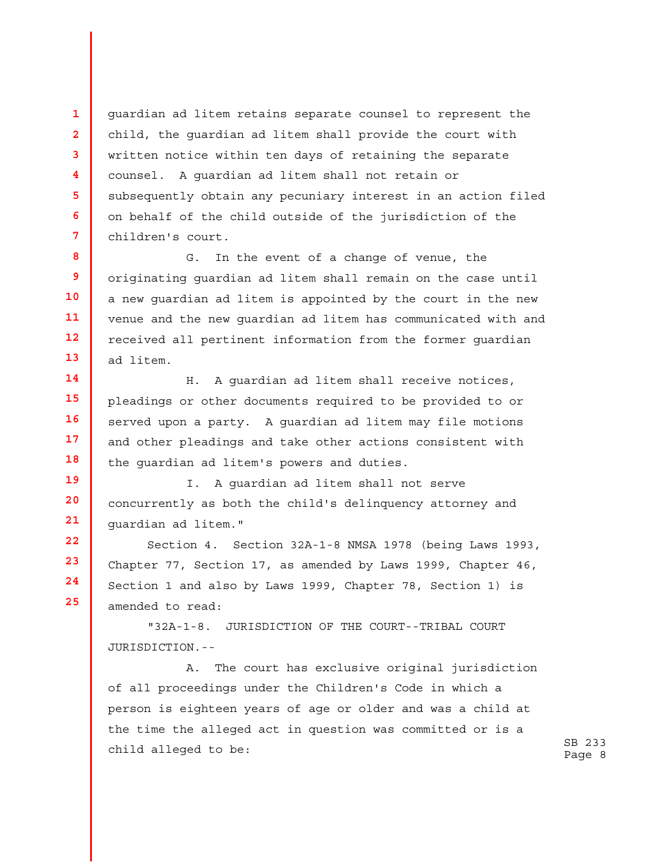guardian ad litem retains separate counsel to represent the child, the guardian ad litem shall provide the court with written notice within ten days of retaining the separate counsel. A guardian ad litem shall not retain or subsequently obtain any pecuniary interest in an action filed on behalf of the child outside of the jurisdiction of the children's court.

G. In the event of a change of venue, the originating guardian ad litem shall remain on the case until a new guardian ad litem is appointed by the court in the new venue and the new guardian ad litem has communicated with and received all pertinent information from the former guardian ad litem.

H. A guardian ad litem shall receive notices, pleadings or other documents required to be provided to or served upon a party. A guardian ad litem may file motions and other pleadings and take other actions consistent with the guardian ad litem's powers and duties.

I. A guardian ad litem shall not serve concurrently as both the child's delinquency attorney and guardian ad litem."

Section 4. Section 32A-1-8 NMSA 1978 (being Laws 1993, Chapter 77, Section 17, as amended by Laws 1999, Chapter 46, Section 1 and also by Laws 1999, Chapter 78, Section 1) is amended to read:

"32A-1-8. JURISDICTION OF THE COURT--TRIBAL COURT JURISDICTION.--

A. The court has exclusive original jurisdiction of all proceedings under the Children's Code in which a person is eighteen years of age or older and was a child at the time the alleged act in question was committed or is a child alleged to be:

SB 233 Page 8

**1**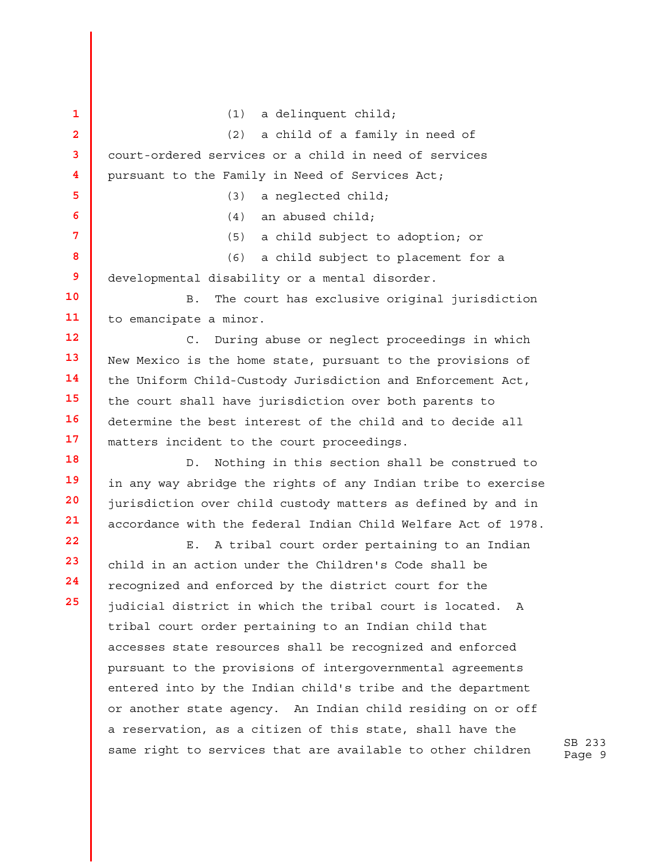**1 2 3 4 5 6 7 8 9 10 11 12 13 14 15 16 17 18 19 20 21 22 23 24 25**  (1) a delinquent child; (2) a child of a family in need of court-ordered services or a child in need of services pursuant to the Family in Need of Services Act; (3) a neglected child; (4) an abused child; (5) a child subject to adoption; or (6) a child subject to placement for a developmental disability or a mental disorder. B. The court has exclusive original jurisdiction to emancipate a minor. C. During abuse or neglect proceedings in which New Mexico is the home state, pursuant to the provisions of the Uniform Child-Custody Jurisdiction and Enforcement Act, the court shall have jurisdiction over both parents to determine the best interest of the child and to decide all matters incident to the court proceedings. D. Nothing in this section shall be construed to in any way abridge the rights of any Indian tribe to exercise jurisdiction over child custody matters as defined by and in accordance with the federal Indian Child Welfare Act of 1978. E. A tribal court order pertaining to an Indian child in an action under the Children's Code shall be recognized and enforced by the district court for the judicial district in which the tribal court is located. A tribal court order pertaining to an Indian child that accesses state resources shall be recognized and enforced pursuant to the provisions of intergovernmental agreements entered into by the Indian child's tribe and the department or another state agency. An Indian child residing on or off a reservation, as a citizen of this state, shall have the same right to services that are available to other children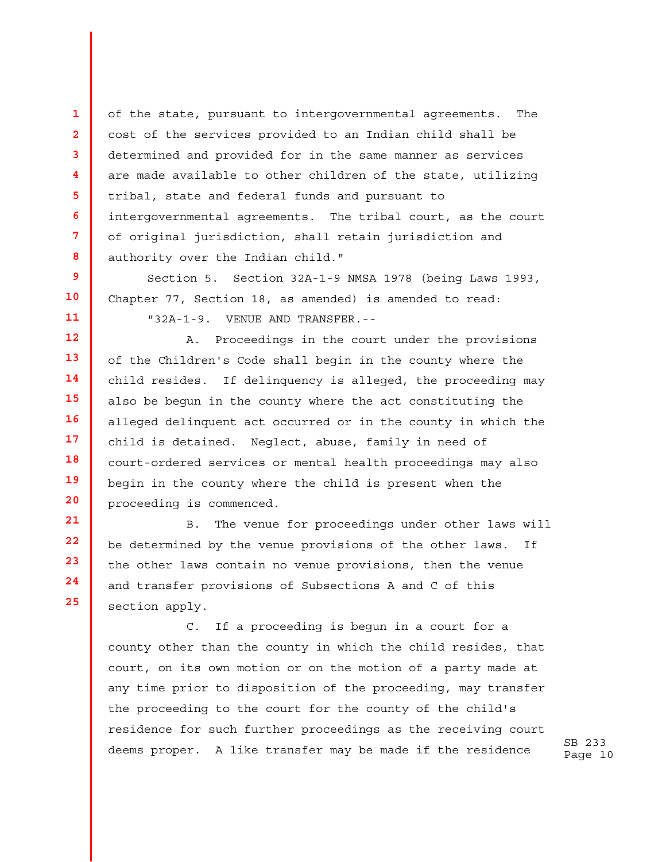of the state, pursuant to intergovernmental agreements. The cost of the services provided to an Indian child shall be determined and provided for in the same manner as services are made available to other children of the state, utilizing tribal, state and federal funds and pursuant to intergovernmental agreements. The tribal court, as the court of original jurisdiction, shall retain jurisdiction and authority over the Indian child."

Section 5. Section 32A-1-9 NMSA 1978 (being Laws 1993, Chapter 77, Section 18, as amended) is amended to read:

"32A-1-9. VENUE AND TRANSFER.--

 A. Proceedings in the court under the provisions of the Children's Code shall begin in the county where the child resides. If delinquency is alleged, the proceeding may also be begun in the county where the act constituting the alleged delinquent act occurred or in the county in which the child is detained. Neglect, abuse, family in need of court-ordered services or mental health proceedings may also begin in the county where the child is present when the proceeding is commenced.

 B. The venue for proceedings under other laws will be determined by the venue provisions of the other laws. If the other laws contain no venue provisions, then the venue and transfer provisions of Subsections A and C of this section apply.

 C. If a proceeding is begun in a court for a county other than the county in which the child resides, that court, on its own motion or on the motion of a party made at any time prior to disposition of the proceeding, may transfer the proceeding to the court for the county of the child's residence for such further proceedings as the receiving court deems proper. A like transfer may be made if the residence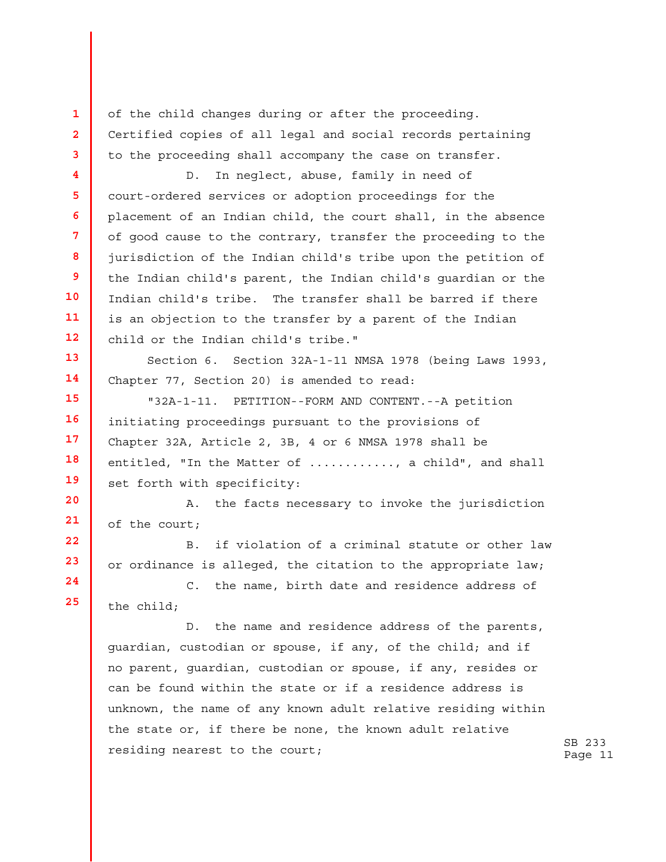of the child changes during or after the proceeding. Certified copies of all legal and social records pertaining to the proceeding shall accompany the case on transfer.

D. In neglect, abuse, family in need of court-ordered services or adoption proceedings for the placement of an Indian child, the court shall, in the absence of good cause to the contrary, transfer the proceeding to the jurisdiction of the Indian child's tribe upon the petition of the Indian child's parent, the Indian child's guardian or the Indian child's tribe. The transfer shall be barred if there is an objection to the transfer by a parent of the Indian child or the Indian child's tribe."

Section 6. Section 32A-1-11 NMSA 1978 (being Laws 1993, Chapter 77, Section 20) is amended to read:

"32A-1-11. PETITION--FORM AND CONTENT.--A petition initiating proceedings pursuant to the provisions of Chapter 32A, Article 2, 3B, 4 or 6 NMSA 1978 shall be entitled, "In the Matter of ............, a child", and shall set forth with specificity:

A. the facts necessary to invoke the jurisdiction of the court;

B. if violation of a criminal statute or other law or ordinance is alleged, the citation to the appropriate law;

C. the name, birth date and residence address of the child;

D. the name and residence address of the parents, guardian, custodian or spouse, if any, of the child; and if no parent, guardian, custodian or spouse, if any, resides or can be found within the state or if a residence address is unknown, the name of any known adult relative residing within the state or, if there be none, the known adult relative residing nearest to the court;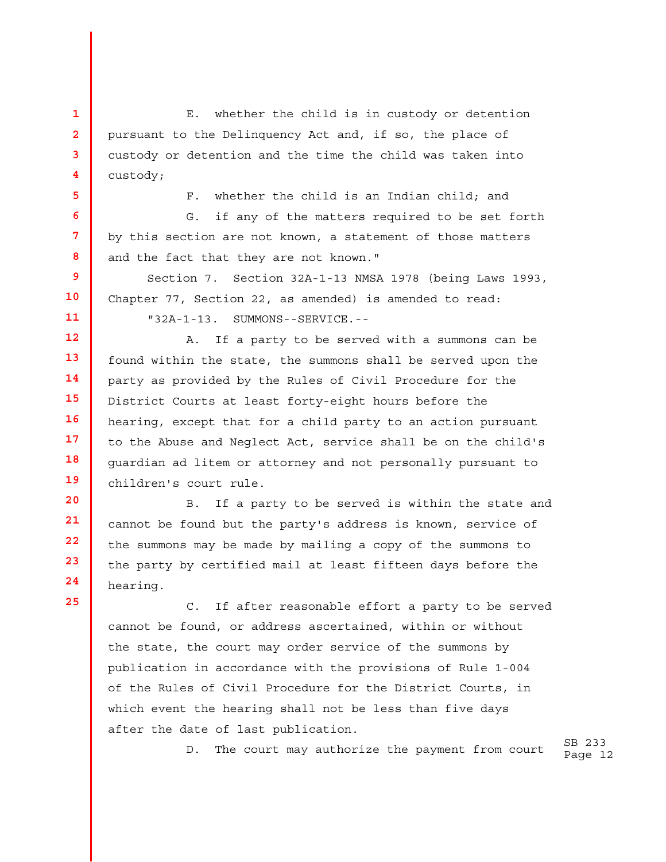E. whether the child is in custody or detention pursuant to the Delinquency Act and, if so, the place of custody or detention and the time the child was taken into custody;

F. whether the child is an Indian child; and

 G. if any of the matters required to be set forth by this section are not known, a statement of those matters and the fact that they are not known."

Section 7. Section 32A-1-13 NMSA 1978 (being Laws 1993, Chapter 77, Section 22, as amended) is amended to read:

"32A-1-13. SUMMONS--SERVICE.--

A. If a party to be served with a summons can be found within the state, the summons shall be served upon the party as provided by the Rules of Civil Procedure for the District Courts at least forty-eight hours before the hearing, except that for a child party to an action pursuant to the Abuse and Neglect Act, service shall be on the child's guardian ad litem or attorney and not personally pursuant to children's court rule.

B. If a party to be served is within the state and cannot be found but the party's address is known, service of the summons may be made by mailing a copy of the summons to the party by certified mail at least fifteen days before the hearing.

C. If after reasonable effort a party to be served cannot be found, or address ascertained, within or without the state, the court may order service of the summons by publication in accordance with the provisions of Rule 1-004 of the Rules of Civil Procedure for the District Courts, in which event the hearing shall not be less than five days after the date of last publication.

SB 233 D. The court may authorize the payment from court

Page 12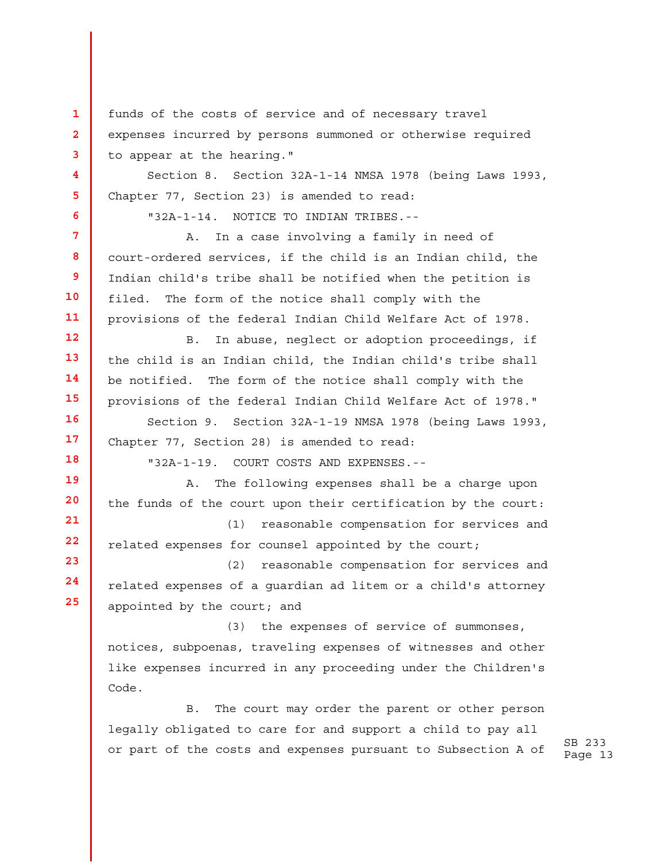**1 2 3**  funds of the costs of service and of necessary travel expenses incurred by persons summoned or otherwise required to appear at the hearing."

Section 8. Section 32A-1-14 NMSA 1978 (being Laws 1993, Chapter 77, Section 23) is amended to read:

"32A-1-14. NOTICE TO INDIAN TRIBES.--

A. In a case involving a family in need of court-ordered services, if the child is an Indian child, the Indian child's tribe shall be notified when the petition is filed. The form of the notice shall comply with the provisions of the federal Indian Child Welfare Act of 1978.

B. In abuse, neglect or adoption proceedings, if the child is an Indian child, the Indian child's tribe shall be notified. The form of the notice shall comply with the provisions of the federal Indian Child Welfare Act of 1978."

Section 9. Section 32A-1-19 NMSA 1978 (being Laws 1993, Chapter 77, Section 28) is amended to read:

"32A-1-19. COURT COSTS AND EXPENSES.--

A. The following expenses shall be a charge upon the funds of the court upon their certification by the court:

(1) reasonable compensation for services and related expenses for counsel appointed by the court;

(2) reasonable compensation for services and related expenses of a guardian ad litem or a child's attorney appointed by the court; and

(3) the expenses of service of summonses, notices, subpoenas, traveling expenses of witnesses and other like expenses incurred in any proceeding under the Children's Code.

B. The court may order the parent or other person legally obligated to care for and support a child to pay all or part of the costs and expenses pursuant to Subsection A of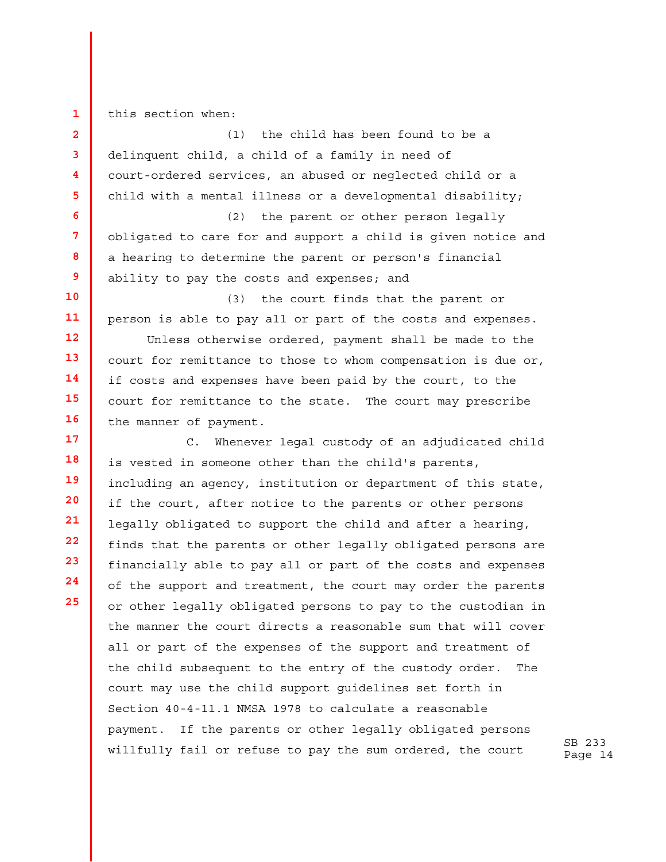this section when:

(1) the child has been found to be a delinquent child, a child of a family in need of court-ordered services, an abused or neglected child or a child with a mental illness or a developmental disability;

(2) the parent or other person legally obligated to care for and support a child is given notice and a hearing to determine the parent or person's financial ability to pay the costs and expenses; and

(3) the court finds that the parent or person is able to pay all or part of the costs and expenses.

Unless otherwise ordered, payment shall be made to the court for remittance to those to whom compensation is due or, if costs and expenses have been paid by the court, to the court for remittance to the state. The court may prescribe the manner of payment.

C. Whenever legal custody of an adjudicated child is vested in someone other than the child's parents, including an agency, institution or department of this state, if the court, after notice to the parents or other persons legally obligated to support the child and after a hearing, finds that the parents or other legally obligated persons are financially able to pay all or part of the costs and expenses of the support and treatment, the court may order the parents or other legally obligated persons to pay to the custodian in the manner the court directs a reasonable sum that will cover all or part of the expenses of the support and treatment of the child subsequent to the entry of the custody order. The court may use the child support guidelines set forth in Section 40-4-11.1 NMSA 1978 to calculate a reasonable payment. If the parents or other legally obligated persons willfully fail or refuse to pay the sum ordered, the court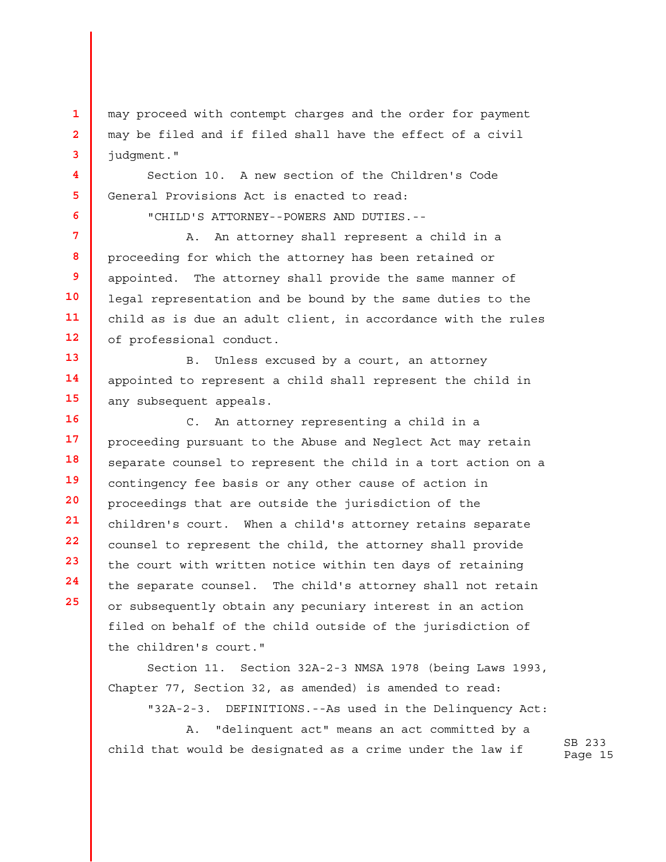may proceed with contempt charges and the order for payment may be filed and if filed shall have the effect of a civil judgment."

Section 10. A new section of the Children's Code General Provisions Act is enacted to read:

"CHILD'S ATTORNEY--POWERS AND DUTIES.--

A. An attorney shall represent a child in a proceeding for which the attorney has been retained or appointed. The attorney shall provide the same manner of legal representation and be bound by the same duties to the child as is due an adult client, in accordance with the rules of professional conduct.

B. Unless excused by a court, an attorney appointed to represent a child shall represent the child in any subsequent appeals.

C. An attorney representing a child in a proceeding pursuant to the Abuse and Neglect Act may retain separate counsel to represent the child in a tort action on a contingency fee basis or any other cause of action in proceedings that are outside the jurisdiction of the children's court. When a child's attorney retains separate counsel to represent the child, the attorney shall provide the court with written notice within ten days of retaining the separate counsel. The child's attorney shall not retain or subsequently obtain any pecuniary interest in an action filed on behalf of the child outside of the jurisdiction of the children's court."

Section 11. Section 32A-2-3 NMSA 1978 (being Laws 1993, Chapter 77, Section 32, as amended) is amended to read:

"32A-2-3. DEFINITIONS.--As used in the Delinquency Act:

SB 233 A. "delinquent act" means an act committed by a child that would be designated as a crime under the law if

Page 15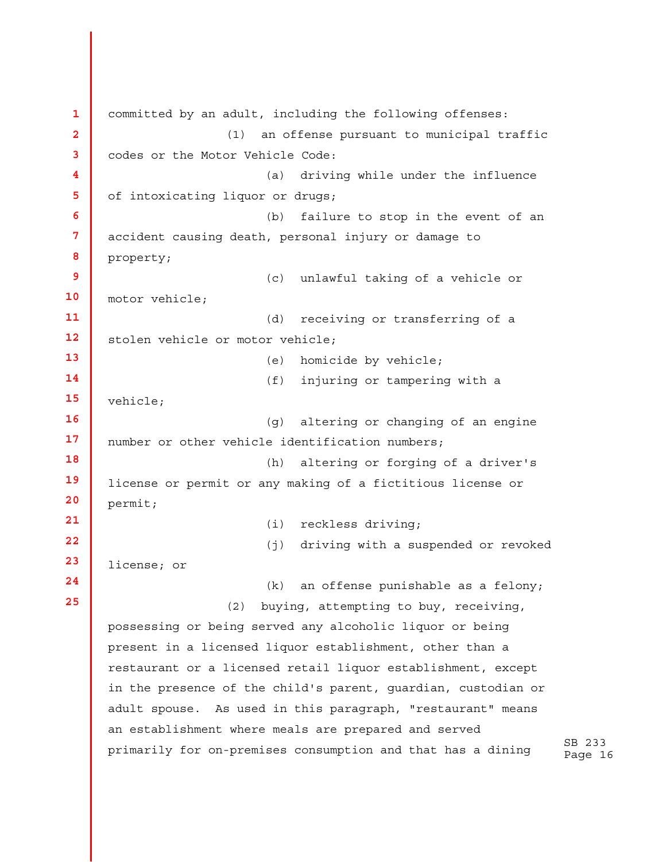```
SB 233
                                                                         Page 16
 1 
 2 
 3 
 4 
 5 
 6 
 7 
 8 
 9 
10 
11 
12 
13 
14 
15 
16 
17 
18 
19 
20 
21 
22 
23 
24 
25 
      committed by an adult, including the following offenses: 
                       (1) an offense pursuant to municipal traffic
      codes or the Motor Vehicle Code: 
                             (a) driving while under the influence
      of intoxicating liquor or drugs; 
                             (b) failure to stop in the event of an
      accident causing death, personal injury or damage to
      property;
                              (c) unlawful taking of a vehicle or
      motor vehicle; 
                             (d) receiving or transferring of a
      stolen vehicle or motor vehicle; 
                             (e) homicide by vehicle; 
                             (f) injuring or tampering with a
      vehicle; 
                             (g) altering or changing of an engine
      number or other vehicle identification numbers; 
                             (h) altering or forging of a driver's
      license or permit or any making of a fictitious license or
      permit; 
                             (i) reckless driving;
                             (j) driving with a suspended or revoked
      license; or
                             (k) an offense punishable as a felony;
                       (2) buying, attempting to buy, receiving,
      possessing or being served any alcoholic liquor or being
      present in a licensed liquor establishment, other than a
      restaurant or a licensed retail liquor establishment, except
      in the presence of the child's parent, guardian, custodian or
      adult spouse. As used in this paragraph, "restaurant" means
      an establishment where meals are prepared and served
      primarily for on-premises consumption and that has a dining
```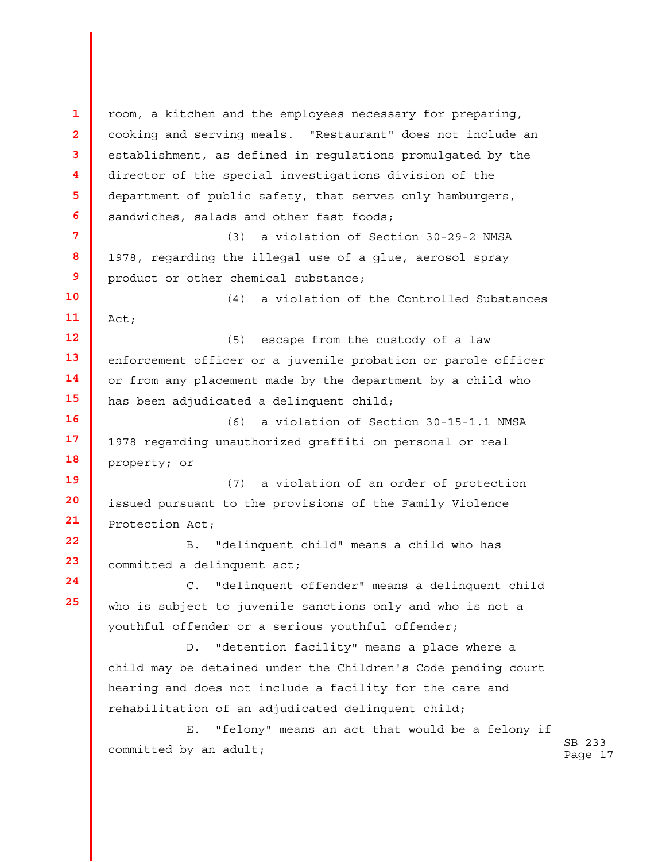SB 233 Page 17 **1 2 3 4 5 6 7 8 9 10 11 12 13 14 15 16 17 18 19 20 21 22 23 24 25**  room, a kitchen and the employees necessary for preparing, cooking and serving meals. "Restaurant" does not include an establishment, as defined in regulations promulgated by the director of the special investigations division of the department of public safety, that serves only hamburgers, sandwiches, salads and other fast foods; (3) a violation of Section 30-29-2 NMSA 1978, regarding the illegal use of a glue, aerosol spray product or other chemical substance; (4) a violation of the Controlled Substances Act; (5) escape from the custody of a law enforcement officer or a juvenile probation or parole officer or from any placement made by the department by a child who has been adjudicated a delinquent child; (6) a violation of Section 30-15-1.1 NMSA 1978 regarding unauthorized graffiti on personal or real property; or (7) a violation of an order of protection issued pursuant to the provisions of the Family Violence Protection Act; B. "delinquent child" means a child who has committed a delinquent act; C. "delinquent offender" means a delinquent child who is subject to juvenile sanctions only and who is not a youthful offender or a serious youthful offender; D. "detention facility" means a place where a child may be detained under the Children's Code pending court hearing and does not include a facility for the care and rehabilitation of an adjudicated delinquent child; E. "felony" means an act that would be a felony if committed by an adult;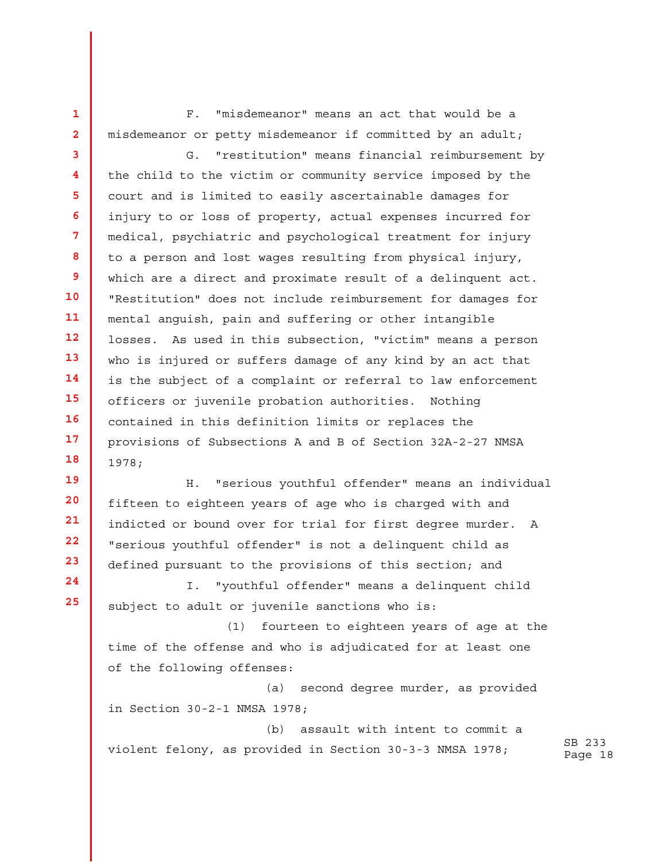**1 2** 

F. "misdemeanor" means an act that would be a misdemeanor or petty misdemeanor if committed by an adult;

G. "restitution" means financial reimbursement by the child to the victim or community service imposed by the court and is limited to easily ascertainable damages for injury to or loss of property, actual expenses incurred for medical, psychiatric and psychological treatment for injury to a person and lost wages resulting from physical injury, which are a direct and proximate result of a delinquent act. "Restitution" does not include reimbursement for damages for mental anguish, pain and suffering or other intangible losses. As used in this subsection, "victim" means a person who is injured or suffers damage of any kind by an act that is the subject of a complaint or referral to law enforcement officers or juvenile probation authorities. Nothing contained in this definition limits or replaces the provisions of Subsections A and B of Section 32A-2-27 NMSA 1978;

H. "serious youthful offender" means an individual fifteen to eighteen years of age who is charged with and indicted or bound over for trial for first degree murder. A "serious youthful offender" is not a delinquent child as defined pursuant to the provisions of this section; and

I. "youthful offender" means a delinquent child subject to adult or juvenile sanctions who is:

(1) fourteen to eighteen years of age at the time of the offense and who is adjudicated for at least one of the following offenses:

(a) second degree murder, as provided in Section 30-2-1 NMSA 1978;

SB 233 Page 18 (b) assault with intent to commit a violent felony, as provided in Section 30-3-3 NMSA 1978;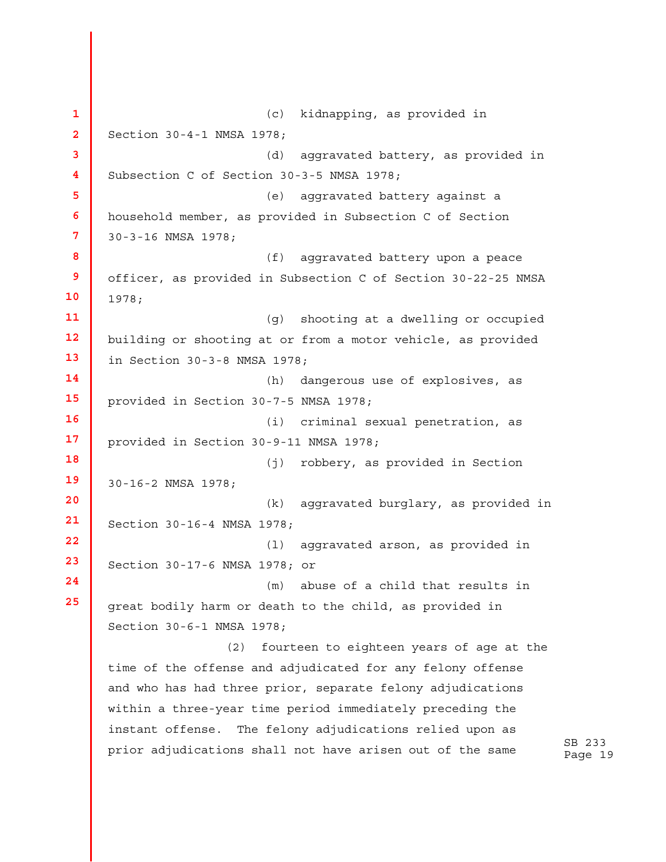SB 233 Page 19 **1 2 3 4 5 6 7 8 9 10 11 12 13 14 15 16 17 18 19 20 21 22 23 24 25**  (c) kidnapping, as provided in Section 30-4-1 NMSA 1978; (d) aggravated battery, as provided in Subsection C of Section 30-3-5 NMSA 1978; (e) aggravated battery against a household member, as provided in Subsection C of Section 30-3-16 NMSA 1978; (f) aggravated battery upon a peace officer, as provided in Subsection C of Section 30-22-25 NMSA 1978; (g) shooting at a dwelling or occupied building or shooting at or from a motor vehicle, as provided in Section 30-3-8 NMSA 1978; (h) dangerous use of explosives, as provided in Section 30-7-5 NMSA 1978; (i) criminal sexual penetration, as provided in Section 30-9-11 NMSA 1978; (j) robbery, as provided in Section 30-16-2 NMSA 1978; (k) aggravated burglary, as provided in Section 30-16-4 NMSA 1978; (l) aggravated arson, as provided in Section 30-17-6 NMSA 1978; or (m) abuse of a child that results in great bodily harm or death to the child, as provided in Section 30-6-1 NMSA 1978; (2) fourteen to eighteen years of age at the time of the offense and adjudicated for any felony offense and who has had three prior, separate felony adjudications within a three-year time period immediately preceding the instant offense. The felony adjudications relied upon as prior adjudications shall not have arisen out of the same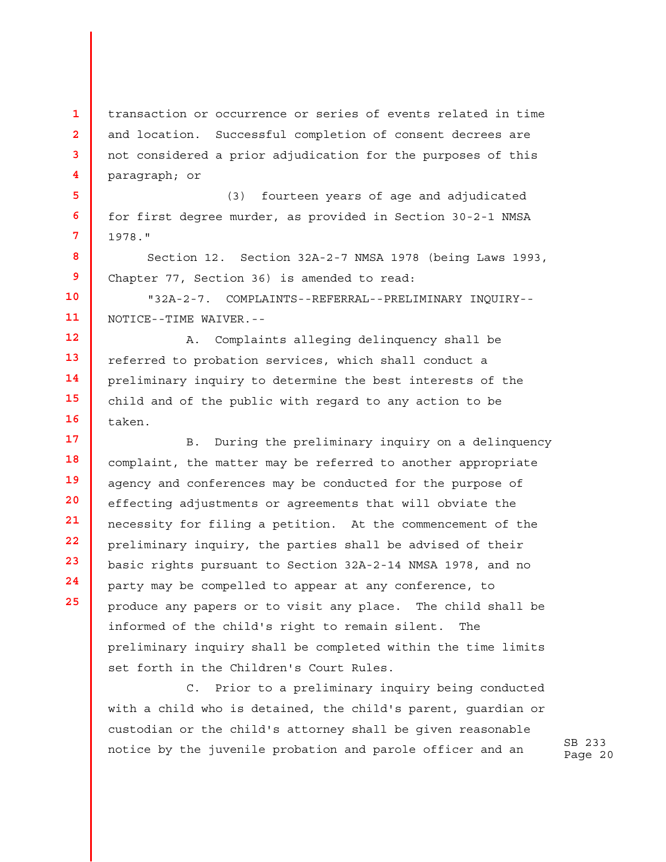**1 2 3 4**  transaction or occurrence or series of events related in time and location. Successful completion of consent decrees are not considered a prior adjudication for the purposes of this paragraph; or

(3) fourteen years of age and adjudicated for first degree murder, as provided in Section 30-2-1 NMSA 1978."

Section 12. Section 32A-2-7 NMSA 1978 (being Laws 1993, Chapter 77, Section 36) is amended to read:

"32A-2-7. COMPLAINTS--REFERRAL--PRELIMINARY INQUIRY-- NOTICE--TIME WAIVER.--

A. Complaints alleging delinquency shall be referred to probation services, which shall conduct a preliminary inquiry to determine the best interests of the child and of the public with regard to any action to be taken.

B. During the preliminary inquiry on a delinquency complaint, the matter may be referred to another appropriate agency and conferences may be conducted for the purpose of effecting adjustments or agreements that will obviate the necessity for filing a petition. At the commencement of the preliminary inquiry, the parties shall be advised of their basic rights pursuant to Section 32A-2-14 NMSA 1978, and no party may be compelled to appear at any conference, to produce any papers or to visit any place. The child shall be informed of the child's right to remain silent. The preliminary inquiry shall be completed within the time limits set forth in the Children's Court Rules.

C. Prior to a preliminary inquiry being conducted with a child who is detained, the child's parent, guardian or custodian or the child's attorney shall be given reasonable notice by the juvenile probation and parole officer and an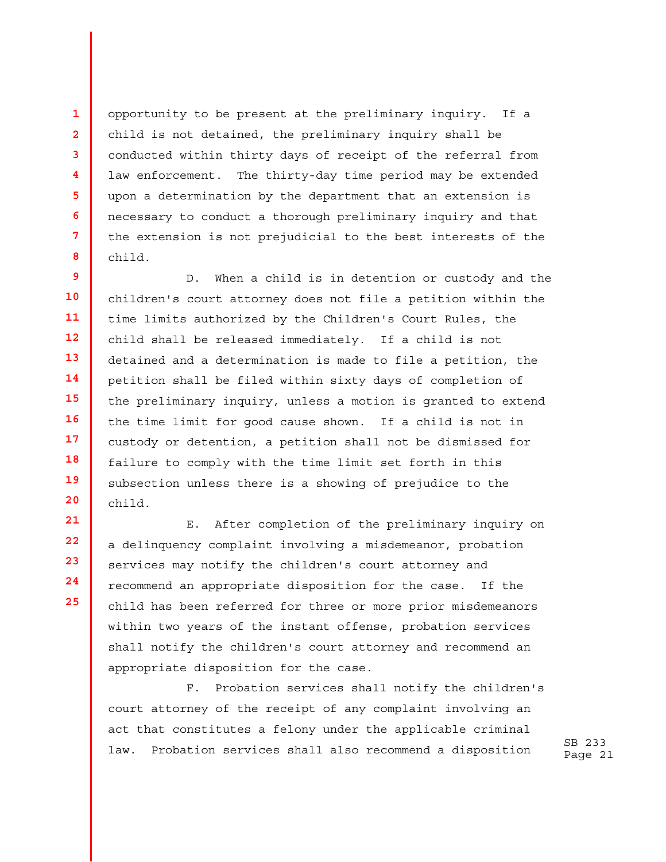opportunity to be present at the preliminary inquiry. If a child is not detained, the preliminary inquiry shall be conducted within thirty days of receipt of the referral from law enforcement. The thirty-day time period may be extended upon a determination by the department that an extension is necessary to conduct a thorough preliminary inquiry and that the extension is not prejudicial to the best interests of the child.

D. When a child is in detention or custody and the children's court attorney does not file a petition within the time limits authorized by the Children's Court Rules, the child shall be released immediately. If a child is not detained and a determination is made to file a petition, the petition shall be filed within sixty days of completion of the preliminary inquiry, unless a motion is granted to extend the time limit for good cause shown. If a child is not in custody or detention, a petition shall not be dismissed for failure to comply with the time limit set forth in this subsection unless there is a showing of prejudice to the child.

E. After completion of the preliminary inquiry on a delinquency complaint involving a misdemeanor, probation services may notify the children's court attorney and recommend an appropriate disposition for the case. If the child has been referred for three or more prior misdemeanors within two years of the instant offense, probation services shall notify the children's court attorney and recommend an appropriate disposition for the case.

F. Probation services shall notify the children's court attorney of the receipt of any complaint involving an act that constitutes a felony under the applicable criminal law. Probation services shall also recommend a disposition

SB 233 Page 21

**1 2**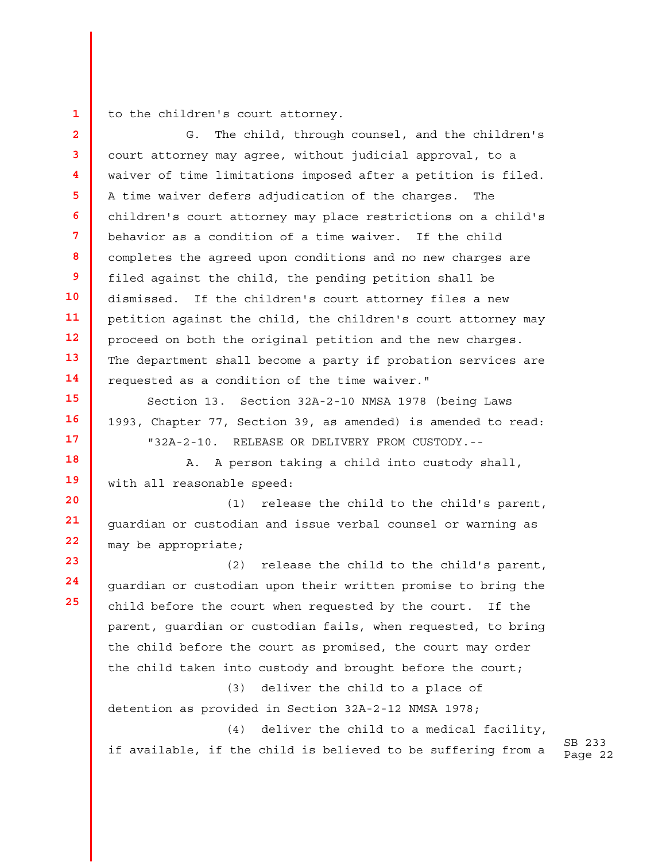to the children's court attorney.

G. The child, through counsel, and the children's court attorney may agree, without judicial approval, to a waiver of time limitations imposed after a petition is filed. A time waiver defers adjudication of the charges. The children's court attorney may place restrictions on a child's behavior as a condition of a time waiver. If the child completes the agreed upon conditions and no new charges are filed against the child, the pending petition shall be dismissed. If the children's court attorney files a new petition against the child, the children's court attorney may proceed on both the original petition and the new charges. The department shall become a party if probation services are requested as a condition of the time waiver."

Section 13. Section 32A-2-10 NMSA 1978 (being Laws 1993, Chapter 77, Section 39, as amended) is amended to read: "32A-2-10. RELEASE OR DELIVERY FROM CUSTODY.--

A. A person taking a child into custody shall, with all reasonable speed:

(1) release the child to the child's parent, guardian or custodian and issue verbal counsel or warning as may be appropriate;

(2) release the child to the child's parent, guardian or custodian upon their written promise to bring the child before the court when requested by the court. If the parent, guardian or custodian fails, when requested, to bring the child before the court as promised, the court may order the child taken into custody and brought before the court;

(3) deliver the child to a place of detention as provided in Section 32A-2-12 NMSA 1978;

(4) deliver the child to a medical facility, if available, if the child is believed to be suffering from a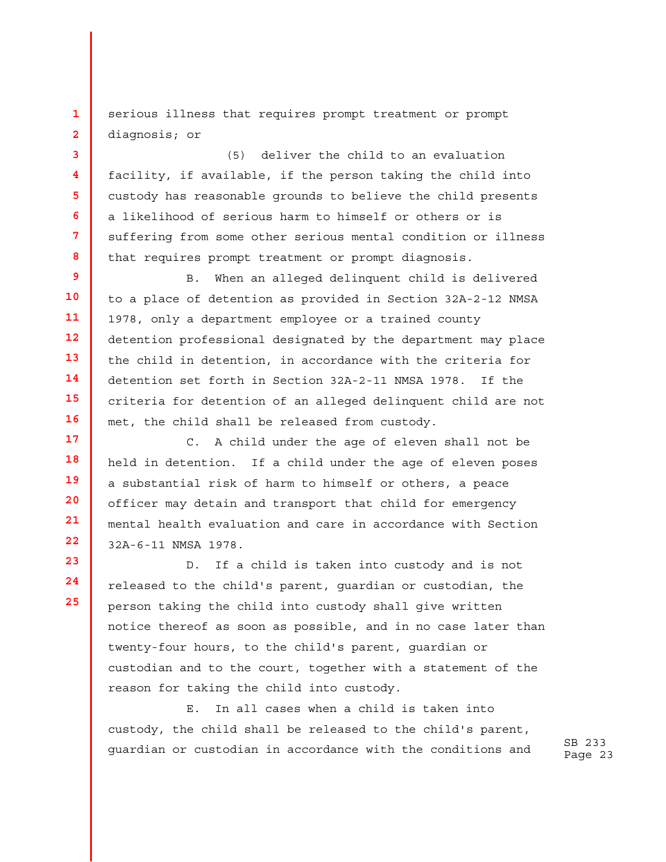serious illness that requires prompt treatment or prompt diagnosis; or

(5) deliver the child to an evaluation facility, if available, if the person taking the child into custody has reasonable grounds to believe the child presents a likelihood of serious harm to himself or others or is suffering from some other serious mental condition or illness that requires prompt treatment or prompt diagnosis.

 B. When an alleged delinquent child is delivered to a place of detention as provided in Section 32A-2-12 NMSA 1978, only a department employee or a trained county detention professional designated by the department may place the child in detention, in accordance with the criteria for detention set forth in Section 32A-2-11 NMSA 1978. If the criteria for detention of an alleged delinquent child are not met, the child shall be released from custody.

C. A child under the age of eleven shall not be held in detention. If a child under the age of eleven poses a substantial risk of harm to himself or others, a peace officer may detain and transport that child for emergency mental health evaluation and care in accordance with Section 32A-6-11 NMSA 1978.

D. If a child is taken into custody and is not released to the child's parent, guardian or custodian, the person taking the child into custody shall give written notice thereof as soon as possible, and in no case later than twenty-four hours, to the child's parent, guardian or custodian and to the court, together with a statement of the reason for taking the child into custody.

E. In all cases when a child is taken into custody, the child shall be released to the child's parent, guardian or custodian in accordance with the conditions and

SB 233 Page 23

**1**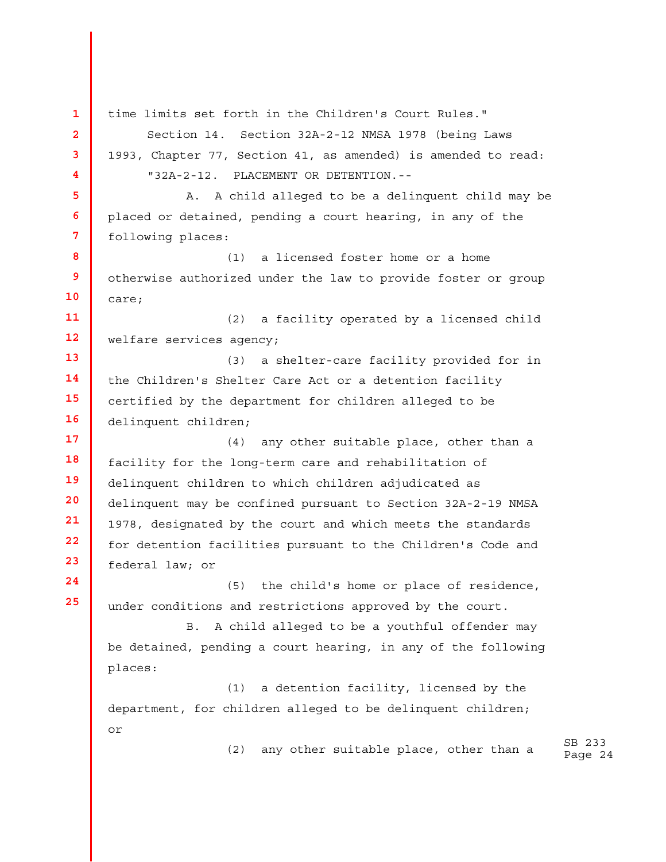SB 233 Page 24 **1 2 3 4 5 6 7 8 9 10 11 12 13 14 15 16 17 18 19 20 21 22 23 24 25**  time limits set forth in the Children's Court Rules." Section 14. Section 32A-2-12 NMSA 1978 (being Laws 1993, Chapter 77, Section 41, as amended) is amended to read: "32A-2-12. PLACEMENT OR DETENTION.-- A. A child alleged to be a delinquent child may be placed or detained, pending a court hearing, in any of the following places: (1) a licensed foster home or a home otherwise authorized under the law to provide foster or group care; (2) a facility operated by a licensed child welfare services agency; (3) a shelter-care facility provided for in the Children's Shelter Care Act or a detention facility certified by the department for children alleged to be delinquent children; (4) any other suitable place, other than a facility for the long-term care and rehabilitation of delinquent children to which children adjudicated as delinquent may be confined pursuant to Section 32A-2-19 NMSA 1978, designated by the court and which meets the standards for detention facilities pursuant to the Children's Code and federal law; or (5) the child's home or place of residence, under conditions and restrictions approved by the court. B. A child alleged to be a youthful offender may be detained, pending a court hearing, in any of the following places: (1) a detention facility, licensed by the department, for children alleged to be delinquent children; or (2) any other suitable place, other than a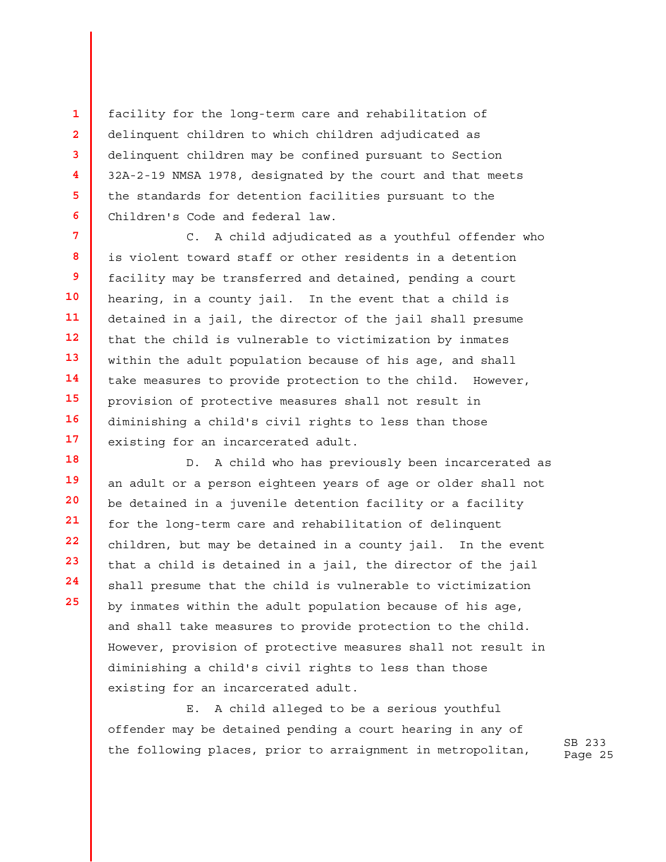facility for the long-term care and rehabilitation of delinquent children to which children adjudicated as delinquent children may be confined pursuant to Section 32A-2-19 NMSA 1978, designated by the court and that meets the standards for detention facilities pursuant to the Children's Code and federal law.

C. A child adjudicated as a youthful offender who is violent toward staff or other residents in a detention facility may be transferred and detained, pending a court hearing, in a county jail. In the event that a child is detained in a jail, the director of the jail shall presume that the child is vulnerable to victimization by inmates within the adult population because of his age, and shall take measures to provide protection to the child. However, provision of protective measures shall not result in diminishing a child's civil rights to less than those existing for an incarcerated adult.

D. A child who has previously been incarcerated as an adult or a person eighteen years of age or older shall not be detained in a juvenile detention facility or a facility for the long-term care and rehabilitation of delinquent children, but may be detained in a county jail. In the event that a child is detained in a jail, the director of the jail shall presume that the child is vulnerable to victimization by inmates within the adult population because of his age, and shall take measures to provide protection to the child. However, provision of protective measures shall not result in diminishing a child's civil rights to less than those existing for an incarcerated adult.

SB 233 E. A child alleged to be a serious youthful offender may be detained pending a court hearing in any of the following places, prior to arraignment in metropolitan,

Page 25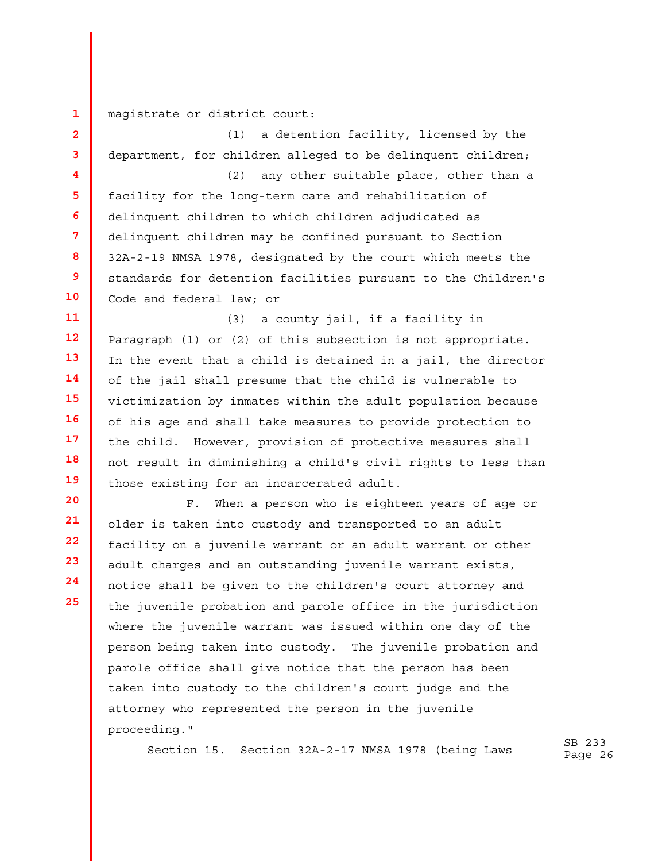**1**  magistrate or district court:

department, for children alleged to be delinquent children; (2) any other suitable place, other than a facility for the long-term care and rehabilitation of delinquent children to which children adjudicated as delinquent children may be confined pursuant to Section 32A-2-19 NMSA 1978, designated by the court which meets the standards for detention facilities pursuant to the Children's Code and federal law; or

(1) a detention facility, licensed by the

(3) a county jail, if a facility in Paragraph (1) or (2) of this subsection is not appropriate. In the event that a child is detained in a jail, the director of the jail shall presume that the child is vulnerable to victimization by inmates within the adult population because of his age and shall take measures to provide protection to the child. However, provision of protective measures shall not result in diminishing a child's civil rights to less than those existing for an incarcerated adult.

F. When a person who is eighteen years of age or older is taken into custody and transported to an adult facility on a juvenile warrant or an adult warrant or other adult charges and an outstanding juvenile warrant exists, notice shall be given to the children's court attorney and the juvenile probation and parole office in the jurisdiction where the juvenile warrant was issued within one day of the person being taken into custody. The juvenile probation and parole office shall give notice that the person has been taken into custody to the children's court judge and the attorney who represented the person in the juvenile proceeding."

SB 233 Page 26 Section 15. Section 32A-2-17 NMSA 1978 (being Laws

**2 3**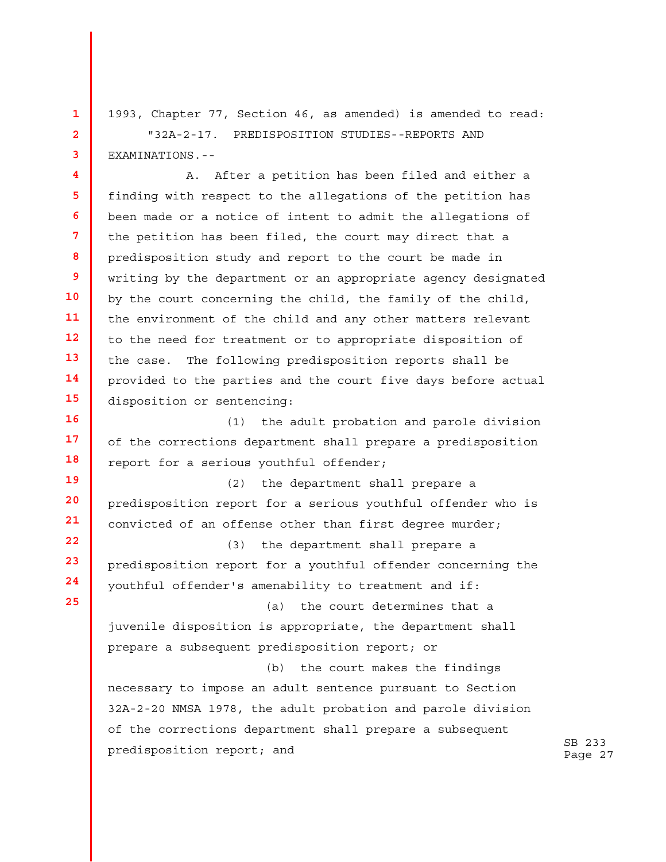1993, Chapter 77, Section 46, as amended) is amended to read: "32A-2-17. PREDISPOSITION STUDIES--REPORTS AND EXAMINATIONS.--

A. After a petition has been filed and either a finding with respect to the allegations of the petition has been made or a notice of intent to admit the allegations of the petition has been filed, the court may direct that a predisposition study and report to the court be made in writing by the department or an appropriate agency designated by the court concerning the child, the family of the child, the environment of the child and any other matters relevant to the need for treatment or to appropriate disposition of the case. The following predisposition reports shall be provided to the parties and the court five days before actual disposition or sentencing:

(1) the adult probation and parole division of the corrections department shall prepare a predisposition report for a serious youthful offender;

(2) the department shall prepare a predisposition report for a serious youthful offender who is convicted of an offense other than first degree murder;

(3) the department shall prepare a predisposition report for a youthful offender concerning the youthful offender's amenability to treatment and if:

(a) the court determines that a juvenile disposition is appropriate, the department shall prepare a subsequent predisposition report; or

(b) the court makes the findings necessary to impose an adult sentence pursuant to Section 32A-2-20 NMSA 1978, the adult probation and parole division of the corrections department shall prepare a subsequent predisposition report; and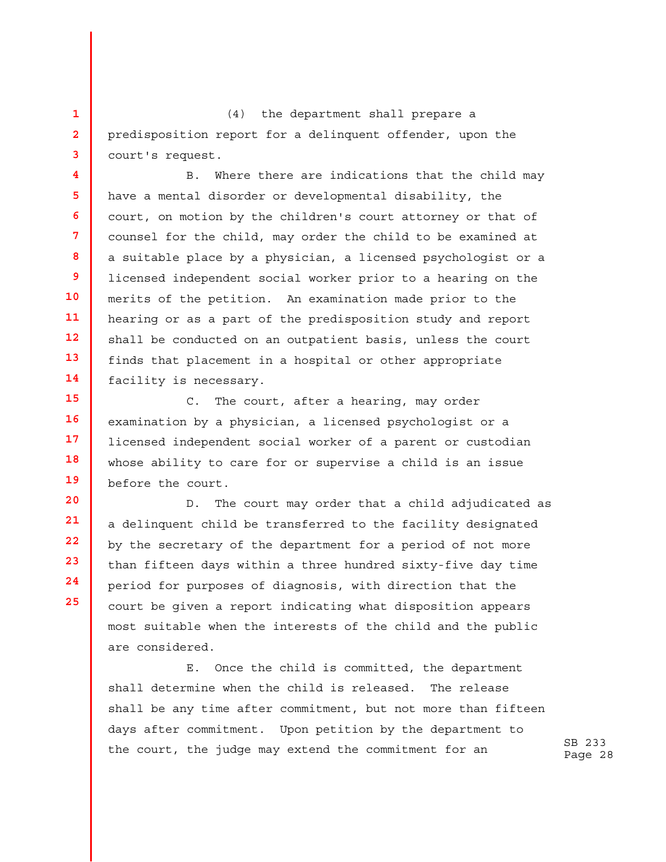**1 2 3**  (4) the department shall prepare a predisposition report for a delinquent offender, upon the court's request.

 B. Where there are indications that the child may have a mental disorder or developmental disability, the court, on motion by the children's court attorney or that of counsel for the child, may order the child to be examined at a suitable place by a physician, a licensed psychologist or a licensed independent social worker prior to a hearing on the merits of the petition. An examination made prior to the hearing or as a part of the predisposition study and report shall be conducted on an outpatient basis, unless the court finds that placement in a hospital or other appropriate facility is necessary.

 C. The court, after a hearing, may order examination by a physician, a licensed psychologist or a licensed independent social worker of a parent or custodian whose ability to care for or supervise a child is an issue before the court.

 D. The court may order that a child adjudicated as a delinquent child be transferred to the facility designated by the secretary of the department for a period of not more than fifteen days within a three hundred sixty-five day time period for purposes of diagnosis, with direction that the court be given a report indicating what disposition appears most suitable when the interests of the child and the public are considered.

 E. Once the child is committed, the department shall determine when the child is released. The release shall be any time after commitment, but not more than fifteen days after commitment. Upon petition by the department to the court, the judge may extend the commitment for an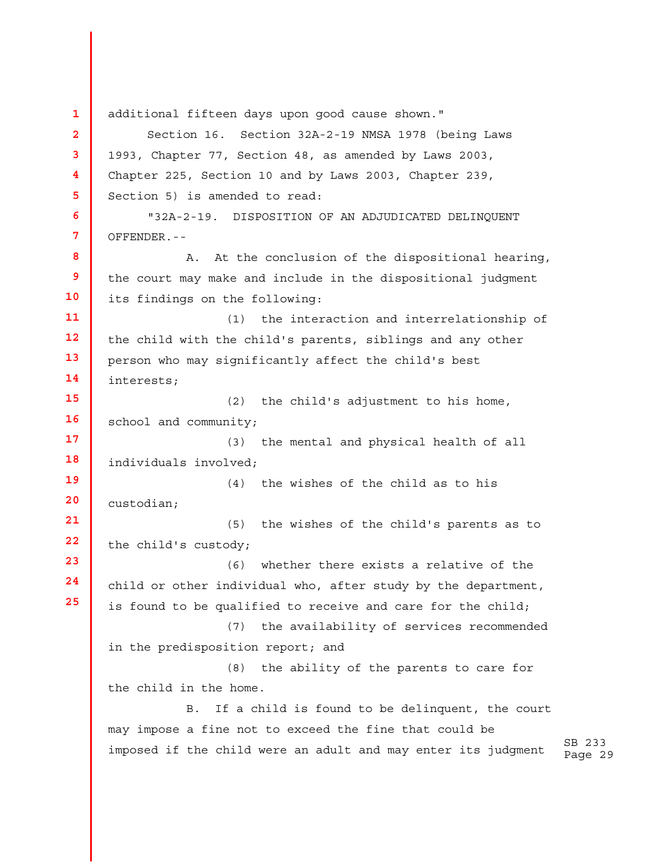SB 233 Page 29 **1 2 3 4 5 6 7 8 9 10 11 12 13 14 15 16 17 18 19 20 21 22 23 24 25**  additional fifteen days upon good cause shown." Section 16. Section 32A-2-19 NMSA 1978 (being Laws 1993, Chapter 77, Section 48, as amended by Laws 2003, Chapter 225, Section 10 and by Laws 2003, Chapter 239, Section 5) is amended to read: "32A-2-19. DISPOSITION OF AN ADJUDICATED DELINQUENT OFFENDER.-- A. At the conclusion of the dispositional hearing, the court may make and include in the dispositional judgment its findings on the following: (1) the interaction and interrelationship of the child with the child's parents, siblings and any other person who may significantly affect the child's best interests; (2) the child's adjustment to his home, school and community; (3) the mental and physical health of all individuals involved; (4) the wishes of the child as to his custodian; (5) the wishes of the child's parents as to the child's custody; (6) whether there exists a relative of the child or other individual who, after study by the department, is found to be qualified to receive and care for the child; (7) the availability of services recommended in the predisposition report; and (8) the ability of the parents to care for the child in the home. B. If a child is found to be delinquent, the court may impose a fine not to exceed the fine that could be imposed if the child were an adult and may enter its judgment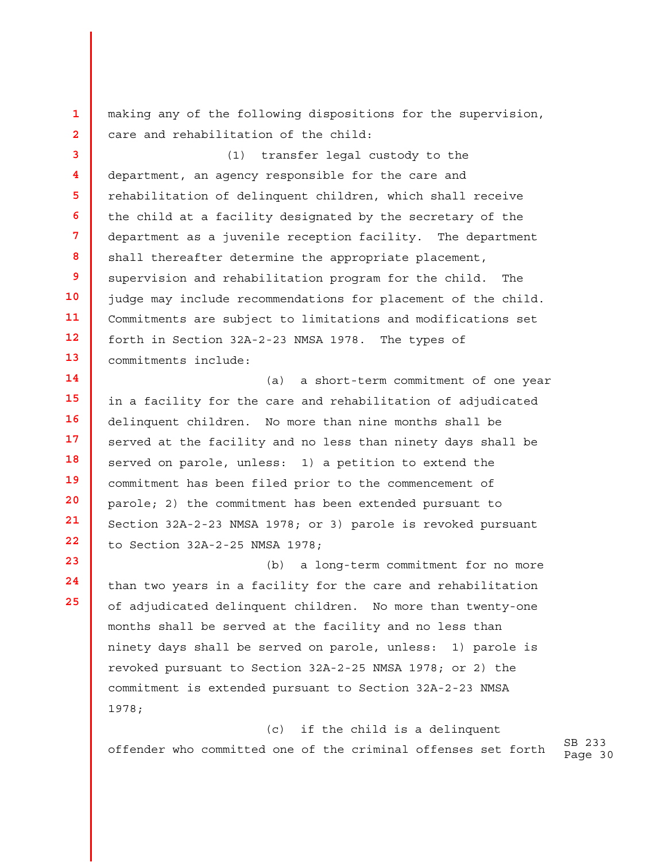making any of the following dispositions for the supervision, care and rehabilitation of the child:

(1) transfer legal custody to the department, an agency responsible for the care and rehabilitation of delinquent children, which shall receive the child at a facility designated by the secretary of the department as a juvenile reception facility. The department shall thereafter determine the appropriate placement, supervision and rehabilitation program for the child. The judge may include recommendations for placement of the child. Commitments are subject to limitations and modifications set forth in Section 32A-2-23 NMSA 1978. The types of commitments include:

(a) a short-term commitment of one year in a facility for the care and rehabilitation of adjudicated delinquent children. No more than nine months shall be served at the facility and no less than ninety days shall be served on parole, unless: 1) a petition to extend the commitment has been filed prior to the commencement of parole; 2) the commitment has been extended pursuant to Section 32A-2-23 NMSA 1978; or 3) parole is revoked pursuant to Section 32A-2-25 NMSA 1978;

(b) a long-term commitment for no more than two years in a facility for the care and rehabilitation of adjudicated delinquent children. No more than twenty-one months shall be served at the facility and no less than ninety days shall be served on parole, unless: 1) parole is revoked pursuant to Section 32A-2-25 NMSA 1978; or 2) the commitment is extended pursuant to Section 32A-2-23 NMSA 1978;

SB 233 (c) if the child is a delinquent offender who committed one of the criminal offenses set forth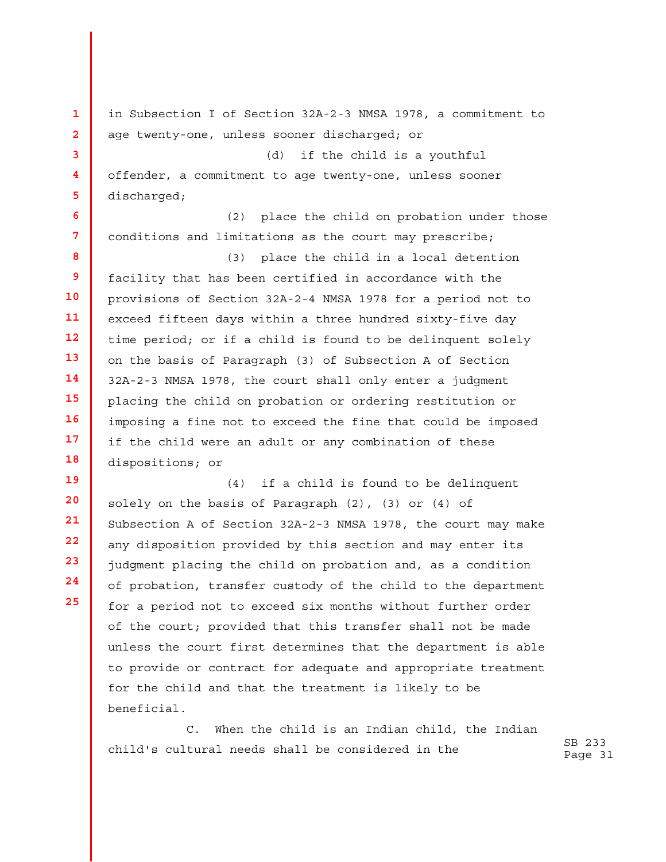**1 2 3 4 5 6 7 8 9 10 11 12 13 14 15 16 17 18 19 20 25**  in Subsection I of Section 32A-2-3 NMSA 1978, a commitment to age twenty-one, unless sooner discharged; or (d) if the child is a youthful offender, a commitment to age twenty-one, unless sooner discharged; (2) place the child on probation under those conditions and limitations as the court may prescribe; (3) place the child in a local detention facility that has been certified in accordance with the provisions of Section 32A-2-4 NMSA 1978 for a period not to exceed fifteen days within a three hundred sixty-five day time period; or if a child is found to be delinquent solely on the basis of Paragraph (3) of Subsection A of Section 32A-2-3 NMSA 1978, the court shall only enter a judgment placing the child on probation or ordering restitution or imposing a fine not to exceed the fine that could be imposed if the child were an adult or any combination of these dispositions; or (4) if a child is found to be delinquent solely on the basis of Paragraph (2), (3) or (4) of Subsection A of Section 32A-2-3 NMSA 1978, the court may make any disposition provided by this section and may enter its judgment placing the child on probation and, as a condition of probation, transfer custody of the child to the department for a period not to exceed six months without further order of the court; provided that this transfer shall not be made unless the court first determines that the department is able to provide or contract for adequate and appropriate treatment for the child and that the treatment is likely to be beneficial.

SB 233 Page 31 C. When the child is an Indian child, the Indian child's cultural needs shall be considered in the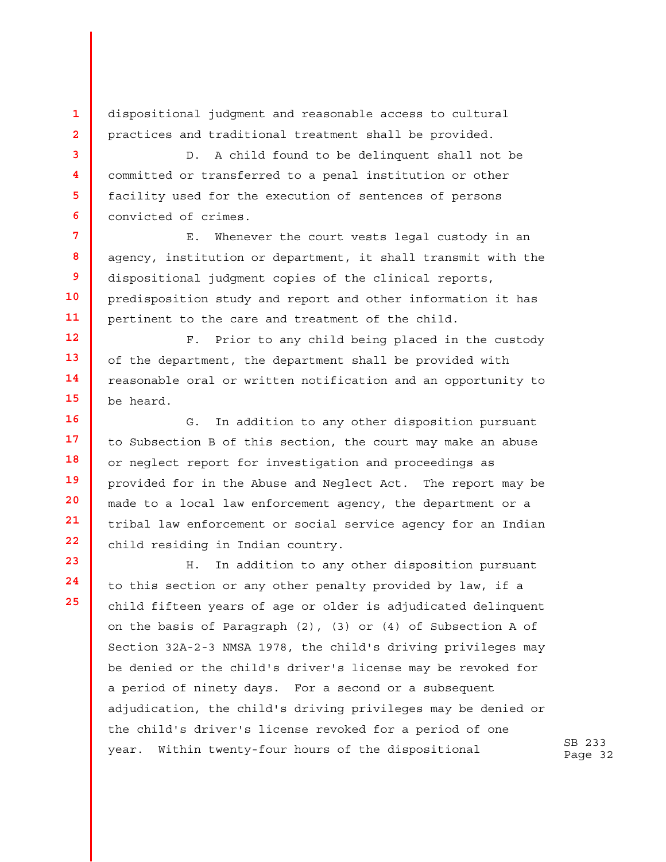**1 2**  dispositional judgment and reasonable access to cultural practices and traditional treatment shall be provided.

D. A child found to be delinquent shall not be committed or transferred to a penal institution or other facility used for the execution of sentences of persons convicted of crimes.

E. Whenever the court vests legal custody in an agency, institution or department, it shall transmit with the dispositional judgment copies of the clinical reports, predisposition study and report and other information it has pertinent to the care and treatment of the child.

F. Prior to any child being placed in the custody of the department, the department shall be provided with reasonable oral or written notification and an opportunity to be heard.

G. In addition to any other disposition pursuant to Subsection B of this section, the court may make an abuse or neglect report for investigation and proceedings as provided for in the Abuse and Neglect Act. The report may be made to a local law enforcement agency, the department or a tribal law enforcement or social service agency for an Indian child residing in Indian country.

H. In addition to any other disposition pursuant to this section or any other penalty provided by law, if a child fifteen years of age or older is adjudicated delinquent on the basis of Paragraph (2), (3) or (4) of Subsection A of Section 32A-2-3 NMSA 1978, the child's driving privileges may be denied or the child's driver's license may be revoked for a period of ninety days. For a second or a subsequent adjudication, the child's driving privileges may be denied or the child's driver's license revoked for a period of one year. Within twenty-four hours of the dispositional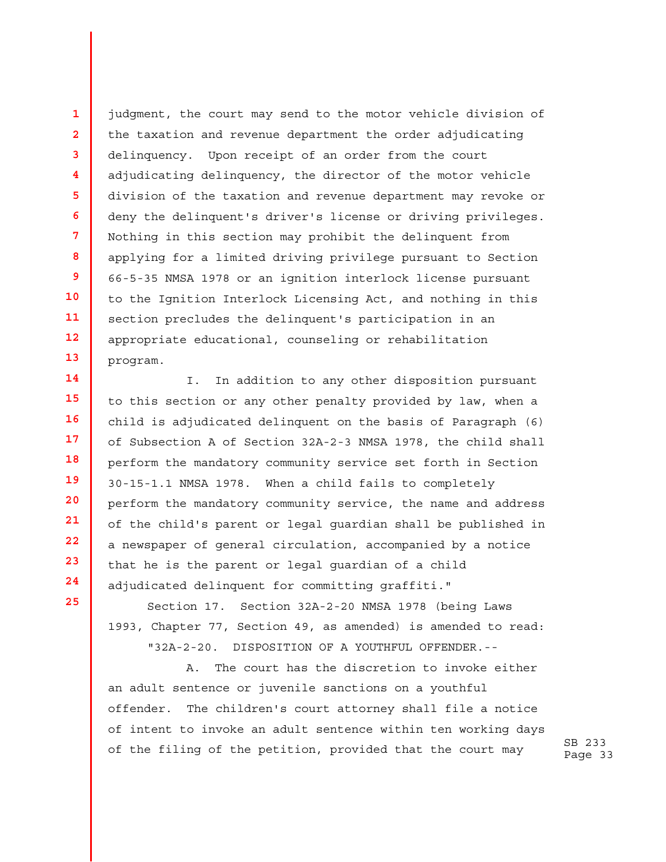judgment, the court may send to the motor vehicle division of the taxation and revenue department the order adjudicating delinquency. Upon receipt of an order from the court adjudicating delinquency, the director of the motor vehicle division of the taxation and revenue department may revoke or deny the delinquent's driver's license or driving privileges. Nothing in this section may prohibit the delinquent from applying for a limited driving privilege pursuant to Section 66-5-35 NMSA 1978 or an ignition interlock license pursuant to the Ignition Interlock Licensing Act, and nothing in this section precludes the delinquent's participation in an appropriate educational, counseling or rehabilitation program.

I. In addition to any other disposition pursuant to this section or any other penalty provided by law, when a child is adjudicated delinquent on the basis of Paragraph (6) of Subsection A of Section 32A-2-3 NMSA 1978, the child shall perform the mandatory community service set forth in Section 30-15-1.1 NMSA 1978. When a child fails to completely perform the mandatory community service, the name and address of the child's parent or legal guardian shall be published in a newspaper of general circulation, accompanied by a notice that he is the parent or legal guardian of a child adjudicated delinquent for committing graffiti."

Section 17. Section 32A-2-20 NMSA 1978 (being Laws 1993, Chapter 77, Section 49, as amended) is amended to read: "32A-2-20. DISPOSITION OF A YOUTHFUL OFFENDER.--

A. The court has the discretion to invoke either an adult sentence or juvenile sanctions on a youthful offender. The children's court attorney shall file a notice of intent to invoke an adult sentence within ten working days of the filing of the petition, provided that the court may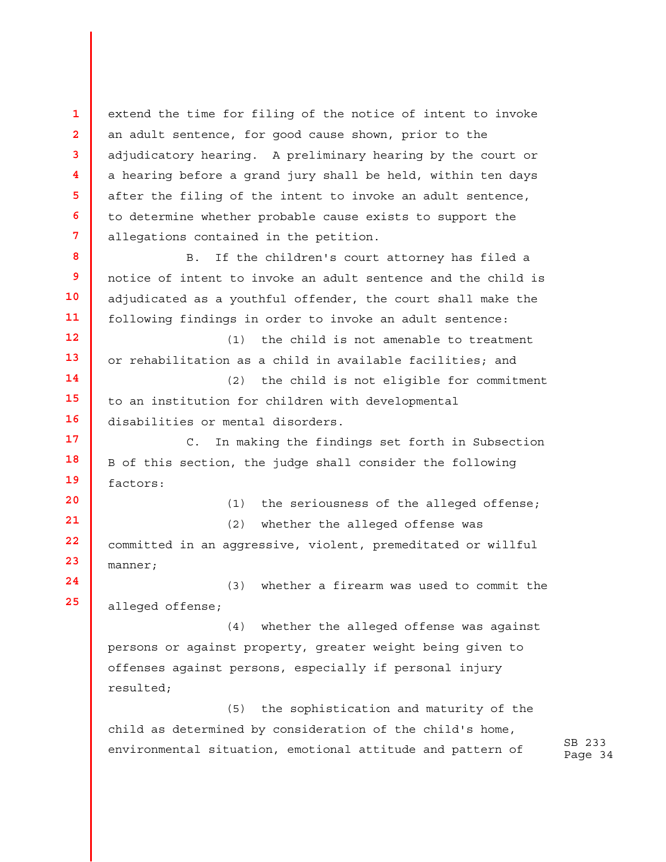extend the time for filing of the notice of intent to invoke an adult sentence, for good cause shown, prior to the adjudicatory hearing. A preliminary hearing by the court or a hearing before a grand jury shall be held, within ten days after the filing of the intent to invoke an adult sentence, to determine whether probable cause exists to support the allegations contained in the petition.

 B. If the children's court attorney has filed a notice of intent to invoke an adult sentence and the child is adjudicated as a youthful offender, the court shall make the following findings in order to invoke an adult sentence:

(1) the child is not amenable to treatment or rehabilitation as a child in available facilities; and (2) the child is not eligible for commitment to an institution for children with developmental

disabilities or mental disorders.

C. In making the findings set forth in Subsection B of this section, the judge shall consider the following factors:

(1) the seriousness of the alleged offense;

(2) whether the alleged offense was committed in an aggressive, violent, premeditated or willful manner;

**24 25**  (3) whether a firearm was used to commit the alleged offense;

(4) whether the alleged offense was against persons or against property, greater weight being given to offenses against persons, especially if personal injury resulted;

SB 233 (5) the sophistication and maturity of the child as determined by consideration of the child's home, environmental situation, emotional attitude and pattern of

Page 34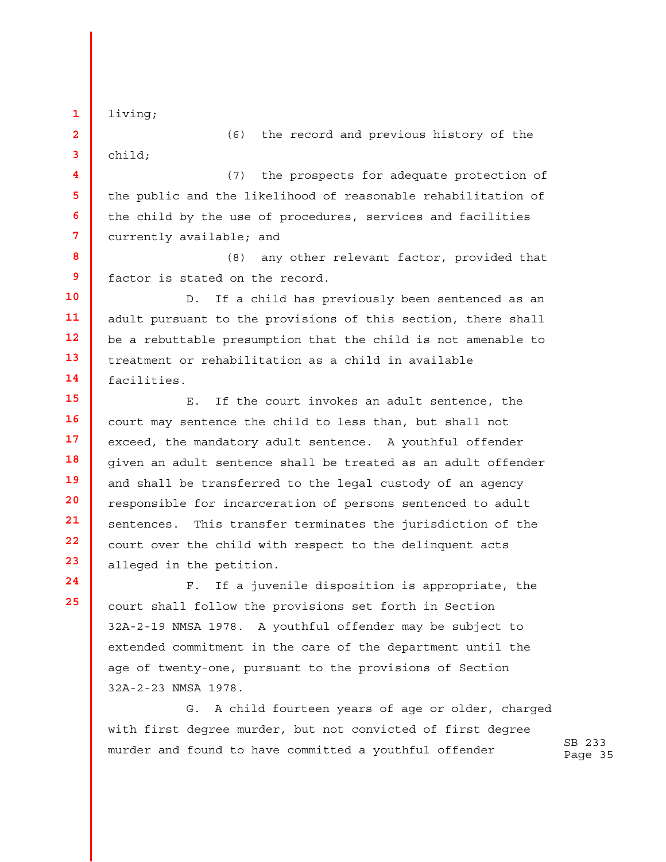living;

(6) the record and previous history of the child;

(7) the prospects for adequate protection of the public and the likelihood of reasonable rehabilitation of the child by the use of procedures, services and facilities currently available; and

(8) any other relevant factor, provided that factor is stated on the record.

D. If a child has previously been sentenced as an adult pursuant to the provisions of this section, there shall be a rebuttable presumption that the child is not amenable to treatment or rehabilitation as a child in available facilities.

E. If the court invokes an adult sentence, the court may sentence the child to less than, but shall not exceed, the mandatory adult sentence. A youthful offender given an adult sentence shall be treated as an adult offender and shall be transferred to the legal custody of an agency responsible for incarceration of persons sentenced to adult sentences. This transfer terminates the jurisdiction of the court over the child with respect to the delinquent acts alleged in the petition.

F. If a juvenile disposition is appropriate, the court shall follow the provisions set forth in Section 32A-2-19 NMSA 1978. A youthful offender may be subject to extended commitment in the care of the department until the age of twenty-one, pursuant to the provisions of Section 32A-2-23 NMSA 1978.

G. A child fourteen years of age or older, charged with first degree murder, but not convicted of first degree murder and found to have committed a youthful offender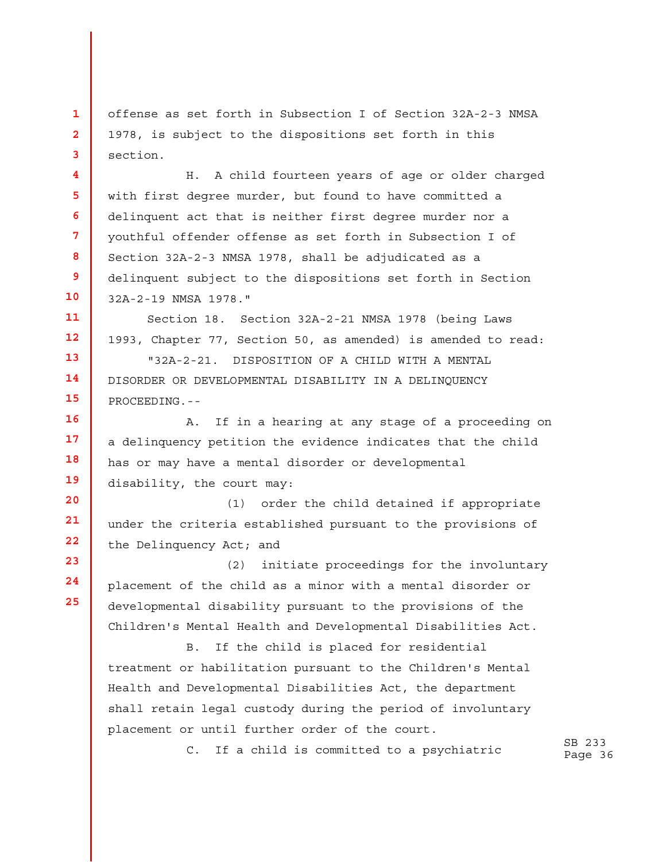offense as set forth in Subsection I of Section 32A-2-3 NMSA 1978, is subject to the dispositions set forth in this section.

H. A child fourteen years of age or older charged with first degree murder, but found to have committed a delinquent act that is neither first degree murder nor a youthful offender offense as set forth in Subsection I of Section 32A-2-3 NMSA 1978, shall be adjudicated as a delinquent subject to the dispositions set forth in Section 32A-2-19 NMSA 1978."

Section 18. Section 32A-2-21 NMSA 1978 (being Laws 1993, Chapter 77, Section 50, as amended) is amended to read:

"32A-2-21. DISPOSITION OF A CHILD WITH A MENTAL DISORDER OR DEVELOPMENTAL DISABILITY IN A DELINQUENCY PROCEEDING.--

A. If in a hearing at any stage of a proceeding on a delinquency petition the evidence indicates that the child has or may have a mental disorder or developmental disability, the court may:

 (1) order the child detained if appropriate under the criteria established pursuant to the provisions of the Delinquency Act; and

(2) initiate proceedings for the involuntary placement of the child as a minor with a mental disorder or developmental disability pursuant to the provisions of the Children's Mental Health and Developmental Disabilities Act.

B. If the child is placed for residential treatment or habilitation pursuant to the Children's Mental Health and Developmental Disabilities Act, the department shall retain legal custody during the period of involuntary placement or until further order of the court.

SB 233 Page 36 C. If a child is committed to a psychiatric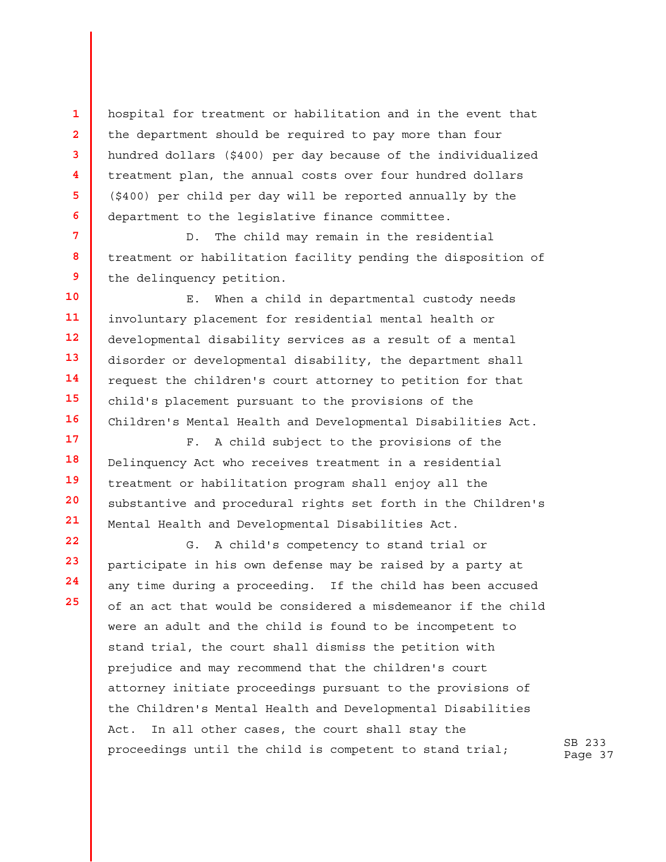**1**  hospital for treatment or habilitation and in the event that the department should be required to pay more than four hundred dollars (\$400) per day because of the individualized treatment plan, the annual costs over four hundred dollars (\$400) per child per day will be reported annually by the department to the legislative finance committee.

D. The child may remain in the residential treatment or habilitation facility pending the disposition of the delinquency petition.

E. When a child in departmental custody needs involuntary placement for residential mental health or developmental disability services as a result of a mental disorder or developmental disability, the department shall request the children's court attorney to petition for that child's placement pursuant to the provisions of the Children's Mental Health and Developmental Disabilities Act.

F. A child subject to the provisions of the Delinquency Act who receives treatment in a residential treatment or habilitation program shall enjoy all the substantive and procedural rights set forth in the Children's Mental Health and Developmental Disabilities Act.

G. A child's competency to stand trial or participate in his own defense may be raised by a party at any time during a proceeding. If the child has been accused of an act that would be considered a misdemeanor if the child were an adult and the child is found to be incompetent to stand trial, the court shall dismiss the petition with prejudice and may recommend that the children's court attorney initiate proceedings pursuant to the provisions of the Children's Mental Health and Developmental Disabilities Act. In all other cases, the court shall stay the proceedings until the child is competent to stand trial;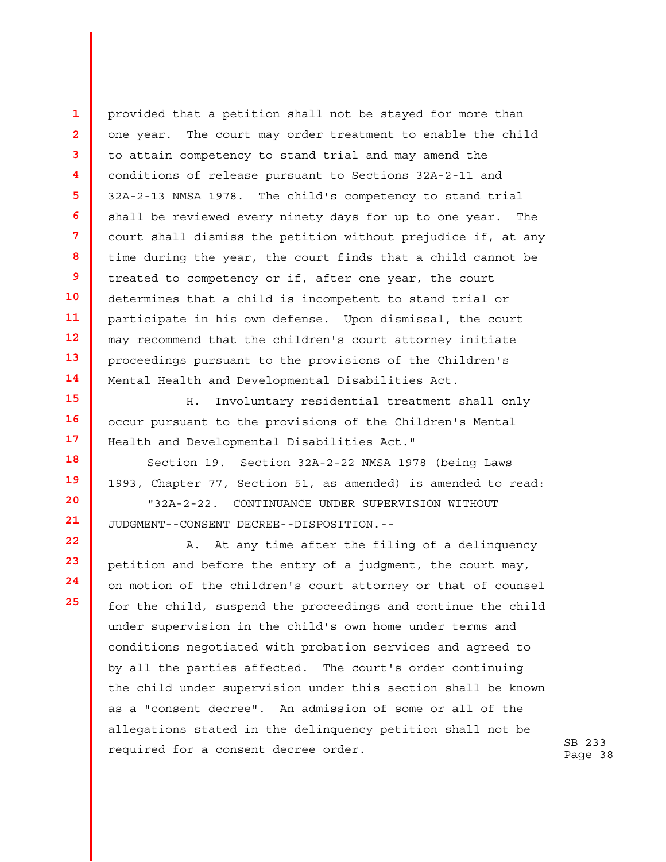provided that a petition shall not be stayed for more than one year. The court may order treatment to enable the child to attain competency to stand trial and may amend the conditions of release pursuant to Sections 32A-2-11 and 32A-2-13 NMSA 1978. The child's competency to stand trial shall be reviewed every ninety days for up to one year. The court shall dismiss the petition without prejudice if, at any time during the year, the court finds that a child cannot be treated to competency or if, after one year, the court determines that a child is incompetent to stand trial or participate in his own defense. Upon dismissal, the court may recommend that the children's court attorney initiate proceedings pursuant to the provisions of the Children's Mental Health and Developmental Disabilities Act.

H. Involuntary residential treatment shall only occur pursuant to the provisions of the Children's Mental Health and Developmental Disabilities Act."

Section 19. Section 32A-2-22 NMSA 1978 (being Laws 1993, Chapter 77, Section 51, as amended) is amended to read:

"32A-2-22. CONTINUANCE UNDER SUPERVISION WITHOUT JUDGMENT--CONSENT DECREE--DISPOSITION.--

A. At any time after the filing of a delinquency petition and before the entry of a judgment, the court may, on motion of the children's court attorney or that of counsel for the child, suspend the proceedings and continue the child under supervision in the child's own home under terms and conditions negotiated with probation services and agreed to by all the parties affected. The court's order continuing the child under supervision under this section shall be known as a "consent decree". An admission of some or all of the allegations stated in the delinquency petition shall not be required for a consent decree order.

SB 233 Page 38

**1 2**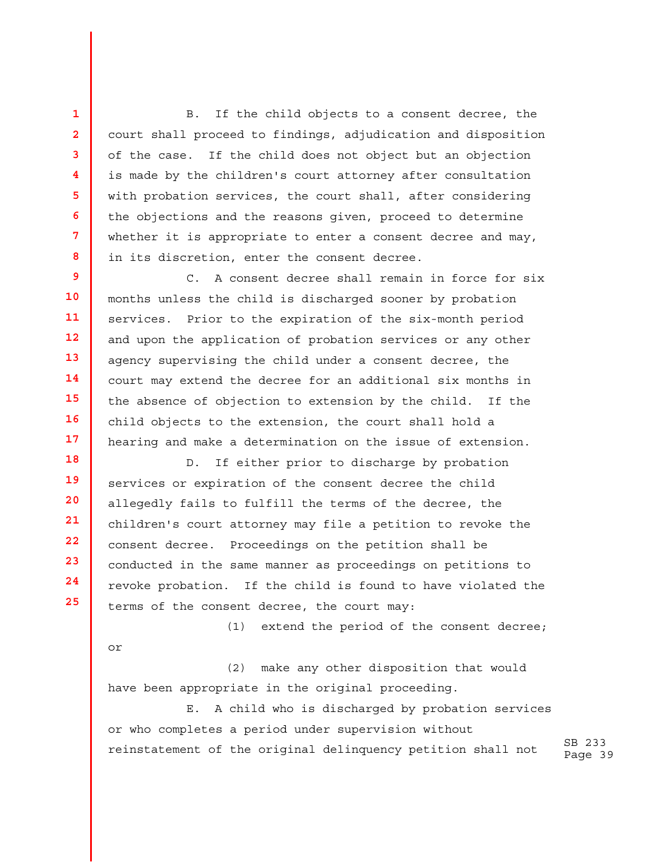B. If the child objects to a consent decree, the court shall proceed to findings, adjudication and disposition of the case. If the child does not object but an objection is made by the children's court attorney after consultation with probation services, the court shall, after considering the objections and the reasons given, proceed to determine whether it is appropriate to enter a consent decree and may, in its discretion, enter the consent decree.

 C. A consent decree shall remain in force for six months unless the child is discharged sooner by probation services. Prior to the expiration of the six-month period and upon the application of probation services or any other agency supervising the child under a consent decree, the court may extend the decree for an additional six months in the absence of objection to extension by the child. If the child objects to the extension, the court shall hold a hearing and make a determination on the issue of extension.

 D. If either prior to discharge by probation services or expiration of the consent decree the child allegedly fails to fulfill the terms of the decree, the children's court attorney may file a petition to revoke the consent decree. Proceedings on the petition shall be conducted in the same manner as proceedings on petitions to revoke probation. If the child is found to have violated the terms of the consent decree, the court may:

or

(1) extend the period of the consent decree;

(2) make any other disposition that would have been appropriate in the original proceeding.

SB 233 E. A child who is discharged by probation services or who completes a period under supervision without reinstatement of the original delinquency petition shall not

Page 39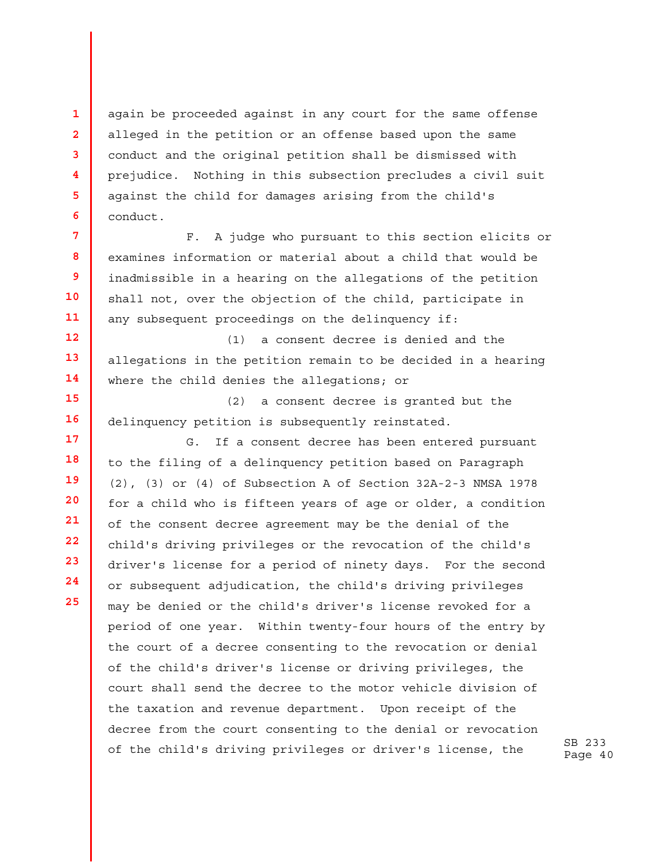again be proceeded against in any court for the same offense alleged in the petition or an offense based upon the same conduct and the original petition shall be dismissed with prejudice. Nothing in this subsection precludes a civil suit against the child for damages arising from the child's conduct.

 F. A judge who pursuant to this section elicits or examines information or material about a child that would be inadmissible in a hearing on the allegations of the petition shall not, over the objection of the child, participate in any subsequent proceedings on the delinquency if:

(1) a consent decree is denied and the allegations in the petition remain to be decided in a hearing where the child denies the allegations; or

 (2) a consent decree is granted but the delinquency petition is subsequently reinstated.

G. If a consent decree has been entered pursuant to the filing of a delinquency petition based on Paragraph (2), (3) or (4) of Subsection A of Section 32A-2-3 NMSA 1978 for a child who is fifteen years of age or older, a condition of the consent decree agreement may be the denial of the child's driving privileges or the revocation of the child's driver's license for a period of ninety days. For the second or subsequent adjudication, the child's driving privileges may be denied or the child's driver's license revoked for a period of one year. Within twenty-four hours of the entry by the court of a decree consenting to the revocation or denial of the child's driver's license or driving privileges, the court shall send the decree to the motor vehicle division of the taxation and revenue department. Upon receipt of the decree from the court consenting to the denial or revocation of the child's driving privileges or driver's license, the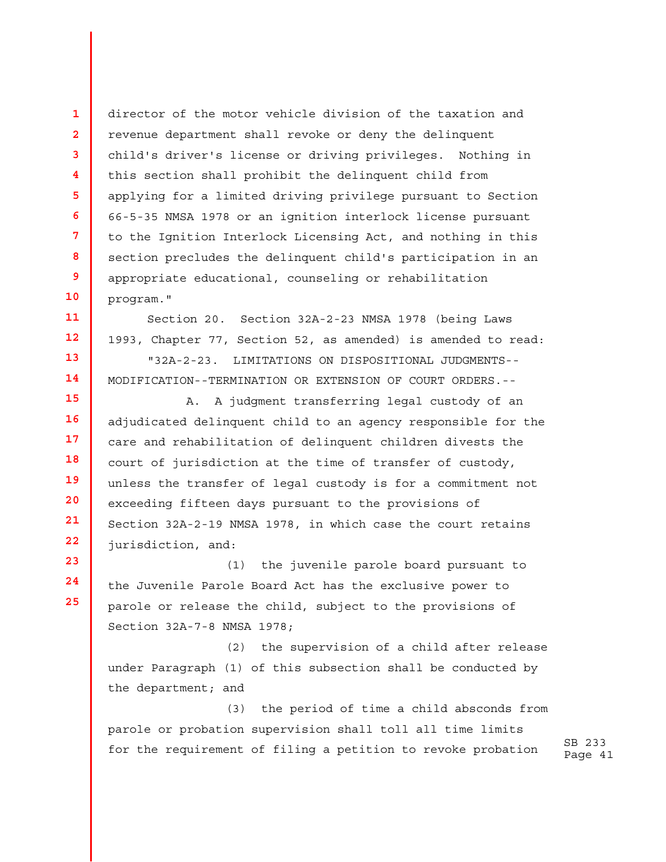director of the motor vehicle division of the taxation and revenue department shall revoke or deny the delinquent child's driver's license or driving privileges. Nothing in this section shall prohibit the delinquent child from applying for a limited driving privilege pursuant to Section 66-5-35 NMSA 1978 or an ignition interlock license pursuant to the Ignition Interlock Licensing Act, and nothing in this section precludes the delinquent child's participation in an appropriate educational, counseling or rehabilitation program."

Section 20. Section 32A-2-23 NMSA 1978 (being Laws 1993, Chapter 77, Section 52, as amended) is amended to read:

"32A-2-23. LIMITATIONS ON DISPOSITIONAL JUDGMENTS-- MODIFICATION--TERMINATION OR EXTENSION OF COURT ORDERS.--

A. A judgment transferring legal custody of an adjudicated delinquent child to an agency responsible for the care and rehabilitation of delinquent children divests the court of jurisdiction at the time of transfer of custody, unless the transfer of legal custody is for a commitment not exceeding fifteen days pursuant to the provisions of Section 32A-2-19 NMSA 1978, in which case the court retains jurisdiction, and:

(1) the juvenile parole board pursuant to the Juvenile Parole Board Act has the exclusive power to parole or release the child, subject to the provisions of Section 32A-7-8 NMSA 1978;

(2) the supervision of a child after release under Paragraph (1) of this subsection shall be conducted by the department; and

(3) the period of time a child absconds from parole or probation supervision shall toll all time limits for the requirement of filing a petition to revoke probation

SB 233 Page 41

**1**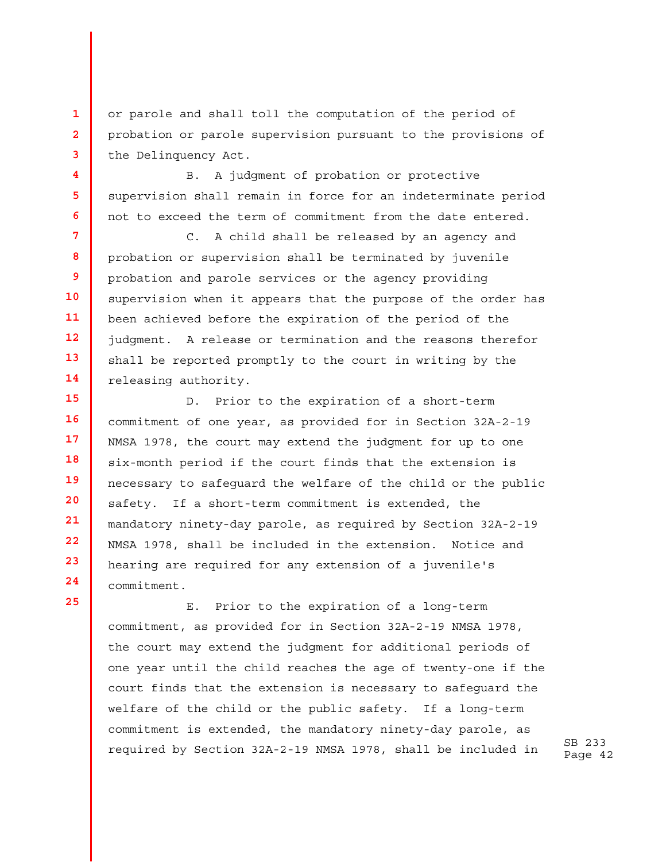or parole and shall toll the computation of the period of probation or parole supervision pursuant to the provisions of the Delinquency Act.

B. A judgment of probation or protective supervision shall remain in force for an indeterminate period not to exceed the term of commitment from the date entered.

C. A child shall be released by an agency and probation or supervision shall be terminated by juvenile probation and parole services or the agency providing supervision when it appears that the purpose of the order has been achieved before the expiration of the period of the judgment. A release or termination and the reasons therefor shall be reported promptly to the court in writing by the releasing authority.

D. Prior to the expiration of a short-term commitment of one year, as provided for in Section 32A-2-19 NMSA 1978, the court may extend the judgment for up to one six-month period if the court finds that the extension is necessary to safeguard the welfare of the child or the public safety. If a short-term commitment is extended, the mandatory ninety-day parole, as required by Section 32A-2-19 NMSA 1978, shall be included in the extension. Notice and hearing are required for any extension of a juvenile's commitment.

E. Prior to the expiration of a long-term commitment, as provided for in Section 32A-2-19 NMSA 1978, the court may extend the judgment for additional periods of one year until the child reaches the age of twenty-one if the court finds that the extension is necessary to safeguard the welfare of the child or the public safety. If a long-term commitment is extended, the mandatory ninety-day parole, as required by Section 32A-2-19 NMSA 1978, shall be included in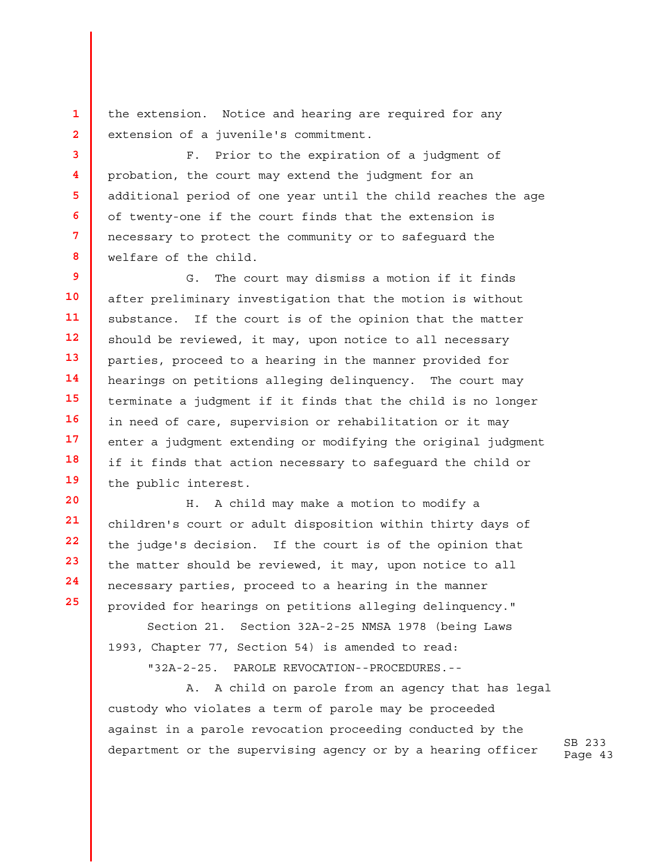**1 2**  the extension. Notice and hearing are required for any extension of a juvenile's commitment.

 F. Prior to the expiration of a judgment of probation, the court may extend the judgment for an additional period of one year until the child reaches the age of twenty-one if the court finds that the extension is necessary to protect the community or to safeguard the welfare of the child.

G. The court may dismiss a motion if it finds after preliminary investigation that the motion is without substance. If the court is of the opinion that the matter should be reviewed, it may, upon notice to all necessary parties, proceed to a hearing in the manner provided for hearings on petitions alleging delinquency. The court may terminate a judgment if it finds that the child is no longer in need of care, supervision or rehabilitation or it may enter a judgment extending or modifying the original judgment if it finds that action necessary to safeguard the child or the public interest.

H. A child may make a motion to modify a children's court or adult disposition within thirty days of the judge's decision. If the court is of the opinion that the matter should be reviewed, it may, upon notice to all necessary parties, proceed to a hearing in the manner provided for hearings on petitions alleging delinquency."

Section 21. Section 32A-2-25 NMSA 1978 (being Laws 1993, Chapter 77, Section 54) is amended to read:

"32A-2-25. PAROLE REVOCATION--PROCEDURES.--

SB 233 Page 43 A. A child on parole from an agency that has legal custody who violates a term of parole may be proceeded against in a parole revocation proceeding conducted by the department or the supervising agency or by a hearing officer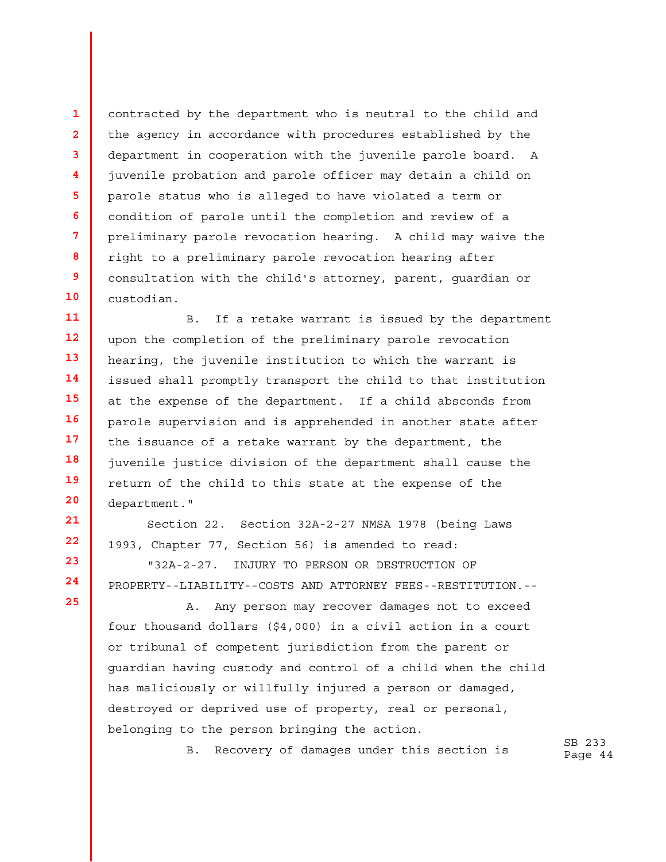contracted by the department who is neutral to the child and the agency in accordance with procedures established by the department in cooperation with the juvenile parole board. A juvenile probation and parole officer may detain a child on parole status who is alleged to have violated a term or condition of parole until the completion and review of a preliminary parole revocation hearing. A child may waive the right to a preliminary parole revocation hearing after consultation with the child's attorney, parent, guardian or custodian.

B. If a retake warrant is issued by the department upon the completion of the preliminary parole revocation hearing, the juvenile institution to which the warrant is issued shall promptly transport the child to that institution at the expense of the department. If a child absconds from parole supervision and is apprehended in another state after the issuance of a retake warrant by the department, the juvenile justice division of the department shall cause the return of the child to this state at the expense of the department."

Section 22. Section 32A-2-27 NMSA 1978 (being Laws 1993, Chapter 77, Section 56) is amended to read:

"32A-2-27. INJURY TO PERSON OR DESTRUCTION OF PROPERTY--LIABILITY--COSTS AND ATTORNEY FEES--RESTITUTION.--

A. Any person may recover damages not to exceed four thousand dollars (\$4,000) in a civil action in a court or tribunal of competent jurisdiction from the parent or guardian having custody and control of a child when the child has maliciously or willfully injured a person or damaged, destroyed or deprived use of property, real or personal, belonging to the person bringing the action.

> SB 233 Page 44 B. Recovery of damages under this section is

**1 2**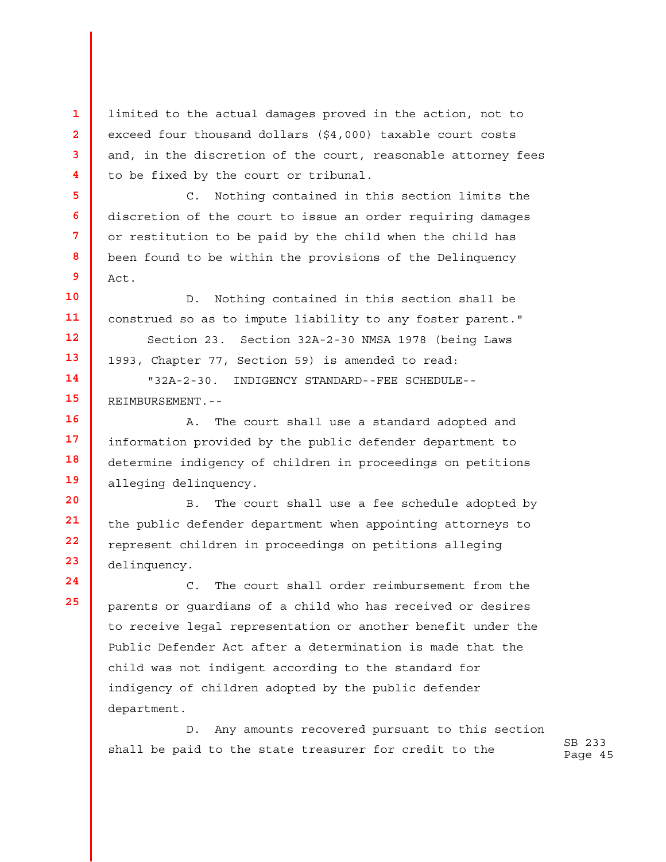limited to the actual damages proved in the action, not to exceed four thousand dollars (\$4,000) taxable court costs and, in the discretion of the court, reasonable attorney fees to be fixed by the court or tribunal.

C. Nothing contained in this section limits the discretion of the court to issue an order requiring damages or restitution to be paid by the child when the child has been found to be within the provisions of the Delinquency Act.

D. Nothing contained in this section shall be construed so as to impute liability to any foster parent."

Section 23. Section 32A-2-30 NMSA 1978 (being Laws 1993, Chapter 77, Section 59) is amended to read:

"32A-2-30. INDIGENCY STANDARD--FEE SCHEDULE-- REIMBURSEMENT.--

A. The court shall use a standard adopted and information provided by the public defender department to determine indigency of children in proceedings on petitions alleging delinquency.

B. The court shall use a fee schedule adopted by the public defender department when appointing attorneys to represent children in proceedings on petitions alleging delinquency.

C. The court shall order reimbursement from the parents or guardians of a child who has received or desires to receive legal representation or another benefit under the Public Defender Act after a determination is made that the child was not indigent according to the standard for indigency of children adopted by the public defender department.

SB 233 Page 45 D. Any amounts recovered pursuant to this section shall be paid to the state treasurer for credit to the

**1 2**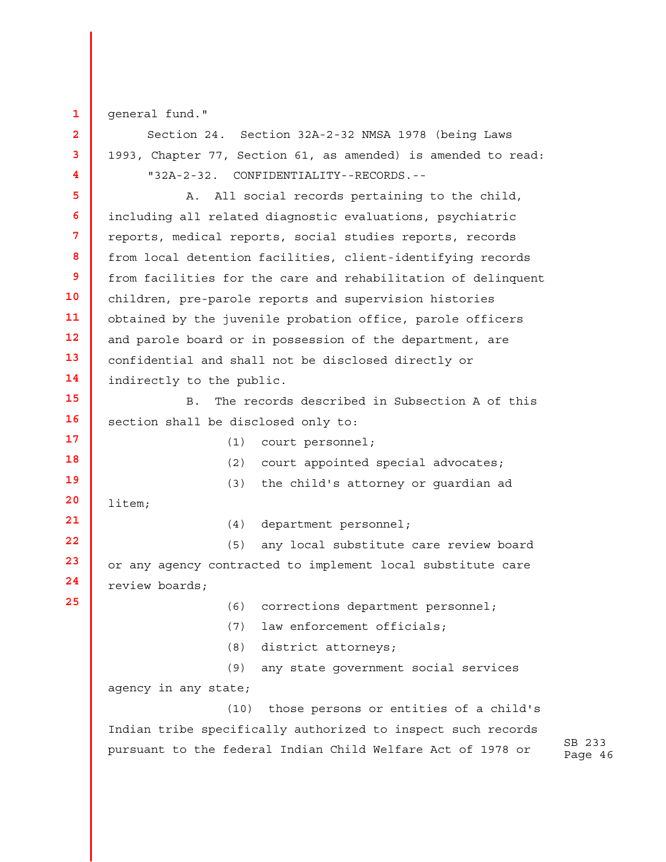general fund."

Section 24. Section 32A-2-32 NMSA 1978 (being Laws 1993, Chapter 77, Section 61, as amended) is amended to read: "32A-2-32. CONFIDENTIALITY--RECORDS.--

A. All social records pertaining to the child, including all related diagnostic evaluations, psychiatric reports, medical reports, social studies reports, records from local detention facilities, client-identifying records from facilities for the care and rehabilitation of delinquent children, pre-parole reports and supervision histories obtained by the juvenile probation office, parole officers and parole board or in possession of the department, are confidential and shall not be disclosed directly or indirectly to the public.

B. The records described in Subsection A of this section shall be disclosed only to:

(1) court personnel;

(2) court appointed special advocates;

(3) the child's attorney or guardian ad

litem;

(4) department personnel;

(5) any local substitute care review board or any agency contracted to implement local substitute care review boards;

(6) corrections department personnel;

(7) law enforcement officials;

(8) district attorneys;

(9) any state government social services

agency in any state;

(10) those persons or entities of a child's Indian tribe specifically authorized to inspect such records pursuant to the federal Indian Child Welfare Act of 1978 or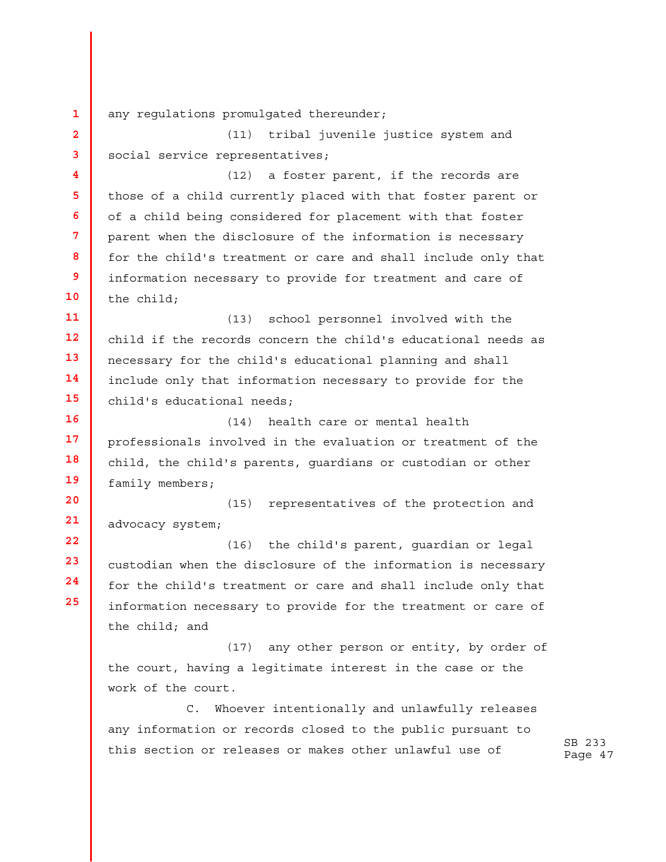**1**  any regulations promulgated thereunder;

(11) tribal juvenile justice system and social service representatives;

(12) a foster parent, if the records are those of a child currently placed with that foster parent or of a child being considered for placement with that foster parent when the disclosure of the information is necessary for the child's treatment or care and shall include only that information necessary to provide for treatment and care of the child;

(13) school personnel involved with the child if the records concern the child's educational needs as necessary for the child's educational planning and shall include only that information necessary to provide for the child's educational needs;

(14) health care or mental health professionals involved in the evaluation or treatment of the child, the child's parents, guardians or custodian or other family members;

(15) representatives of the protection and advocacy system;

(16) the child's parent, guardian or legal custodian when the disclosure of the information is necessary for the child's treatment or care and shall include only that information necessary to provide for the treatment or care of the child; and

(17) any other person or entity, by order of the court, having a legitimate interest in the case or the work of the court.

C. Whoever intentionally and unlawfully releases any information or records closed to the public pursuant to this section or releases or makes other unlawful use of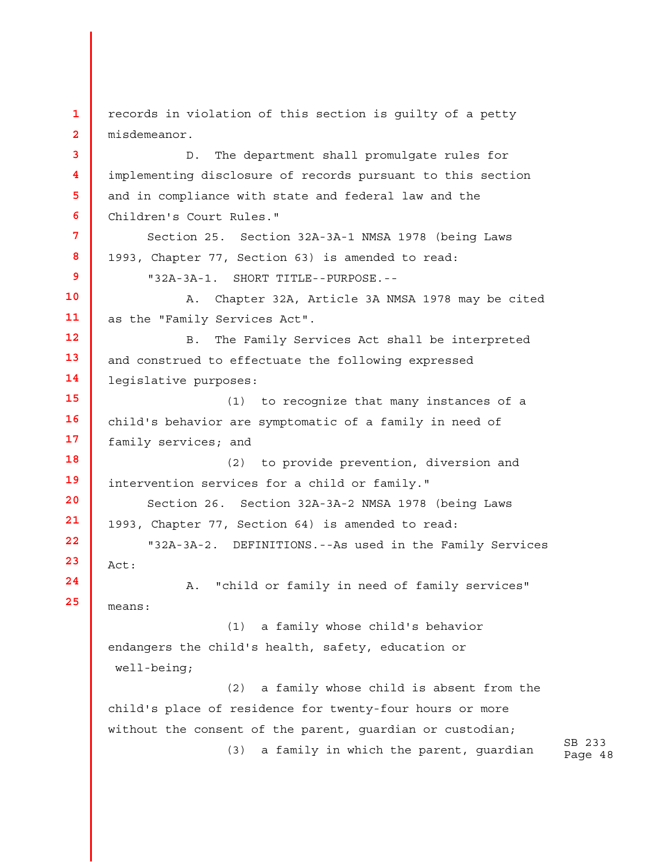SB 233 Page 48 **1 2 3 4 5 6 7 8 9 10 11 12 13 14 15 16 17 18 19 20 21 22 23 24 25**  records in violation of this section is guilty of a petty misdemeanor. D. The department shall promulgate rules for implementing disclosure of records pursuant to this section and in compliance with state and federal law and the Children's Court Rules." Section 25. Section 32A-3A-1 NMSA 1978 (being Laws 1993, Chapter 77, Section 63) is amended to read: "32A-3A-1. SHORT TITLE--PURPOSE.-- A. Chapter 32A, Article 3A NMSA 1978 may be cited as the "Family Services Act". B. The Family Services Act shall be interpreted and construed to effectuate the following expressed legislative purposes: (1) to recognize that many instances of a child's behavior are symptomatic of a family in need of family services; and (2) to provide prevention, diversion and intervention services for a child or family." Section 26. Section 32A-3A-2 NMSA 1978 (being Laws 1993, Chapter 77, Section 64) is amended to read: "32A-3A-2. DEFINITIONS.--As used in the Family Services Act: A. "child or family in need of family services" means: (1) a family whose child's behavior endangers the child's health, safety, education or well-being; (2) a family whose child is absent from the child's place of residence for twenty-four hours or more without the consent of the parent, guardian or custodian; (3) a family in which the parent, guardian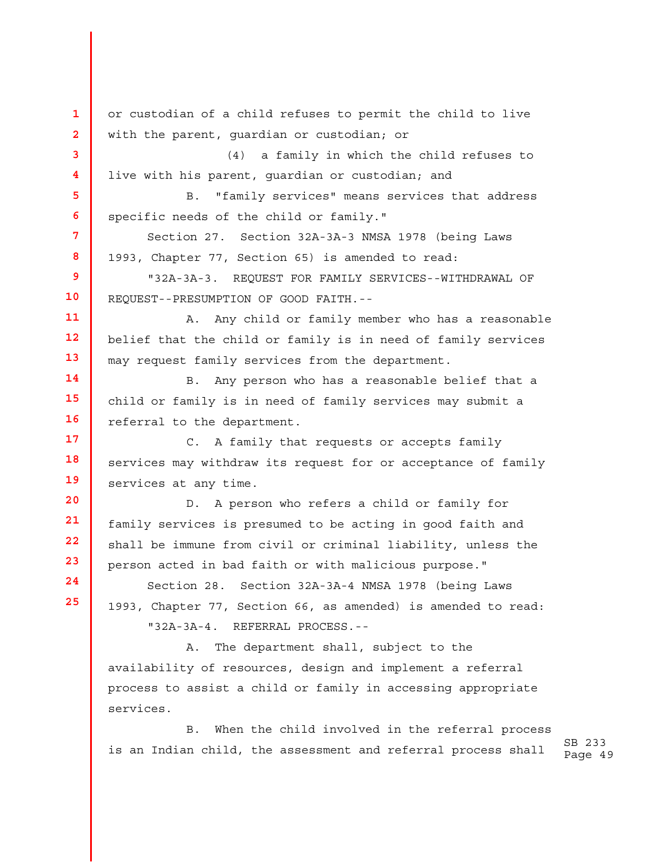or custodian of a child refuses to permit the child to live with the parent, guardian or custodian; or

(4) a family in which the child refuses to live with his parent, guardian or custodian; and

B. "family services" means services that address specific needs of the child or family."

Section 27. Section 32A-3A-3 NMSA 1978 (being Laws 1993, Chapter 77, Section 65) is amended to read:

"32A-3A-3. REQUEST FOR FAMILY SERVICES--WITHDRAWAL OF REQUEST--PRESUMPTION OF GOOD FAITH.--

A. Any child or family member who has a reasonable belief that the child or family is in need of family services may request family services from the department.

B. Any person who has a reasonable belief that a child or family is in need of family services may submit a referral to the department.

C. A family that requests or accepts family services may withdraw its request for or acceptance of family services at any time.

D. A person who refers a child or family for family services is presumed to be acting in good faith and shall be immune from civil or criminal liability, unless the person acted in bad faith or with malicious purpose."

Section 28. Section 32A-3A-4 NMSA 1978 (being Laws 1993, Chapter 77, Section 66, as amended) is amended to read:

"32A-3A-4. REFERRAL PROCESS.--

A. The department shall, subject to the availability of resources, design and implement a referral process to assist a child or family in accessing appropriate services.

SB 233 Page 49 B. When the child involved in the referral process is an Indian child, the assessment and referral process shall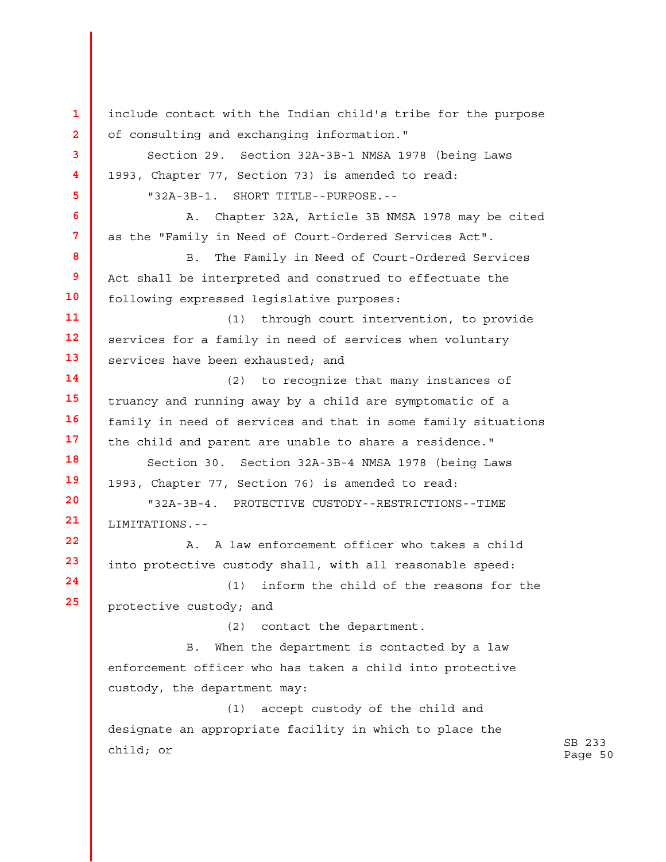SB 233 Page 50 **1 2 3 4 5 6 7 8 9 10 11 12 13 14 15 16 17 18 19 20 21 22 23 24 25**  include contact with the Indian child's tribe for the purpose of consulting and exchanging information." Section 29. Section 32A-3B-1 NMSA 1978 (being Laws 1993, Chapter 77, Section 73) is amended to read: "32A-3B-1. SHORT TITLE--PURPOSE.-- A. Chapter 32A, Article 3B NMSA 1978 may be cited as the "Family in Need of Court-Ordered Services Act". B. The Family in Need of Court-Ordered Services Act shall be interpreted and construed to effectuate the following expressed legislative purposes: (1) through court intervention, to provide services for a family in need of services when voluntary services have been exhausted; and (2) to recognize that many instances of truancy and running away by a child are symptomatic of a family in need of services and that in some family situations the child and parent are unable to share a residence." Section 30. Section 32A-3B-4 NMSA 1978 (being Laws 1993, Chapter 77, Section 76) is amended to read: "32A-3B-4. PROTECTIVE CUSTODY--RESTRICTIONS--TIME LIMITATIONS.-- A. A law enforcement officer who takes a child into protective custody shall, with all reasonable speed: (1) inform the child of the reasons for the protective custody; and (2) contact the department. B. When the department is contacted by a law enforcement officer who has taken a child into protective custody, the department may: (1) accept custody of the child and designate an appropriate facility in which to place the child; or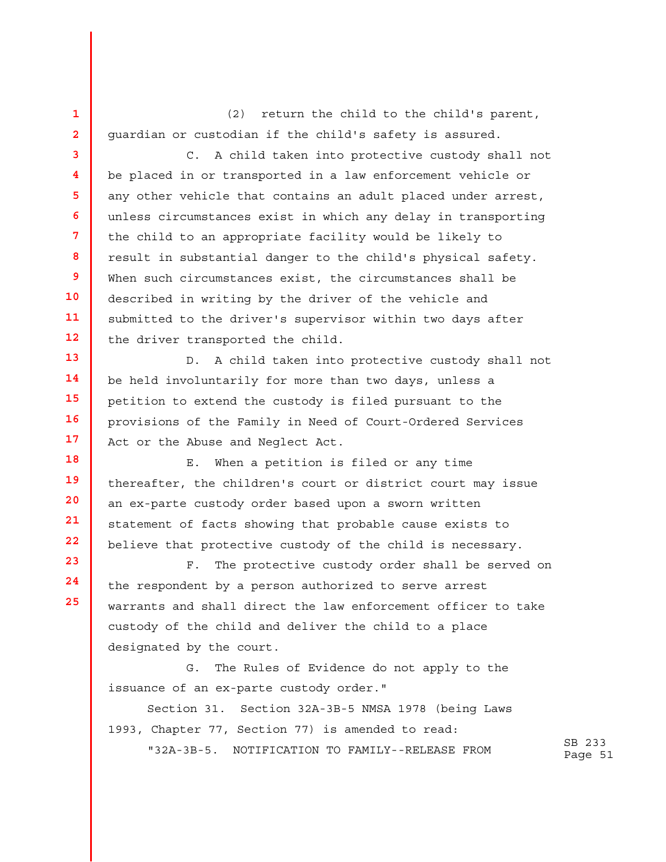(2) return the child to the child's parent, guardian or custodian if the child's safety is assured.

C. A child taken into protective custody shall not be placed in or transported in a law enforcement vehicle or any other vehicle that contains an adult placed under arrest, unless circumstances exist in which any delay in transporting the child to an appropriate facility would be likely to result in substantial danger to the child's physical safety. When such circumstances exist, the circumstances shall be described in writing by the driver of the vehicle and submitted to the driver's supervisor within two days after the driver transported the child.

D. A child taken into protective custody shall not be held involuntarily for more than two days, unless a petition to extend the custody is filed pursuant to the provisions of the Family in Need of Court-Ordered Services Act or the Abuse and Neglect Act.

E. When a petition is filed or any time thereafter, the children's court or district court may issue an ex-parte custody order based upon a sworn written statement of facts showing that probable cause exists to believe that protective custody of the child is necessary.

F. The protective custody order shall be served on the respondent by a person authorized to serve arrest warrants and shall direct the law enforcement officer to take custody of the child and deliver the child to a place designated by the court.

G. The Rules of Evidence do not apply to the issuance of an ex-parte custody order."

Section 31. Section 32A-3B-5 NMSA 1978 (being Laws 1993, Chapter 77, Section 77) is amended to read:

"32A-3B-5. NOTIFICATION TO FAMILY--RELEASE FROM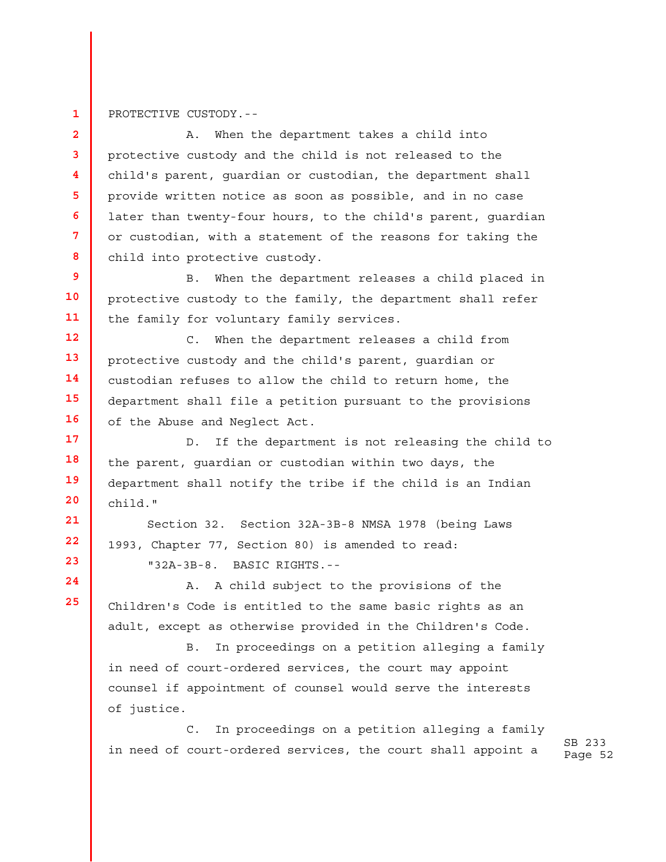PROTECTIVE CUSTODY.--

A. When the department takes a child into protective custody and the child is not released to the child's parent, guardian or custodian, the department shall provide written notice as soon as possible, and in no case later than twenty-four hours, to the child's parent, guardian or custodian, with a statement of the reasons for taking the child into protective custody.

B. When the department releases a child placed in protective custody to the family, the department shall refer the family for voluntary family services.

C. When the department releases a child from protective custody and the child's parent, guardian or custodian refuses to allow the child to return home, the department shall file a petition pursuant to the provisions of the Abuse and Neglect Act.

D. If the department is not releasing the child to the parent, guardian or custodian within two days, the department shall notify the tribe if the child is an Indian child."

Section 32. Section 32A-3B-8 NMSA 1978 (being Laws 1993, Chapter 77, Section 80) is amended to read:

"32A-3B-8. BASIC RIGHTS.--

A. A child subject to the provisions of the Children's Code is entitled to the same basic rights as an adult, except as otherwise provided in the Children's Code.

B. In proceedings on a petition alleging a family in need of court-ordered services, the court may appoint counsel if appointment of counsel would serve the interests of justice.

C. In proceedings on a petition alleging a family in need of court-ordered services, the court shall appoint a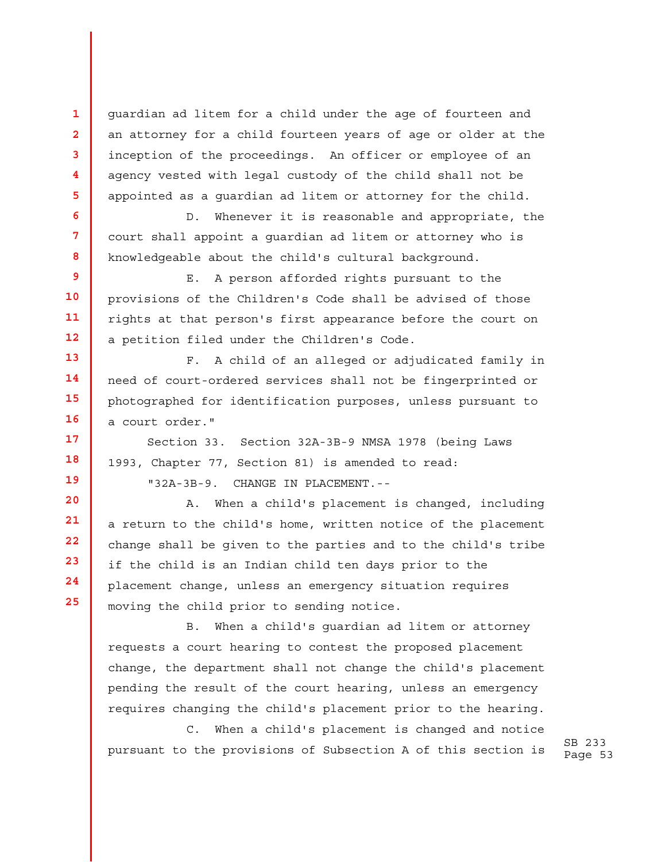guardian ad litem for a child under the age of fourteen and an attorney for a child fourteen years of age or older at the inception of the proceedings. An officer or employee of an agency vested with legal custody of the child shall not be appointed as a guardian ad litem or attorney for the child.

D. Whenever it is reasonable and appropriate, the court shall appoint a guardian ad litem or attorney who is knowledgeable about the child's cultural background.

E. A person afforded rights pursuant to the provisions of the Children's Code shall be advised of those rights at that person's first appearance before the court on a petition filed under the Children's Code.

F. A child of an alleged or adjudicated family in need of court-ordered services shall not be fingerprinted or photographed for identification purposes, unless pursuant to a court order."

Section 33. Section 32A-3B-9 NMSA 1978 (being Laws 1993, Chapter 77, Section 81) is amended to read:

"32A-3B-9. CHANGE IN PLACEMENT.--

A. When a child's placement is changed, including a return to the child's home, written notice of the placement change shall be given to the parties and to the child's tribe if the child is an Indian child ten days prior to the placement change, unless an emergency situation requires moving the child prior to sending notice.

B. When a child's guardian ad litem or attorney requests a court hearing to contest the proposed placement change, the department shall not change the child's placement pending the result of the court hearing, unless an emergency requires changing the child's placement prior to the hearing.

C. When a child's placement is changed and notice pursuant to the provisions of Subsection A of this section is

SB 233 Page 53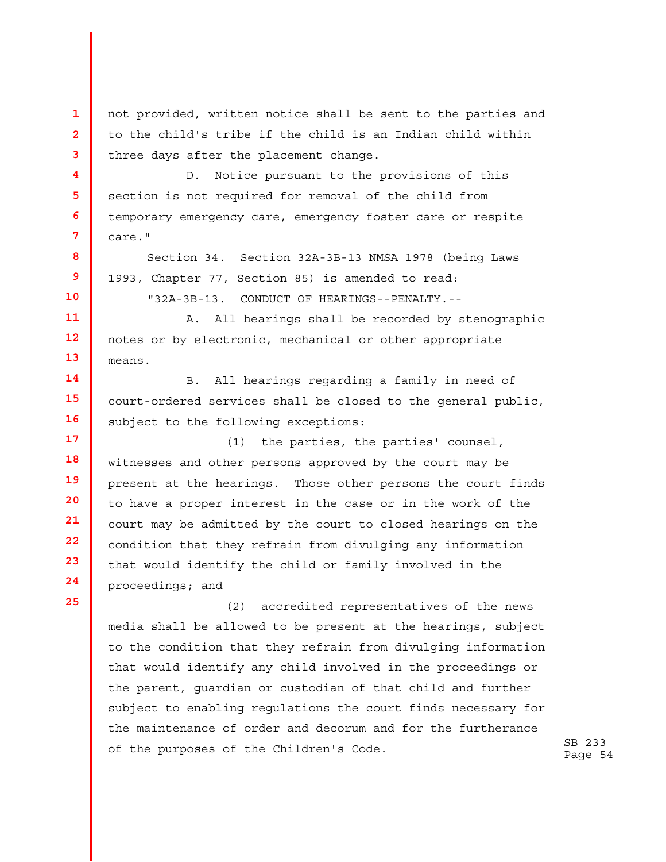**1 2 3**  not provided, written notice shall be sent to the parties and to the child's tribe if the child is an Indian child within three days after the placement change.

D. Notice pursuant to the provisions of this section is not required for removal of the child from temporary emergency care, emergency foster care or respite care."

Section 34. Section 32A-3B-13 NMSA 1978 (being Laws 1993, Chapter 77, Section 85) is amended to read:

"32A-3B-13. CONDUCT OF HEARINGS--PENALTY.--

A. All hearings shall be recorded by stenographic notes or by electronic, mechanical or other appropriate means.

B. All hearings regarding a family in need of court-ordered services shall be closed to the general public, subject to the following exceptions:

(1) the parties, the parties' counsel, witnesses and other persons approved by the court may be present at the hearings. Those other persons the court finds to have a proper interest in the case or in the work of the court may be admitted by the court to closed hearings on the condition that they refrain from divulging any information that would identify the child or family involved in the proceedings; and

(2) accredited representatives of the news media shall be allowed to be present at the hearings, subject to the condition that they refrain from divulging information that would identify any child involved in the proceedings or the parent, guardian or custodian of that child and further subject to enabling regulations the court finds necessary for the maintenance of order and decorum and for the furtherance of the purposes of the Children's Code.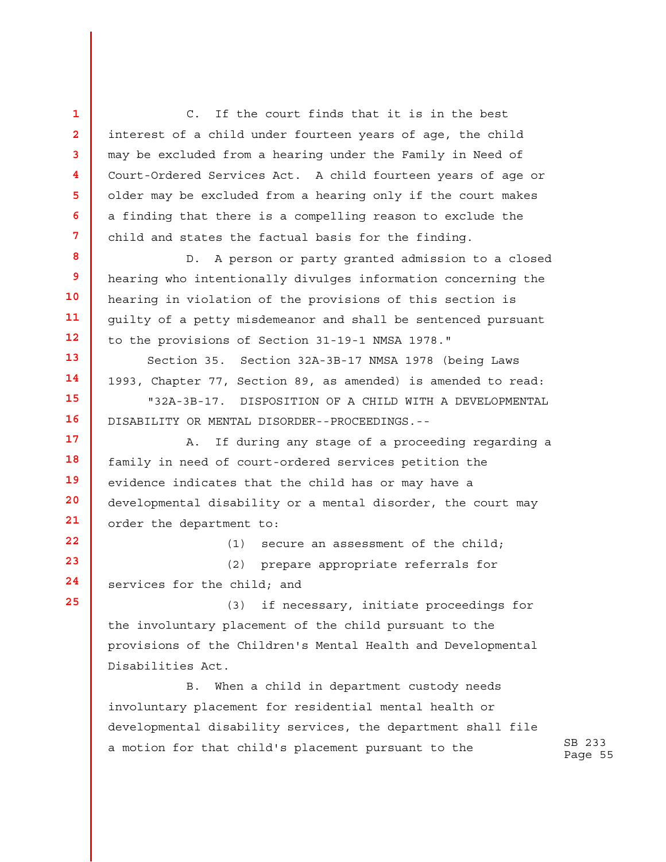C. If the court finds that it is in the best interest of a child under fourteen years of age, the child may be excluded from a hearing under the Family in Need of Court-Ordered Services Act. A child fourteen years of age or older may be excluded from a hearing only if the court makes a finding that there is a compelling reason to exclude the child and states the factual basis for the finding.

D. A person or party granted admission to a closed hearing who intentionally divulges information concerning the hearing in violation of the provisions of this section is guilty of a petty misdemeanor and shall be sentenced pursuant to the provisions of Section 31-19-1 NMSA 1978."

Section 35. Section 32A-3B-17 NMSA 1978 (being Laws 1993, Chapter 77, Section 89, as amended) is amended to read:

"32A-3B-17. DISPOSITION OF A CHILD WITH A DEVELOPMENTAL DISABILITY OR MENTAL DISORDER--PROCEEDINGS.--

A. If during any stage of a proceeding regarding a family in need of court-ordered services petition the evidence indicates that the child has or may have a developmental disability or a mental disorder, the court may order the department to:

(1) secure an assessment of the child;

(2) prepare appropriate referrals for services for the child; and

(3) if necessary, initiate proceedings for the involuntary placement of the child pursuant to the provisions of the Children's Mental Health and Developmental Disabilities Act.

SB 233 B. When a child in department custody needs involuntary placement for residential mental health or developmental disability services, the department shall file a motion for that child's placement pursuant to the

Page 55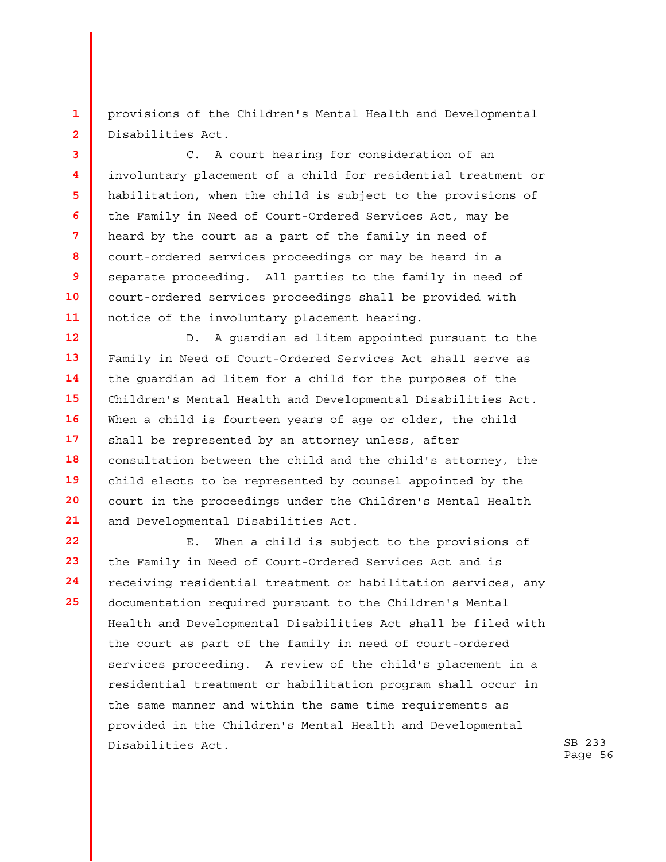**1 2**  provisions of the Children's Mental Health and Developmental Disabilities Act.

C. A court hearing for consideration of an involuntary placement of a child for residential treatment or habilitation, when the child is subject to the provisions of the Family in Need of Court-Ordered Services Act, may be heard by the court as a part of the family in need of court-ordered services proceedings or may be heard in a separate proceeding. All parties to the family in need of court-ordered services proceedings shall be provided with notice of the involuntary placement hearing.

D. A guardian ad litem appointed pursuant to the Family in Need of Court-Ordered Services Act shall serve as the guardian ad litem for a child for the purposes of the Children's Mental Health and Developmental Disabilities Act. When a child is fourteen years of age or older, the child shall be represented by an attorney unless, after consultation between the child and the child's attorney, the child elects to be represented by counsel appointed by the court in the proceedings under the Children's Mental Health and Developmental Disabilities Act.

E. When a child is subject to the provisions of the Family in Need of Court-Ordered Services Act and is receiving residential treatment or habilitation services, any documentation required pursuant to the Children's Mental Health and Developmental Disabilities Act shall be filed with the court as part of the family in need of court-ordered services proceeding. A review of the child's placement in a residential treatment or habilitation program shall occur in the same manner and within the same time requirements as provided in the Children's Mental Health and Developmental Disabilities Act.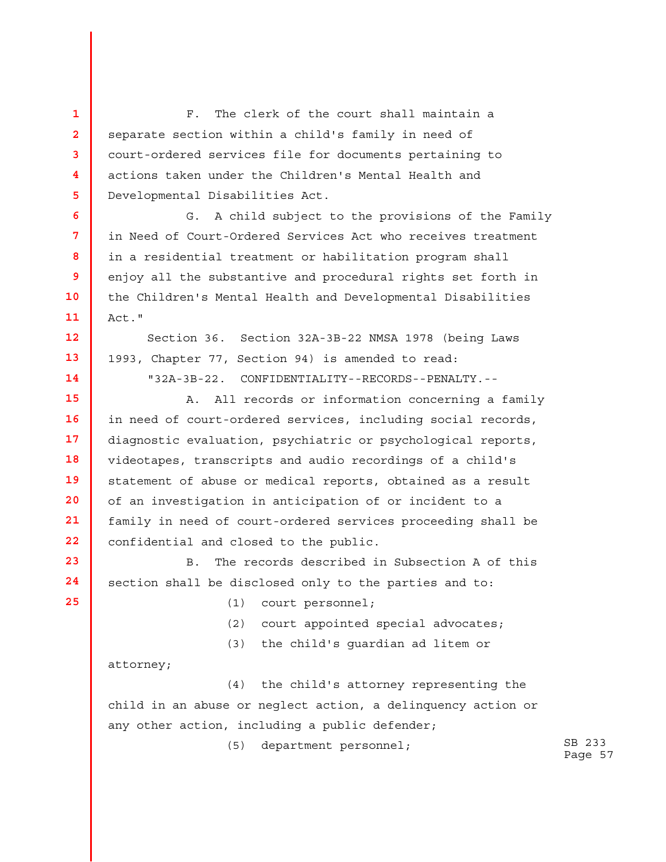**1 2 3 4 5**  F. The clerk of the court shall maintain a separate section within a child's family in need of court-ordered services file for documents pertaining to actions taken under the Children's Mental Health and Developmental Disabilities Act.

G. A child subject to the provisions of the Family in Need of Court-Ordered Services Act who receives treatment in a residential treatment or habilitation program shall enjoy all the substantive and procedural rights set forth in the Children's Mental Health and Developmental Disabilities Act."

Section 36. Section 32A-3B-22 NMSA 1978 (being Laws 1993, Chapter 77, Section 94) is amended to read:

"32A-3B-22. CONFIDENTIALITY--RECORDS--PENALTY.--

A. All records or information concerning a family in need of court-ordered services, including social records, diagnostic evaluation, psychiatric or psychological reports, videotapes, transcripts and audio recordings of a child's statement of abuse or medical reports, obtained as a result of an investigation in anticipation of or incident to a family in need of court-ordered services proceeding shall be confidential and closed to the public.

B. The records described in Subsection A of this section shall be disclosed only to the parties and to:

(1) court personnel;

(2) court appointed special advocates;

(3) the child's guardian ad litem or

attorney;

> (4) the child's attorney representing the child in an abuse or neglect action, a delinquency action or any other action, including a public defender;

> > (5) department personnel;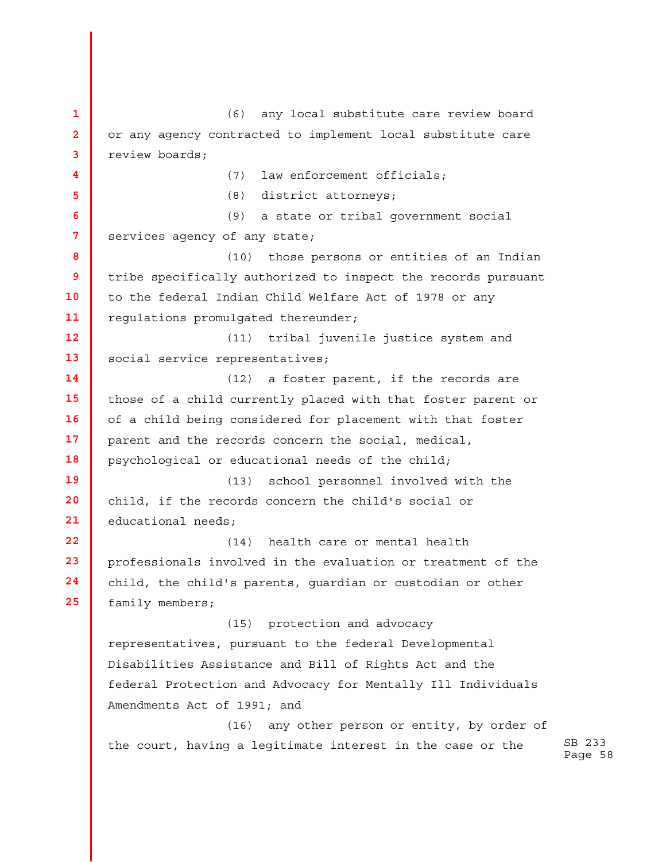SB 233 Page 58 **1 2 3 4 5 6 7 8 9 10 11 12 13 14 15 16 17 18 19 20 21 22 23 24 25**  (6) any local substitute care review board or any agency contracted to implement local substitute care review boards; (7) law enforcement officials; (8) district attorneys; (9) a state or tribal government social services agency of any state; (10) those persons or entities of an Indian tribe specifically authorized to inspect the records pursuant to the federal Indian Child Welfare Act of 1978 or any regulations promulgated thereunder; (11) tribal juvenile justice system and social service representatives; (12) a foster parent, if the records are those of a child currently placed with that foster parent or of a child being considered for placement with that foster parent and the records concern the social, medical, psychological or educational needs of the child; (13) school personnel involved with the child, if the records concern the child's social or educational needs; (14) health care or mental health professionals involved in the evaluation or treatment of the child, the child's parents, guardian or custodian or other family members; (15) protection and advocacy representatives, pursuant to the federal Developmental Disabilities Assistance and Bill of Rights Act and the federal Protection and Advocacy for Mentally Ill Individuals Amendments Act of 1991; and (16) any other person or entity, by order of the court, having a legitimate interest in the case or the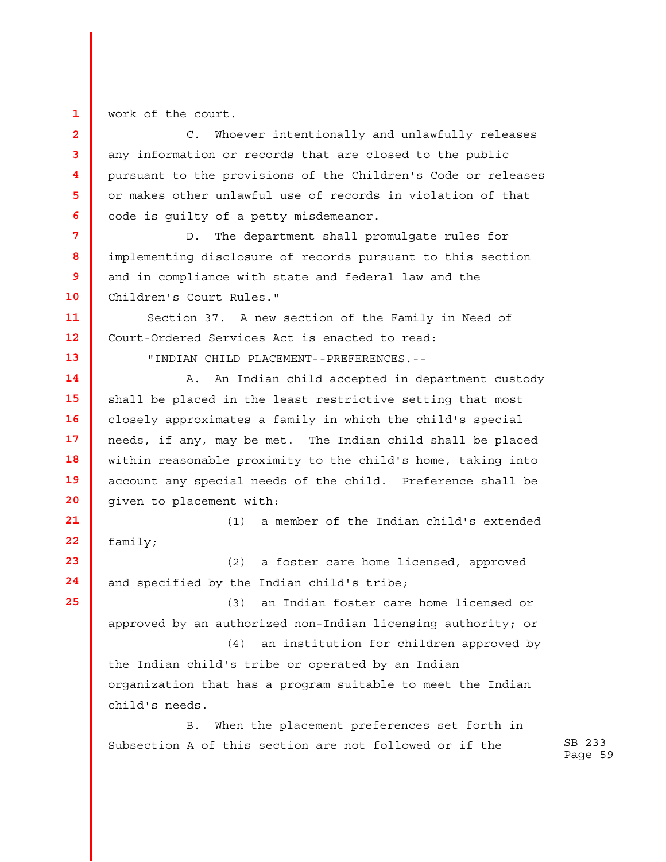work of the court.

C. Whoever intentionally and unlawfully releases any information or records that are closed to the public pursuant to the provisions of the Children's Code or releases or makes other unlawful use of records in violation of that code is guilty of a petty misdemeanor.

D. The department shall promulgate rules for implementing disclosure of records pursuant to this section and in compliance with state and federal law and the Children's Court Rules."

Section 37. A new section of the Family in Need of Court-Ordered Services Act is enacted to read:

"INDIAN CHILD PLACEMENT--PREFERENCES.--

A. An Indian child accepted in department custody shall be placed in the least restrictive setting that most closely approximates a family in which the child's special needs, if any, may be met. The Indian child shall be placed within reasonable proximity to the child's home, taking into account any special needs of the child. Preference shall be given to placement with:

(1) a member of the Indian child's extended family;

(2) a foster care home licensed, approved and specified by the Indian child's tribe;

(3) an Indian foster care home licensed or approved by an authorized non-Indian licensing authority; or

(4) an institution for children approved by the Indian child's tribe or operated by an Indian organization that has a program suitable to meet the Indian child's needs.

B. When the placement preferences set forth in Subsection A of this section are not followed or if the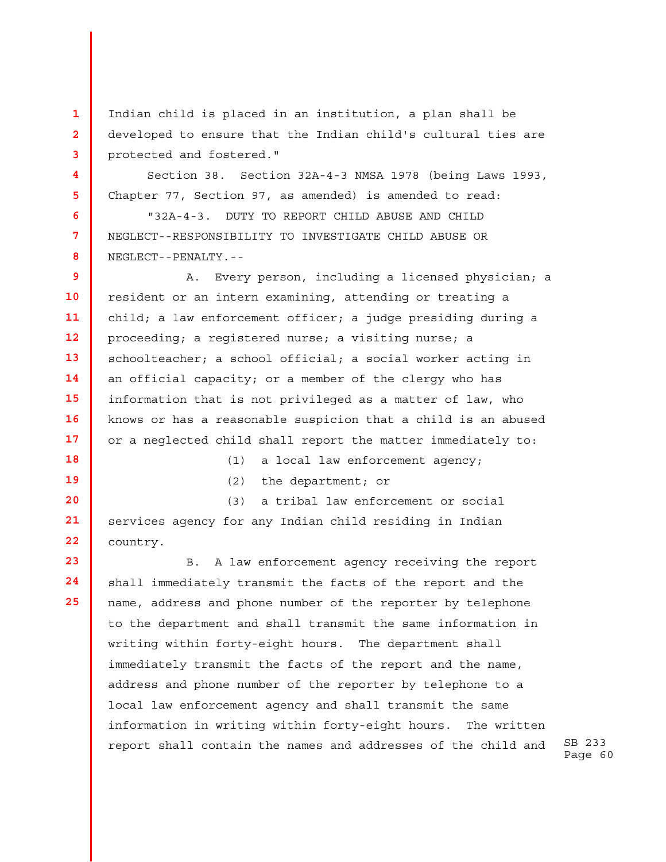Indian child is placed in an institution, a plan shall be developed to ensure that the Indian child's cultural ties are protected and fostered."

Section 38. Section 32A-4-3 NMSA 1978 (being Laws 1993, Chapter 77, Section 97, as amended) is amended to read:

"32A-4-3. DUTY TO REPORT CHILD ABUSE AND CHILD NEGLECT--RESPONSIBILITY TO INVESTIGATE CHILD ABUSE OR NEGLECT--PENALTY.--

A. Every person, including a licensed physician; a resident or an intern examining, attending or treating a child; a law enforcement officer; a judge presiding during a proceeding; a registered nurse; a visiting nurse; a schoolteacher; a school official; a social worker acting in an official capacity; or a member of the clergy who has information that is not privileged as a matter of law, who knows or has a reasonable suspicion that a child is an abused or a neglected child shall report the matter immediately to:

(1) a local law enforcement agency;

(2) the department; or

(3) a tribal law enforcement or social services agency for any Indian child residing in Indian country.

B. A law enforcement agency receiving the report shall immediately transmit the facts of the report and the name, address and phone number of the reporter by telephone to the department and shall transmit the same information in writing within forty-eight hours. The department shall immediately transmit the facts of the report and the name, address and phone number of the reporter by telephone to a local law enforcement agency and shall transmit the same information in writing within forty-eight hours. The written report shall contain the names and addresses of the child and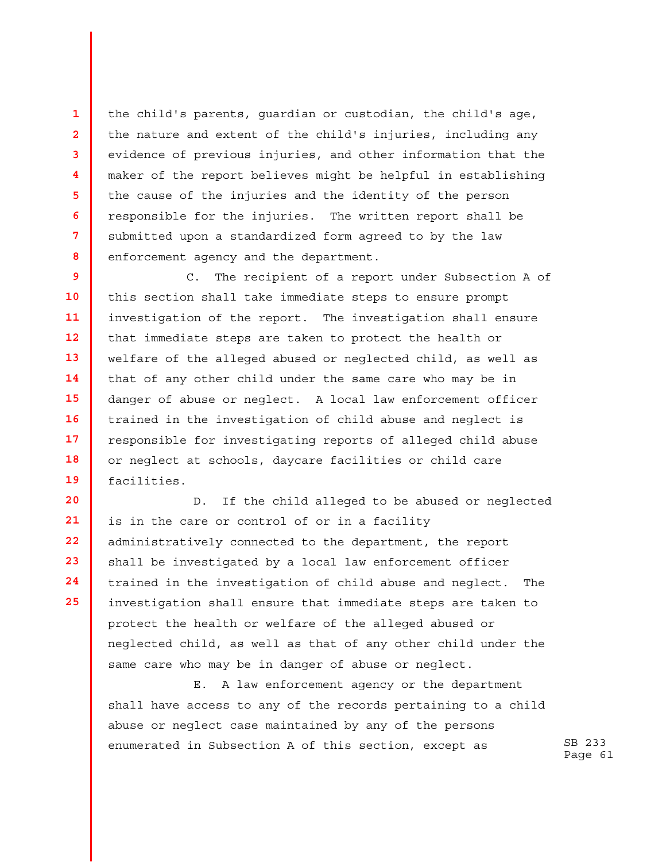the child's parents, guardian or custodian, the child's age, the nature and extent of the child's injuries, including any evidence of previous injuries, and other information that the maker of the report believes might be helpful in establishing the cause of the injuries and the identity of the person responsible for the injuries. The written report shall be submitted upon a standardized form agreed to by the law enforcement agency and the department.

**9 10 11 12 13 14 15 16 17 18 19**  C. The recipient of a report under Subsection A of this section shall take immediate steps to ensure prompt investigation of the report. The investigation shall ensure that immediate steps are taken to protect the health or welfare of the alleged abused or neglected child, as well as that of any other child under the same care who may be in danger of abuse or neglect. A local law enforcement officer trained in the investigation of child abuse and neglect is responsible for investigating reports of alleged child abuse or neglect at schools, daycare facilities or child care facilities.

 D. If the child alleged to be abused or neglected is in the care or control of or in a facility administratively connected to the department, the report shall be investigated by a local law enforcement officer trained in the investigation of child abuse and neglect. The investigation shall ensure that immediate steps are taken to protect the health or welfare of the alleged abused or neglected child, as well as that of any other child under the same care who may be in danger of abuse or neglect.

 E. A law enforcement agency or the department shall have access to any of the records pertaining to a child abuse or neglect case maintained by any of the persons enumerated in Subsection A of this section, except as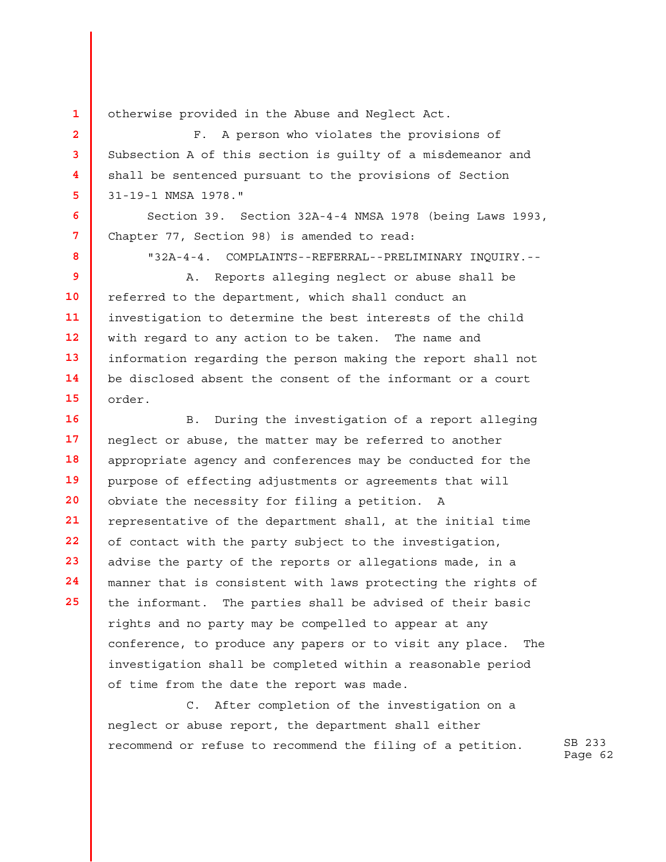otherwise provided in the Abuse and Neglect Act.

 F. A person who violates the provisions of Subsection A of this section is guilty of a misdemeanor and shall be sentenced pursuant to the provisions of Section 31-19-1 NMSA 1978."

Section 39. Section 32A-4-4 NMSA 1978 (being Laws 1993, Chapter 77, Section 98) is amended to read:

"32A-4-4. COMPLAINTS--REFERRAL--PRELIMINARY INQUIRY.--

A. Reports alleging neglect or abuse shall be referred to the department, which shall conduct an investigation to determine the best interests of the child with regard to any action to be taken. The name and information regarding the person making the report shall not be disclosed absent the consent of the informant or a court order.

B. During the investigation of a report alleging neglect or abuse, the matter may be referred to another appropriate agency and conferences may be conducted for the purpose of effecting adjustments or agreements that will obviate the necessity for filing a petition. A representative of the department shall, at the initial time of contact with the party subject to the investigation, advise the party of the reports or allegations made, in a manner that is consistent with laws protecting the rights of the informant. The parties shall be advised of their basic rights and no party may be compelled to appear at any conference, to produce any papers or to visit any place. The investigation shall be completed within a reasonable period of time from the date the report was made.

SB 233 C. After completion of the investigation on a neglect or abuse report, the department shall either recommend or refuse to recommend the filing of a petition.

Page 62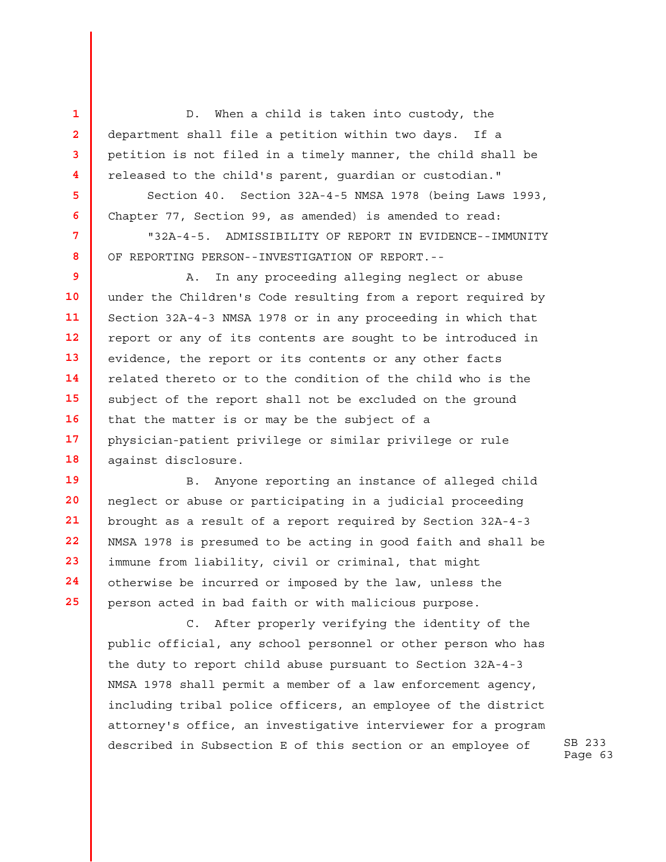D. When a child is taken into custody, the department shall file a petition within two days. If a petition is not filed in a timely manner, the child shall be released to the child's parent, guardian or custodian."

Section 40. Section 32A-4-5 NMSA 1978 (being Laws 1993, Chapter 77, Section 99, as amended) is amended to read:

"32A-4-5. ADMISSIBILITY OF REPORT IN EVIDENCE--IMMUNITY OF REPORTING PERSON--INVESTIGATION OF REPORT.--

A. In any proceeding alleging neglect or abuse under the Children's Code resulting from a report required by Section 32A-4-3 NMSA 1978 or in any proceeding in which that report or any of its contents are sought to be introduced in evidence, the report or its contents or any other facts related thereto or to the condition of the child who is the subject of the report shall not be excluded on the ground that the matter is or may be the subject of a physician-patient privilege or similar privilege or rule against disclosure.

B. Anyone reporting an instance of alleged child neglect or abuse or participating in a judicial proceeding brought as a result of a report required by Section 32A-4-3 NMSA 1978 is presumed to be acting in good faith and shall be immune from liability, civil or criminal, that might otherwise be incurred or imposed by the law, unless the person acted in bad faith or with malicious purpose.

C. After properly verifying the identity of the public official, any school personnel or other person who has the duty to report child abuse pursuant to Section 32A-4-3 NMSA 1978 shall permit a member of a law enforcement agency, including tribal police officers, an employee of the district attorney's office, an investigative interviewer for a program described in Subsection E of this section or an employee of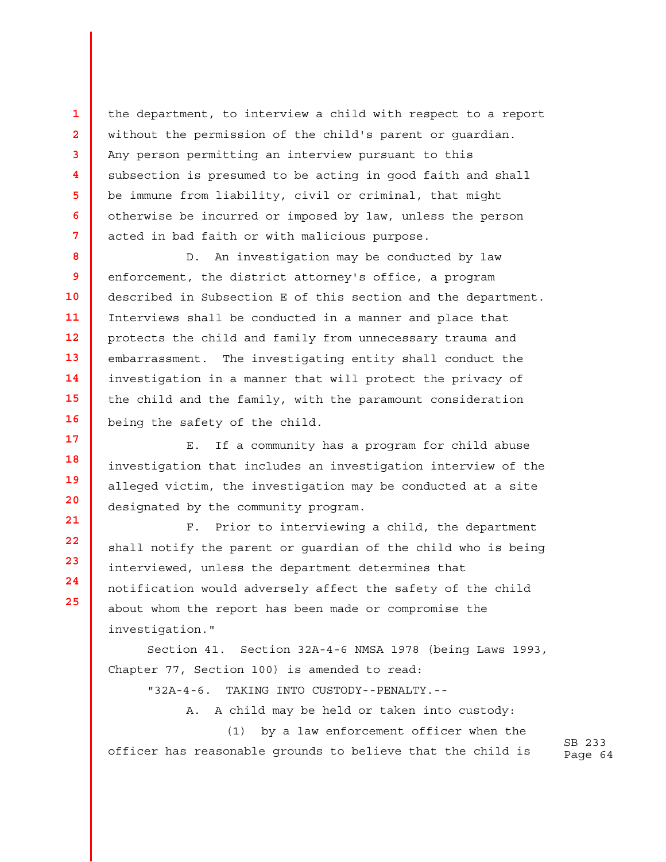the department, to interview a child with respect to a report without the permission of the child's parent or guardian. Any person permitting an interview pursuant to this subsection is presumed to be acting in good faith and shall be immune from liability, civil or criminal, that might otherwise be incurred or imposed by law, unless the person acted in bad faith or with malicious purpose.

D. An investigation may be conducted by law enforcement, the district attorney's office, a program described in Subsection E of this section and the department. Interviews shall be conducted in a manner and place that protects the child and family from unnecessary trauma and embarrassment. The investigating entity shall conduct the investigation in a manner that will protect the privacy of the child and the family, with the paramount consideration being the safety of the child.

E. If a community has a program for child abuse investigation that includes an investigation interview of the alleged victim, the investigation may be conducted at a site designated by the community program.

F. Prior to interviewing a child, the department shall notify the parent or guardian of the child who is being interviewed, unless the department determines that notification would adversely affect the safety of the child about whom the report has been made or compromise the investigation."

Section 41. Section 32A-4-6 NMSA 1978 (being Laws 1993, Chapter 77, Section 100) is amended to read:

"32A-4-6. TAKING INTO CUSTODY--PENALTY.--

A. A child may be held or taken into custody:

SB 233 Page 64 (1) by a law enforcement officer when the officer has reasonable grounds to believe that the child is

**1**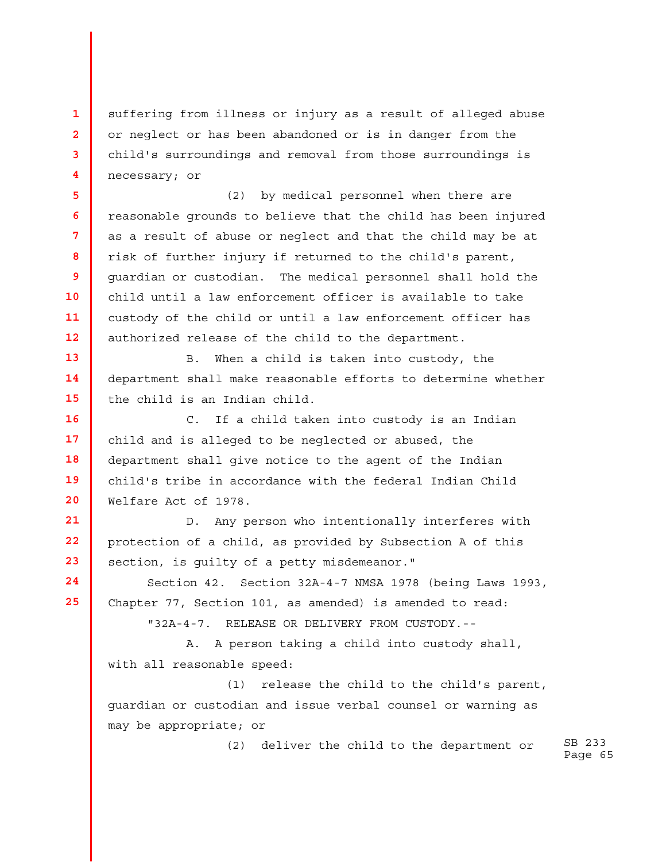suffering from illness or injury as a result of alleged abuse or neglect or has been abandoned or is in danger from the child's surroundings and removal from those surroundings is necessary; or

(2) by medical personnel when there are reasonable grounds to believe that the child has been injured as a result of abuse or neglect and that the child may be at risk of further injury if returned to the child's parent, guardian or custodian. The medical personnel shall hold the child until a law enforcement officer is available to take custody of the child or until a law enforcement officer has authorized release of the child to the department.

B. When a child is taken into custody, the department shall make reasonable efforts to determine whether the child is an Indian child.

C. If a child taken into custody is an Indian child and is alleged to be neglected or abused, the department shall give notice to the agent of the Indian child's tribe in accordance with the federal Indian Child Welfare Act of 1978.

D. Any person who intentionally interferes with protection of a child, as provided by Subsection A of this section, is guilty of a petty misdemeanor."

Section 42. Section 32A-4-7 NMSA 1978 (being Laws 1993, Chapter 77, Section 101, as amended) is amended to read:

"32A-4-7. RELEASE OR DELIVERY FROM CUSTODY.--

A. A person taking a child into custody shall, with all reasonable speed:

(1) release the child to the child's parent, guardian or custodian and issue verbal counsel or warning as may be appropriate; or

> SB 233 (2) deliver the child to the department or

Page 65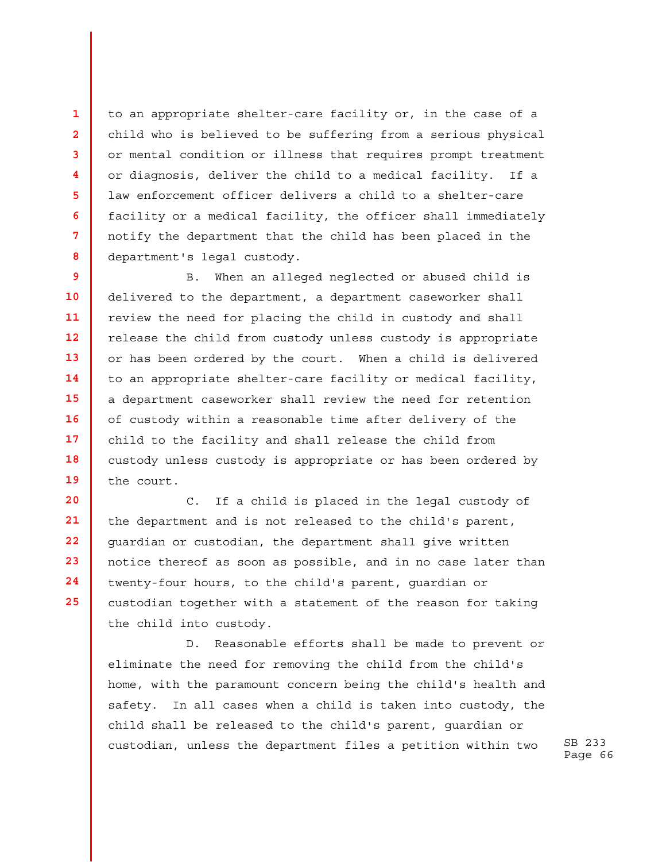to an appropriate shelter-care facility or, in the case of a child who is believed to be suffering from a serious physical or mental condition or illness that requires prompt treatment or diagnosis, deliver the child to a medical facility. If a law enforcement officer delivers a child to a shelter-care facility or a medical facility, the officer shall immediately notify the department that the child has been placed in the department's legal custody.

B. When an alleged neglected or abused child is delivered to the department, a department caseworker shall review the need for placing the child in custody and shall release the child from custody unless custody is appropriate or has been ordered by the court. When a child is delivered to an appropriate shelter-care facility or medical facility, a department caseworker shall review the need for retention of custody within a reasonable time after delivery of the child to the facility and shall release the child from custody unless custody is appropriate or has been ordered by the court.

C. If a child is placed in the legal custody of the department and is not released to the child's parent, guardian or custodian, the department shall give written notice thereof as soon as possible, and in no case later than twenty-four hours, to the child's parent, guardian or custodian together with a statement of the reason for taking the child into custody.

D. Reasonable efforts shall be made to prevent or eliminate the need for removing the child from the child's home, with the paramount concern being the child's health and safety. In all cases when a child is taken into custody, the child shall be released to the child's parent, guardian or custodian, unless the department files a petition within two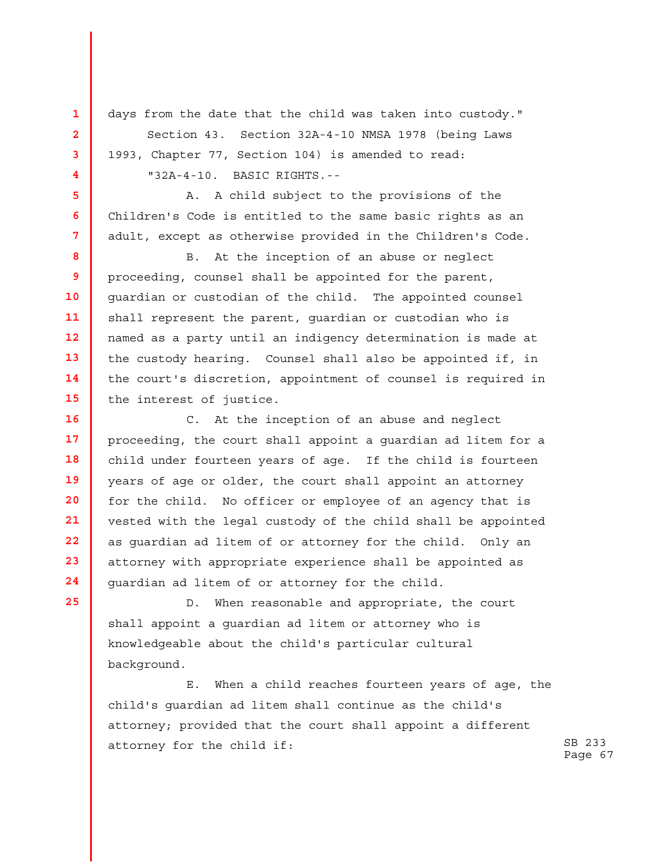days from the date that the child was taken into custody." Section 43. Section 32A-4-10 NMSA 1978 (being Laws 1993, Chapter 77, Section 104) is amended to read:

"32A-4-10. BASIC RIGHTS.--

A. A child subject to the provisions of the Children's Code is entitled to the same basic rights as an adult, except as otherwise provided in the Children's Code.

B. At the inception of an abuse or neglect proceeding, counsel shall be appointed for the parent, guardian or custodian of the child. The appointed counsel shall represent the parent, guardian or custodian who is named as a party until an indigency determination is made at the custody hearing. Counsel shall also be appointed if, in the court's discretion, appointment of counsel is required in the interest of justice.

C. At the inception of an abuse and neglect proceeding, the court shall appoint a guardian ad litem for a child under fourteen years of age. If the child is fourteen years of age or older, the court shall appoint an attorney for the child. No officer or employee of an agency that is vested with the legal custody of the child shall be appointed as guardian ad litem of or attorney for the child. Only an attorney with appropriate experience shall be appointed as guardian ad litem of or attorney for the child.

D. When reasonable and appropriate, the court shall appoint a guardian ad litem or attorney who is knowledgeable about the child's particular cultural background.

E. When a child reaches fourteen years of age, the child's guardian ad litem shall continue as the child's attorney; provided that the court shall appoint a different attorney for the child if:

SB 233 Page 67

**1**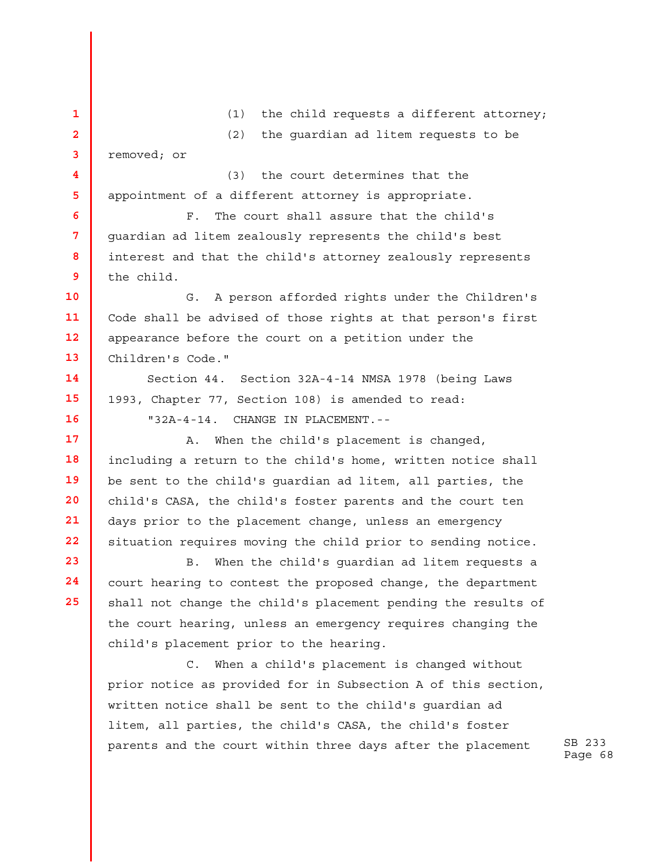**1 2 3 4 5 6 7 8 9 10 11 12 13 14 15 16 17 18 19 20 21 22 23 24 25**  (1) the child requests a different attorney; (2) the guardian ad litem requests to be removed; or (3) the court determines that the appointment of a different attorney is appropriate. F. The court shall assure that the child's guardian ad litem zealously represents the child's best interest and that the child's attorney zealously represents the child. G. A person afforded rights under the Children's Code shall be advised of those rights at that person's first appearance before the court on a petition under the Children's Code." Section 44. Section 32A-4-14 NMSA 1978 (being Laws 1993, Chapter 77, Section 108) is amended to read: "32A-4-14. CHANGE IN PLACEMENT.-- A. When the child's placement is changed, including a return to the child's home, written notice shall be sent to the child's guardian ad litem, all parties, the child's CASA, the child's foster parents and the court ten days prior to the placement change, unless an emergency situation requires moving the child prior to sending notice. B. When the child's guardian ad litem requests a court hearing to contest the proposed change, the department shall not change the child's placement pending the results of the court hearing, unless an emergency requires changing the child's placement prior to the hearing. C. When a child's placement is changed without prior notice as provided for in Subsection A of this section, written notice shall be sent to the child's guardian ad litem, all parties, the child's CASA, the child's foster parents and the court within three days after the placement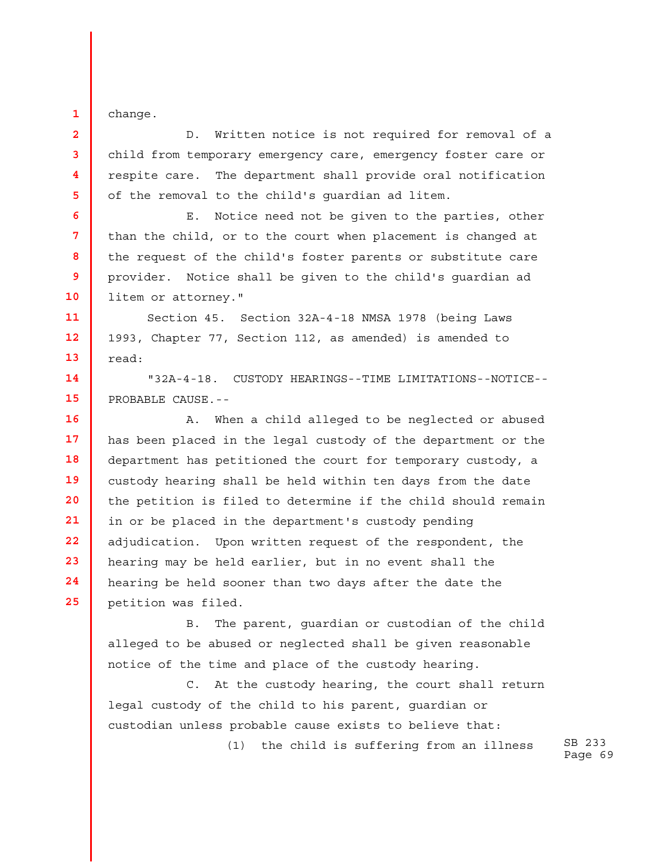change.

**17** 

**19 20** 

D. Written notice is not required for removal of a child from temporary emergency care, emergency foster care or respite care. The department shall provide oral notification of the removal to the child's guardian ad litem.

E. Notice need not be given to the parties, other than the child, or to the court when placement is changed at the request of the child's foster parents or substitute care provider. Notice shall be given to the child's guardian ad litem or attorney."

Section 45. Section 32A-4-18 NMSA 1978 (being Laws 1993, Chapter 77, Section 112, as amended) is amended to read:

"32A-4-18. CUSTODY HEARINGS--TIME LIMITATIONS--NOTICE-- PROBABLE CAUSE.--

**16 18 21 22 23 24 25**  A. When a child alleged to be neglected or abused has been placed in the legal custody of the department or the department has petitioned the court for temporary custody, a custody hearing shall be held within ten days from the date the petition is filed to determine if the child should remain in or be placed in the department's custody pending adjudication. Upon written request of the respondent, the hearing may be held earlier, but in no event shall the hearing be held sooner than two days after the date the petition was filed.

B. The parent, guardian or custodian of the child alleged to be abused or neglected shall be given reasonable notice of the time and place of the custody hearing.

C. At the custody hearing, the court shall return legal custody of the child to his parent, guardian or custodian unless probable cause exists to believe that:

(1) the child is suffering from an illness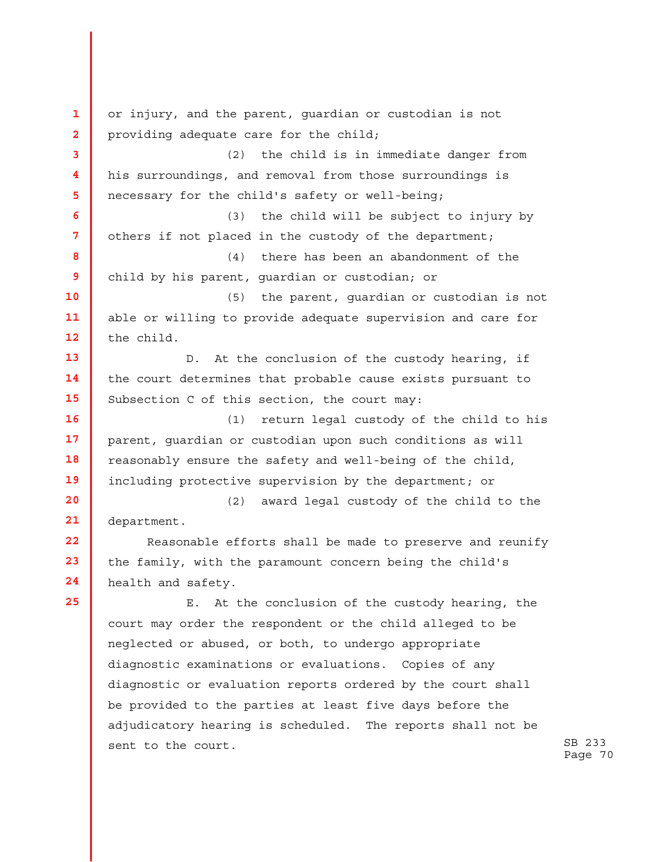**1 2 3 4 5 6 7 8 9 10 11 12 13 14 15 16 17 18 19 20 21 22 23 24 25**  or injury, and the parent, guardian or custodian is not providing adequate care for the child; (2) the child is in immediate danger from his surroundings, and removal from those surroundings is necessary for the child's safety or well-being; (3) the child will be subject to injury by others if not placed in the custody of the department; (4) there has been an abandonment of the child by his parent, guardian or custodian; or (5) the parent, guardian or custodian is not able or willing to provide adequate supervision and care for the child. D. At the conclusion of the custody hearing, if the court determines that probable cause exists pursuant to Subsection C of this section, the court may: (1) return legal custody of the child to his parent, guardian or custodian upon such conditions as will reasonably ensure the safety and well-being of the child, including protective supervision by the department; or (2) award legal custody of the child to the department. Reasonable efforts shall be made to preserve and reunify the family, with the paramount concern being the child's health and safety. E. At the conclusion of the custody hearing, the court may order the respondent or the child alleged to be neglected or abused, or both, to undergo appropriate diagnostic examinations or evaluations. Copies of any diagnostic or evaluation reports ordered by the court shall be provided to the parties at least five days before the adjudicatory hearing is scheduled. The reports shall not be

sent to the court.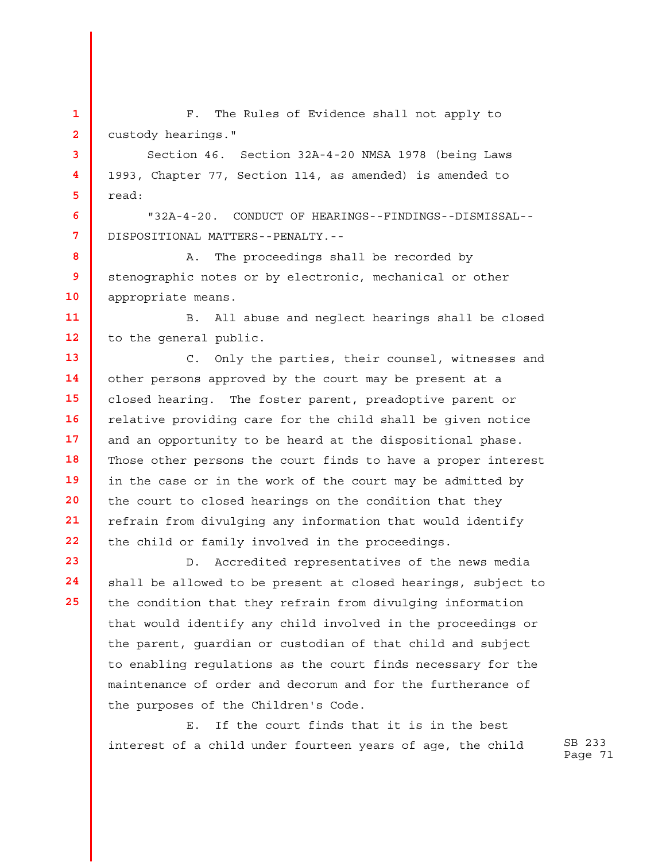**1 2**  F. The Rules of Evidence shall not apply to custody hearings."

Section 46. Section 32A-4-20 NMSA 1978 (being Laws 1993, Chapter 77, Section 114, as amended) is amended to read:

"32A-4-20. CONDUCT OF HEARINGS--FINDINGS--DISMISSAL-- DISPOSITIONAL MATTERS--PENALTY.--

A. The proceedings shall be recorded by stenographic notes or by electronic, mechanical or other appropriate means.

B. All abuse and neglect hearings shall be closed to the general public.

C. Only the parties, their counsel, witnesses and other persons approved by the court may be present at a closed hearing. The foster parent, preadoptive parent or relative providing care for the child shall be given notice and an opportunity to be heard at the dispositional phase. Those other persons the court finds to have a proper interest in the case or in the work of the court may be admitted by the court to closed hearings on the condition that they refrain from divulging any information that would identify the child or family involved in the proceedings.

D. Accredited representatives of the news media shall be allowed to be present at closed hearings, subject to the condition that they refrain from divulging information that would identify any child involved in the proceedings or the parent, guardian or custodian of that child and subject to enabling regulations as the court finds necessary for the maintenance of order and decorum and for the furtherance of the purposes of the Children's Code.

SB 233 E. If the court finds that it is in the best interest of a child under fourteen years of age, the child

Page 71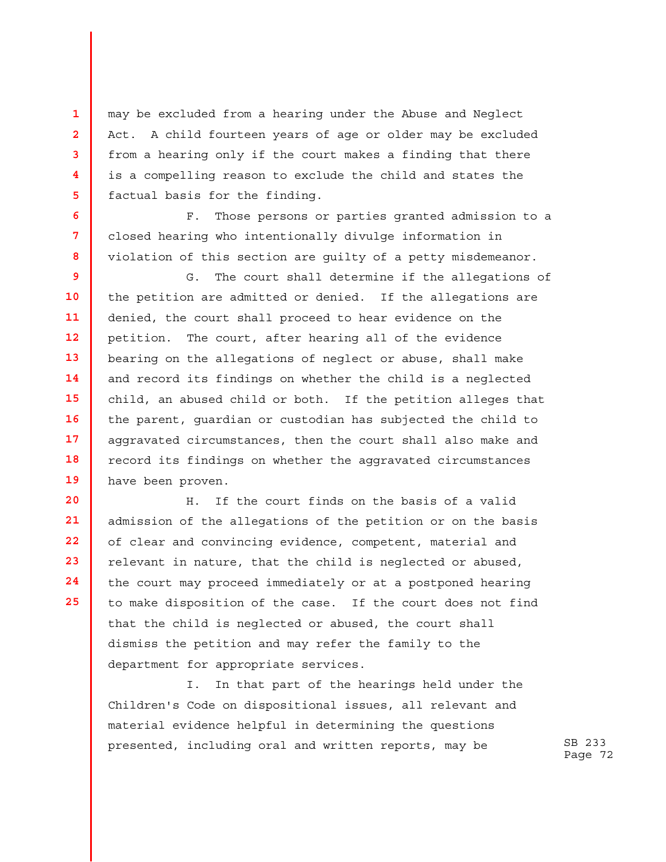may be excluded from a hearing under the Abuse and Neglect Act. A child fourteen years of age or older may be excluded from a hearing only if the court makes a finding that there is a compelling reason to exclude the child and states the factual basis for the finding.

F. Those persons or parties granted admission to a closed hearing who intentionally divulge information in violation of this section are guilty of a petty misdemeanor.

G. The court shall determine if the allegations of the petition are admitted or denied. If the allegations are denied, the court shall proceed to hear evidence on the petition. The court, after hearing all of the evidence bearing on the allegations of neglect or abuse, shall make and record its findings on whether the child is a neglected child, an abused child or both. If the petition alleges that the parent, guardian or custodian has subjected the child to aggravated circumstances, then the court shall also make and record its findings on whether the aggravated circumstances have been proven.

H. If the court finds on the basis of a valid admission of the allegations of the petition or on the basis of clear and convincing evidence, competent, material and relevant in nature, that the child is neglected or abused, the court may proceed immediately or at a postponed hearing to make disposition of the case. If the court does not find that the child is neglected or abused, the court shall dismiss the petition and may refer the family to the department for appropriate services.

I. In that part of the hearings held under the Children's Code on dispositional issues, all relevant and material evidence helpful in determining the questions presented, including oral and written reports, may be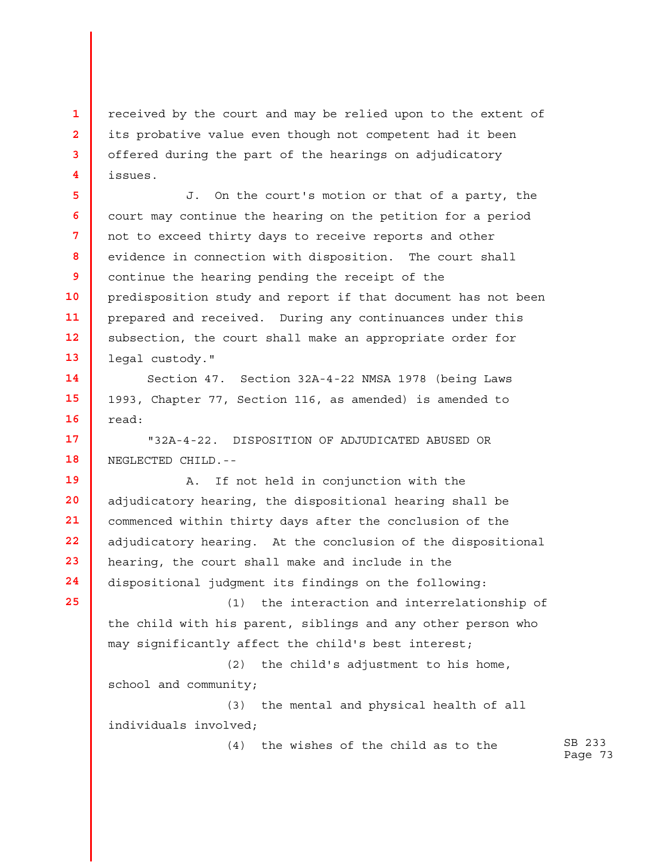received by the court and may be relied upon to the extent of its probative value even though not competent had it been offered during the part of the hearings on adjudicatory issues.

J. On the court's motion or that of a party, the court may continue the hearing on the petition for a period not to exceed thirty days to receive reports and other evidence in connection with disposition. The court shall continue the hearing pending the receipt of the predisposition study and report if that document has not been prepared and received. During any continuances under this subsection, the court shall make an appropriate order for legal custody."

Section 47. Section 32A-4-22 NMSA 1978 (being Laws 1993, Chapter 77, Section 116, as amended) is amended to read:

"32A-4-22. DISPOSITION OF ADJUDICATED ABUSED OR NEGLECTED CHILD.--

A. If not held in conjunction with the adjudicatory hearing, the dispositional hearing shall be commenced within thirty days after the conclusion of the adjudicatory hearing. At the conclusion of the dispositional hearing, the court shall make and include in the dispositional judgment its findings on the following:

(1) the interaction and interrelationship of the child with his parent, siblings and any other person who may significantly affect the child's best interest;

(2) the child's adjustment to his home, school and community;

(3) the mental and physical health of all individuals involved;

(4) the wishes of the child as to the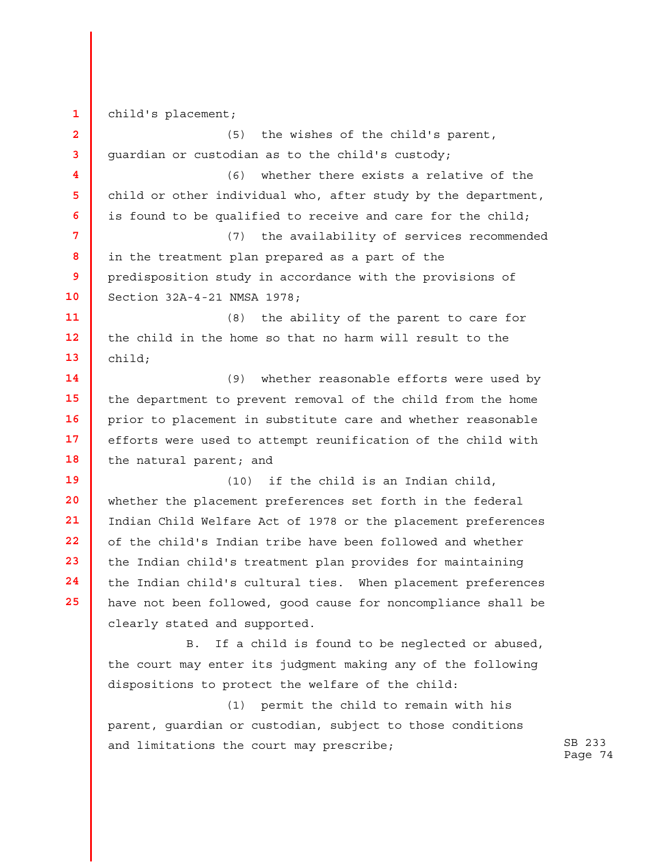child's placement;

**1** 

**2 3 4 5 6 7 8 9 10 11 12 13 14 15 16 17 18 19 20 21 22 23 24 25**  (5) the wishes of the child's parent, guardian or custodian as to the child's custody; (6) whether there exists a relative of the child or other individual who, after study by the department, is found to be qualified to receive and care for the child; (7) the availability of services recommended in the treatment plan prepared as a part of the predisposition study in accordance with the provisions of Section 32A-4-21 NMSA 1978; (8) the ability of the parent to care for the child in the home so that no harm will result to the child; (9) whether reasonable efforts were used by the department to prevent removal of the child from the home prior to placement in substitute care and whether reasonable efforts were used to attempt reunification of the child with the natural parent; and (10) if the child is an Indian child, whether the placement preferences set forth in the federal Indian Child Welfare Act of 1978 or the placement preferences of the child's Indian tribe have been followed and whether the Indian child's treatment plan provides for maintaining the Indian child's cultural ties. When placement preferences have not been followed, good cause for noncompliance shall be clearly stated and supported.

B. If a child is found to be neglected or abused, the court may enter its judgment making any of the following dispositions to protect the welfare of the child:

(1) permit the child to remain with his parent, guardian or custodian, subject to those conditions and limitations the court may prescribe;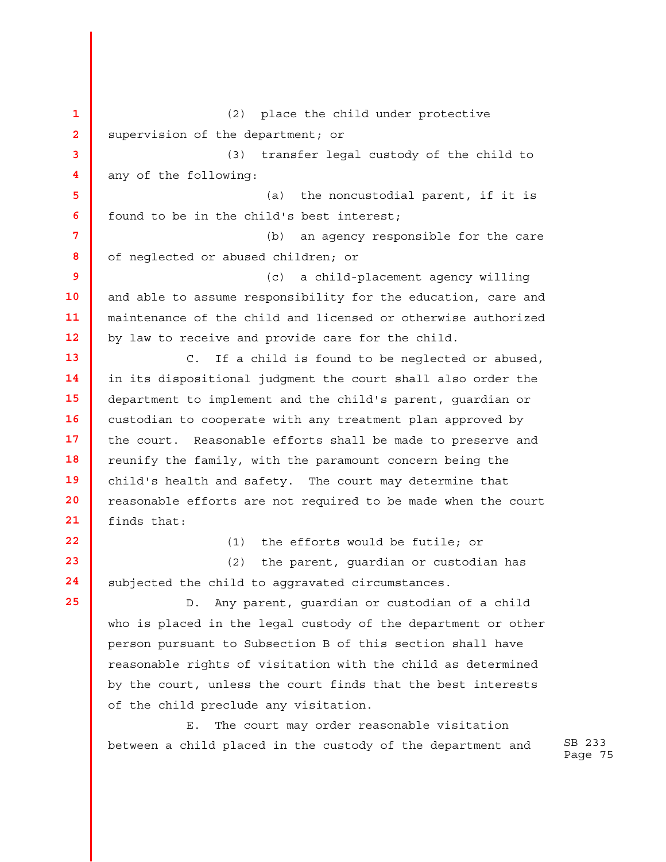**1 2 3 4 5 6 7 8 9 10 11 12 13 14 15 16 17 18 19 20 21 22 23 24 25**  (2) place the child under protective supervision of the department; or (3) transfer legal custody of the child to any of the following: (a) the noncustodial parent, if it is found to be in the child's best interest; (b) an agency responsible for the care of neglected or abused children; or (c) a child-placement agency willing and able to assume responsibility for the education, care and maintenance of the child and licensed or otherwise authorized by law to receive and provide care for the child. C. If a child is found to be neglected or abused, in its dispositional judgment the court shall also order the department to implement and the child's parent, guardian or custodian to cooperate with any treatment plan approved by the court. Reasonable efforts shall be made to preserve and reunify the family, with the paramount concern being the child's health and safety. The court may determine that reasonable efforts are not required to be made when the court finds that: (1) the efforts would be futile; or (2) the parent, guardian or custodian has subjected the child to aggravated circumstances. D. Any parent, guardian or custodian of a child who is placed in the legal custody of the department or other person pursuant to Subsection B of this section shall have reasonable rights of visitation with the child as determined by the court, unless the court finds that the best interests of the child preclude any visitation. E. The court may order reasonable visitation

SB 233 between a child placed in the custody of the department and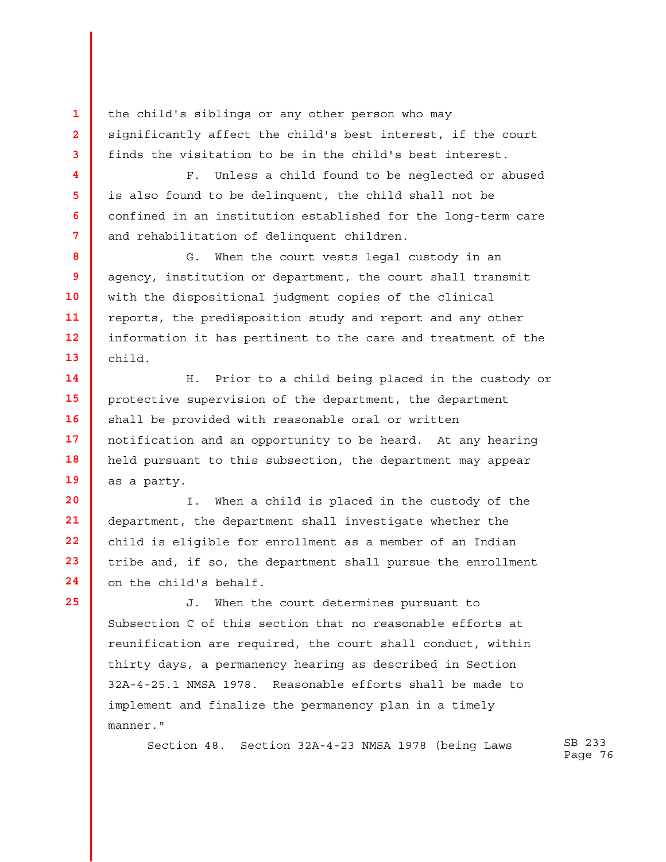the child's siblings or any other person who may significantly affect the child's best interest, if the court finds the visitation to be in the child's best interest.

F. Unless a child found to be neglected or abused is also found to be delinquent, the child shall not be confined in an institution established for the long-term care and rehabilitation of delinquent children.

G. When the court vests legal custody in an agency, institution or department, the court shall transmit with the dispositional judgment copies of the clinical reports, the predisposition study and report and any other information it has pertinent to the care and treatment of the child.

H. Prior to a child being placed in the custody or protective supervision of the department, the department shall be provided with reasonable oral or written notification and an opportunity to be heard. At any hearing held pursuant to this subsection, the department may appear as a party.

I. When a child is placed in the custody of the department, the department shall investigate whether the child is eligible for enrollment as a member of an Indian tribe and, if so, the department shall pursue the enrollment on the child's behalf.

J. When the court determines pursuant to Subsection C of this section that no reasonable efforts at reunification are required, the court shall conduct, within thirty days, a permanency hearing as described in Section 32A-4-25.1 NMSA 1978. Reasonable efforts shall be made to implement and finalize the permanency plan in a timely manner."

Section 48. Section 32A-4-23 NMSA 1978 (being Laws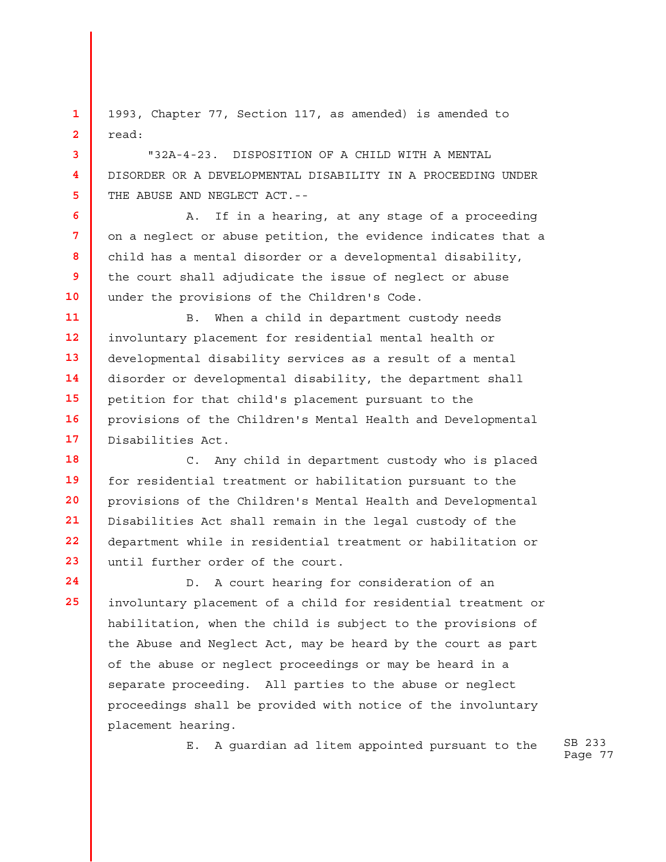1993, Chapter 77, Section 117, as amended) is amended to read:

"32A-4-23. DISPOSITION OF A CHILD WITH A MENTAL DISORDER OR A DEVELOPMENTAL DISABILITY IN A PROCEEDING UNDER THE ABUSE AND NEGLECT ACT.--

A. If in a hearing, at any stage of a proceeding on a neglect or abuse petition, the evidence indicates that a child has a mental disorder or a developmental disability, the court shall adjudicate the issue of neglect or abuse under the provisions of the Children's Code.

**14**  B. When a child in department custody needs involuntary placement for residential mental health or developmental disability services as a result of a mental disorder or developmental disability, the department shall petition for that child's placement pursuant to the provisions of the Children's Mental Health and Developmental Disabilities Act.

C. Any child in department custody who is placed for residential treatment or habilitation pursuant to the provisions of the Children's Mental Health and Developmental Disabilities Act shall remain in the legal custody of the department while in residential treatment or habilitation or until further order of the court.

D. A court hearing for consideration of an involuntary placement of a child for residential treatment or habilitation, when the child is subject to the provisions of the Abuse and Neglect Act, may be heard by the court as part of the abuse or neglect proceedings or may be heard in a separate proceeding. All parties to the abuse or neglect proceedings shall be provided with notice of the involuntary placement hearing.

> SB 233 E. A guardian ad litem appointed pursuant to the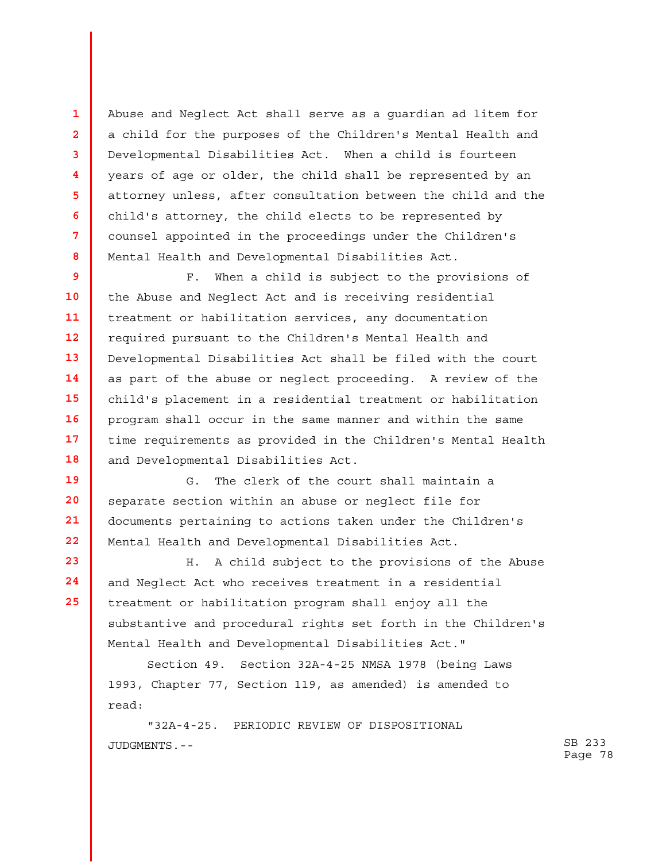Abuse and Neglect Act shall serve as a guardian ad litem for a child for the purposes of the Children's Mental Health and Developmental Disabilities Act. When a child is fourteen years of age or older, the child shall be represented by an attorney unless, after consultation between the child and the child's attorney, the child elects to be represented by counsel appointed in the proceedings under the Children's Mental Health and Developmental Disabilities Act.

F. When a child is subject to the provisions of the Abuse and Neglect Act and is receiving residential treatment or habilitation services, any documentation required pursuant to the Children's Mental Health and Developmental Disabilities Act shall be filed with the court as part of the abuse or neglect proceeding. A review of the child's placement in a residential treatment or habilitation program shall occur in the same manner and within the same time requirements as provided in the Children's Mental Health and Developmental Disabilities Act.

G. The clerk of the court shall maintain a separate section within an abuse or neglect file for documents pertaining to actions taken under the Children's Mental Health and Developmental Disabilities Act.

H. A child subject to the provisions of the Abuse and Neglect Act who receives treatment in a residential treatment or habilitation program shall enjoy all the substantive and procedural rights set forth in the Children's Mental Health and Developmental Disabilities Act."

Section 49. Section 32A-4-25 NMSA 1978 (being Laws 1993, Chapter 77, Section 119, as amended) is amended to read:

"32A-4-25. PERIODIC REVIEW OF DISPOSITIONAL JUDGMENTS.--

SB 233 Page 78

**25**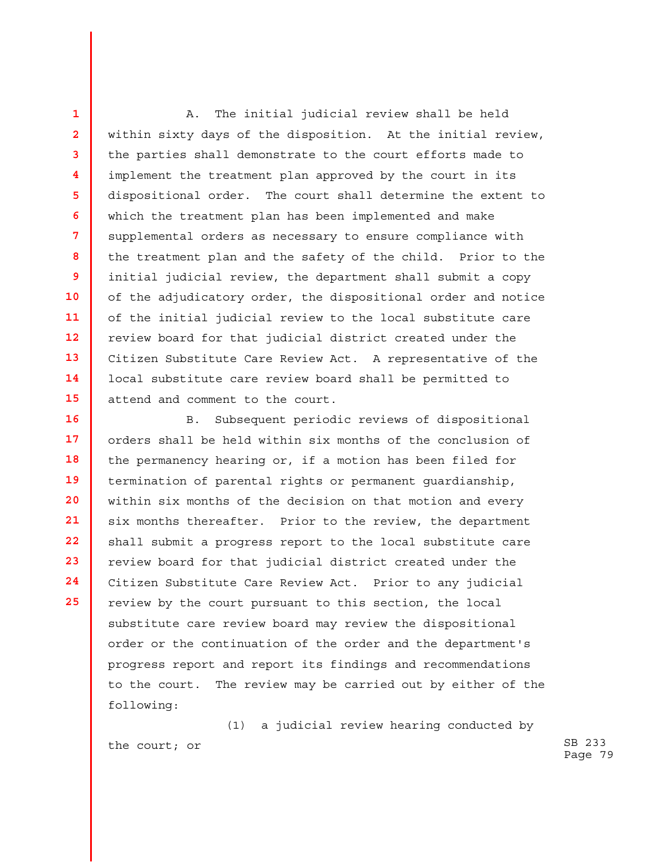A. The initial judicial review shall be held within sixty days of the disposition. At the initial review, the parties shall demonstrate to the court efforts made to implement the treatment plan approved by the court in its dispositional order. The court shall determine the extent to which the treatment plan has been implemented and make supplemental orders as necessary to ensure compliance with the treatment plan and the safety of the child. Prior to the initial judicial review, the department shall submit a copy of the adjudicatory order, the dispositional order and notice of the initial judicial review to the local substitute care review board for that judicial district created under the Citizen Substitute Care Review Act. A representative of the local substitute care review board shall be permitted to attend and comment to the court.

B. Subsequent periodic reviews of dispositional orders shall be held within six months of the conclusion of the permanency hearing or, if a motion has been filed for termination of parental rights or permanent guardianship, within six months of the decision on that motion and every six months thereafter. Prior to the review, the department shall submit a progress report to the local substitute care review board for that judicial district created under the Citizen Substitute Care Review Act. Prior to any judicial review by the court pursuant to this section, the local substitute care review board may review the dispositional order or the continuation of the order and the department's progress report and report its findings and recommendations to the court. The review may be carried out by either of the following:

(1) a judicial review hearing conducted by the court; or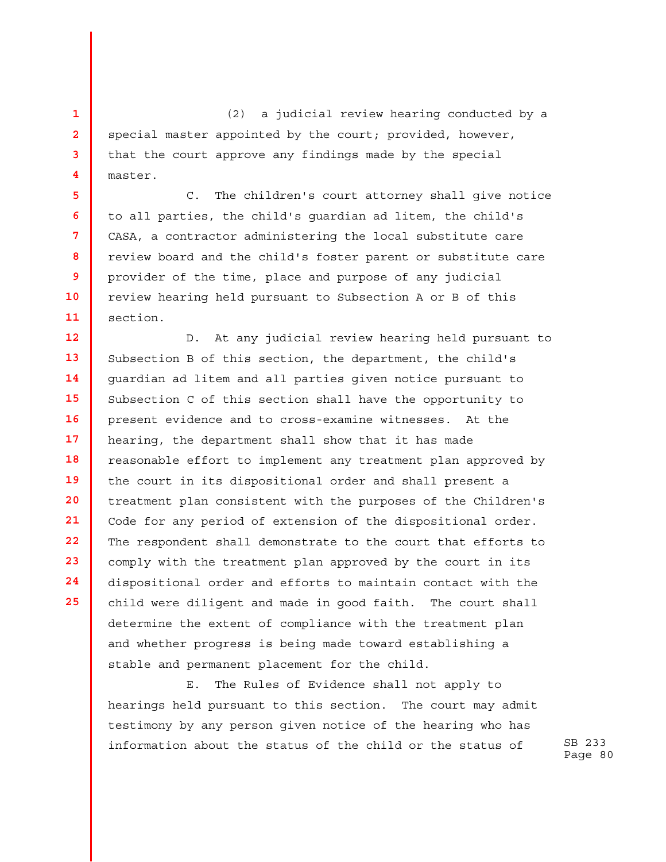(2) a judicial review hearing conducted by a special master appointed by the court; provided, however, that the court approve any findings made by the special master.

C. The children's court attorney shall give notice to all parties, the child's guardian ad litem, the child's CASA, a contractor administering the local substitute care review board and the child's foster parent or substitute care provider of the time, place and purpose of any judicial review hearing held pursuant to Subsection A or B of this section.

**12 13 14 15 16 17 18 19 20 21 22 23 24 25**  D. At any judicial review hearing held pursuant to Subsection B of this section, the department, the child's guardian ad litem and all parties given notice pursuant to Subsection C of this section shall have the opportunity to present evidence and to cross-examine witnesses. At the hearing, the department shall show that it has made reasonable effort to implement any treatment plan approved by the court in its dispositional order and shall present a treatment plan consistent with the purposes of the Children's Code for any period of extension of the dispositional order. The respondent shall demonstrate to the court that efforts to comply with the treatment plan approved by the court in its dispositional order and efforts to maintain contact with the child were diligent and made in good faith. The court shall determine the extent of compliance with the treatment plan and whether progress is being made toward establishing a stable and permanent placement for the child.

E. The Rules of Evidence shall not apply to hearings held pursuant to this section. The court may admit testimony by any person given notice of the hearing who has information about the status of the child or the status of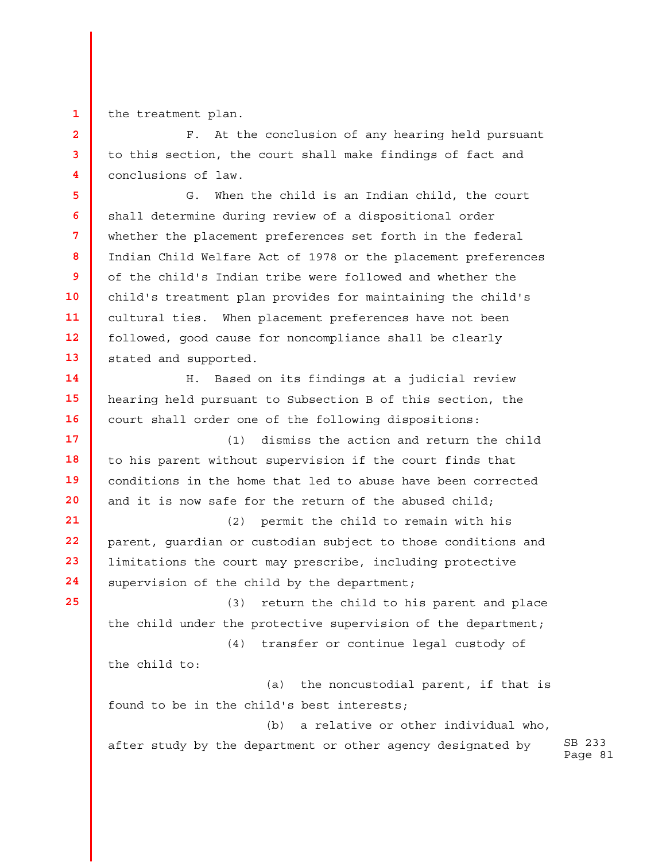the treatment plan.

F. At the conclusion of any hearing held pursuant to this section, the court shall make findings of fact and conclusions of law.

G. When the child is an Indian child, the court shall determine during review of a dispositional order whether the placement preferences set forth in the federal Indian Child Welfare Act of 1978 or the placement preferences of the child's Indian tribe were followed and whether the child's treatment plan provides for maintaining the child's cultural ties. When placement preferences have not been followed, good cause for noncompliance shall be clearly stated and supported.

H. Based on its findings at a judicial review hearing held pursuant to Subsection B of this section, the court shall order one of the following dispositions:

(1) dismiss the action and return the child to his parent without supervision if the court finds that conditions in the home that led to abuse have been corrected and it is now safe for the return of the abused child;

(2) permit the child to remain with his parent, guardian or custodian subject to those conditions and limitations the court may prescribe, including protective supervision of the child by the department;

(3) return the child to his parent and place the child under the protective supervision of the department;

(4) transfer or continue legal custody of the child to:

(a) the noncustodial parent, if that is found to be in the child's best interests;

SB 233 (b) a relative or other individual who, after study by the department or other agency designated by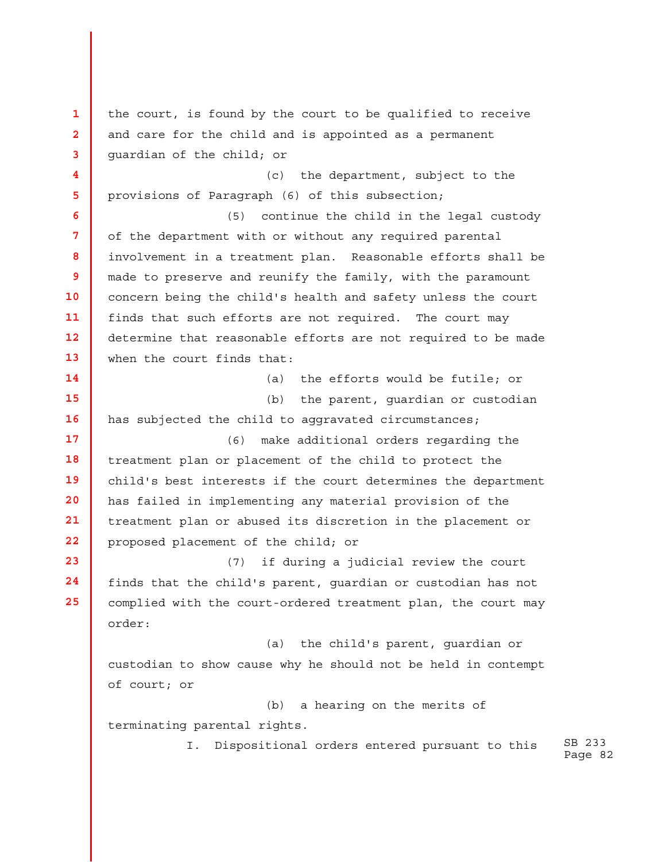SB 233 Page 82 **1 2 3 4 5 6 7 8 9 10 11 12 13 14 15 16 17 18 19 20 21 22 23 24 25**  the court, is found by the court to be qualified to receive and care for the child and is appointed as a permanent guardian of the child; or (c) the department, subject to the provisions of Paragraph (6) of this subsection; (5) continue the child in the legal custody of the department with or without any required parental involvement in a treatment plan. Reasonable efforts shall be made to preserve and reunify the family, with the paramount concern being the child's health and safety unless the court finds that such efforts are not required. The court may determine that reasonable efforts are not required to be made when the court finds that: (a) the efforts would be futile; or (b) the parent, guardian or custodian has subjected the child to aggravated circumstances; (6) make additional orders regarding the treatment plan or placement of the child to protect the child's best interests if the court determines the department has failed in implementing any material provision of the treatment plan or abused its discretion in the placement or proposed placement of the child; or (7) if during a judicial review the court finds that the child's parent, guardian or custodian has not complied with the court-ordered treatment plan, the court may order: (a) the child's parent, guardian or custodian to show cause why he should not be held in contempt of court; or (b) a hearing on the merits of terminating parental rights. I. Dispositional orders entered pursuant to this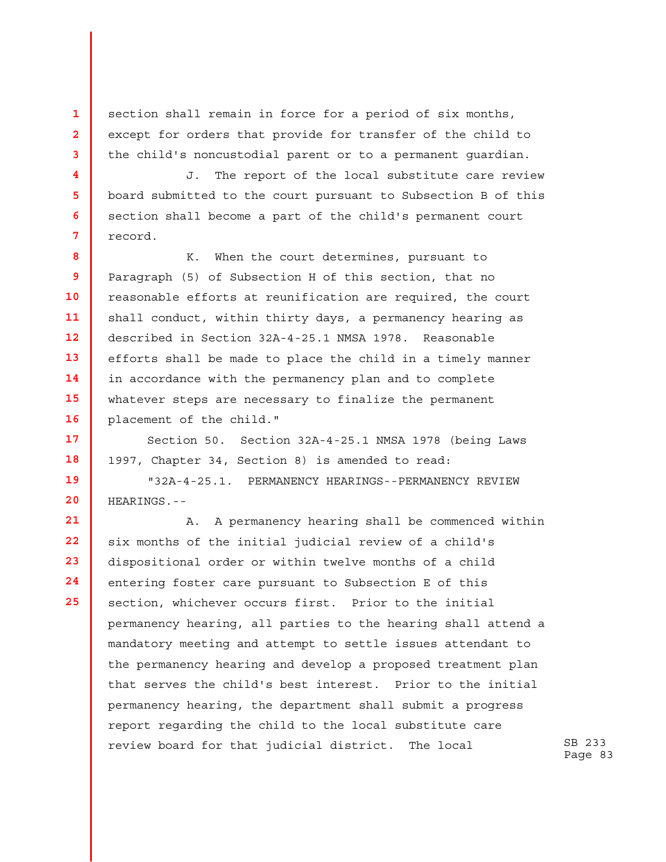section shall remain in force for a period of six months, except for orders that provide for transfer of the child to the child's noncustodial parent or to a permanent guardian.

J. The report of the local substitute care review board submitted to the court pursuant to Subsection B of this section shall become a part of the child's permanent court record.

K. When the court determines, pursuant to Paragraph (5) of Subsection H of this section, that no reasonable efforts at reunification are required, the court shall conduct, within thirty days, a permanency hearing as described in Section 32A-4-25.1 NMSA 1978. Reasonable efforts shall be made to place the child in a timely manner in accordance with the permanency plan and to complete whatever steps are necessary to finalize the permanent placement of the child."

Section 50. Section 32A-4-25.1 NMSA 1978 (being Laws 1997, Chapter 34, Section 8) is amended to read:

"32A-4-25.1. PERMANENCY HEARINGS--PERMANENCY REVIEW HEARINGS.--

A. A permanency hearing shall be commenced within six months of the initial judicial review of a child's dispositional order or within twelve months of a child entering foster care pursuant to Subsection E of this section, whichever occurs first. Prior to the initial permanency hearing, all parties to the hearing shall attend a mandatory meeting and attempt to settle issues attendant to the permanency hearing and develop a proposed treatment plan that serves the child's best interest. Prior to the initial permanency hearing, the department shall submit a progress report regarding the child to the local substitute care review board for that judicial district. The local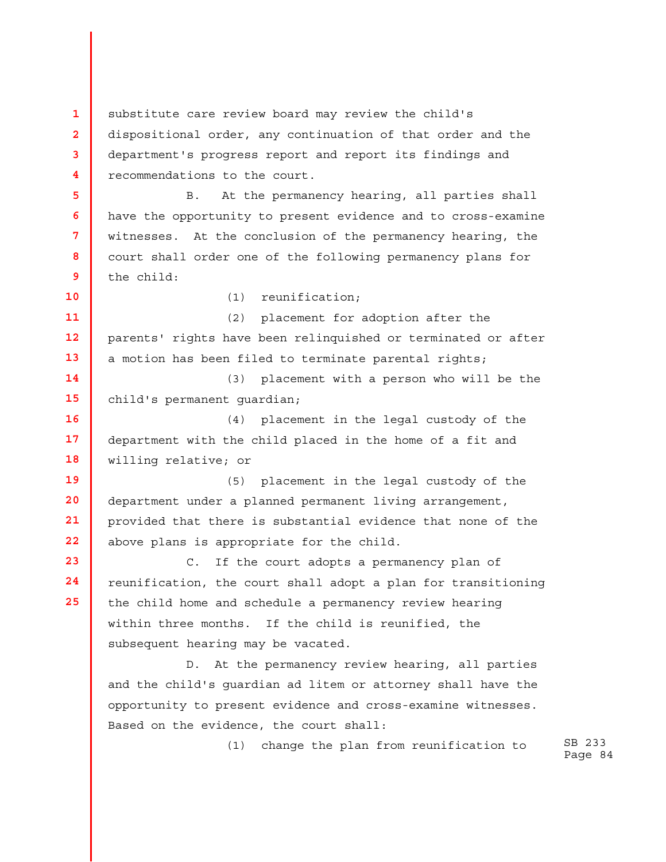**1 2 3 4**  substitute care review board may review the child's dispositional order, any continuation of that order and the department's progress report and report its findings and recommendations to the court.

B. At the permanency hearing, all parties shall have the opportunity to present evidence and to cross-examine witnesses. At the conclusion of the permanency hearing, the court shall order one of the following permanency plans for the child:

**10 11** 

(1) reunification;

(2) placement for adoption after the parents' rights have been relinquished or terminated or after a motion has been filed to terminate parental rights;

(3) placement with a person who will be the child's permanent guardian;

(4) placement in the legal custody of the department with the child placed in the home of a fit and willing relative; or

(5) placement in the legal custody of the department under a planned permanent living arrangement, provided that there is substantial evidence that none of the above plans is appropriate for the child.

C. If the court adopts a permanency plan of reunification, the court shall adopt a plan for transitioning the child home and schedule a permanency review hearing within three months. If the child is reunified, the subsequent hearing may be vacated.

D. At the permanency review hearing, all parties and the child's guardian ad litem or attorney shall have the opportunity to present evidence and cross-examine witnesses. Based on the evidence, the court shall:

> SB 233 (1) change the plan from reunification to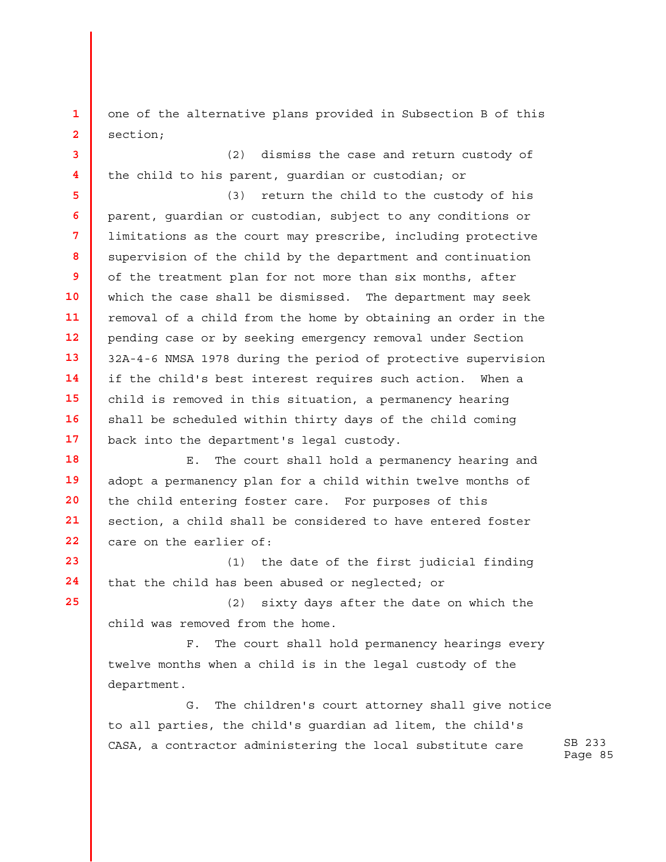one of the alternative plans provided in Subsection B of this section;

(2) dismiss the case and return custody of the child to his parent, guardian or custodian; or

(3) return the child to the custody of his parent, guardian or custodian, subject to any conditions or limitations as the court may prescribe, including protective supervision of the child by the department and continuation of the treatment plan for not more than six months, after which the case shall be dismissed. The department may seek removal of a child from the home by obtaining an order in the pending case or by seeking emergency removal under Section 32A-4-6 NMSA 1978 during the period of protective supervision if the child's best interest requires such action. When a child is removed in this situation, a permanency hearing shall be scheduled within thirty days of the child coming back into the department's legal custody.

E. The court shall hold a permanency hearing and adopt a permanency plan for a child within twelve months of the child entering foster care. For purposes of this section, a child shall be considered to have entered foster care on the earlier of:

(1) the date of the first judicial finding that the child has been abused or neglected; or

(2) sixty days after the date on which the child was removed from the home.

F. The court shall hold permanency hearings every twelve months when a child is in the legal custody of the department.

G. The children's court attorney shall give notice to all parties, the child's guardian ad litem, the child's CASA, a contractor administering the local substitute care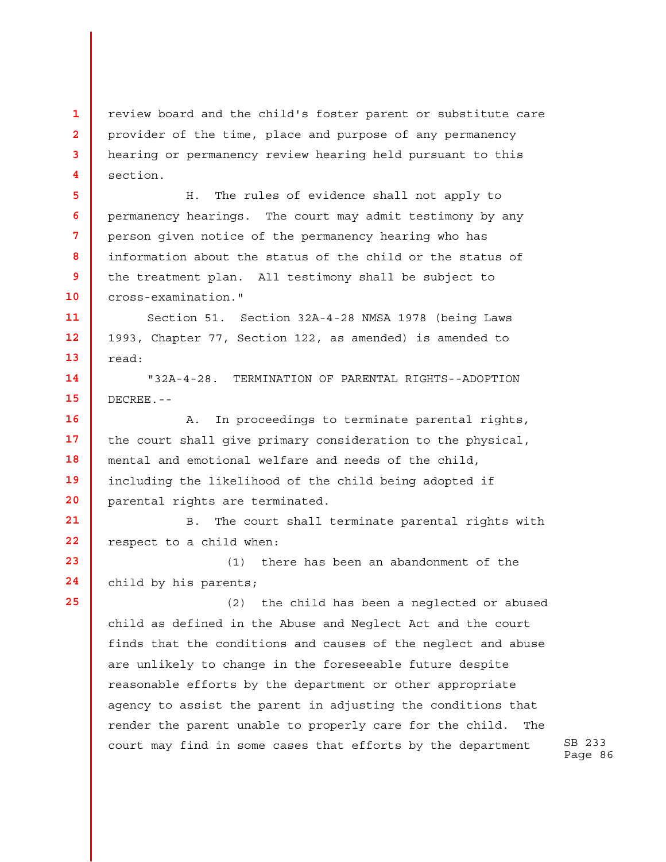**1 2 3 4**  review board and the child's foster parent or substitute care provider of the time, place and purpose of any permanency hearing or permanency review hearing held pursuant to this section.

H. The rules of evidence shall not apply to permanency hearings. The court may admit testimony by any person given notice of the permanency hearing who has information about the status of the child or the status of the treatment plan. All testimony shall be subject to cross-examination."

Section 51. Section 32A-4-28 NMSA 1978 (being Laws 1993, Chapter 77, Section 122, as amended) is amended to read:

"32A-4-28. TERMINATION OF PARENTAL RIGHTS--ADOPTION DECREE.--

A. In proceedings to terminate parental rights, the court shall give primary consideration to the physical, mental and emotional welfare and needs of the child, including the likelihood of the child being adopted if parental rights are terminated.

B. The court shall terminate parental rights with respect to a child when:

(1) there has been an abandonment of the child by his parents;

(2) the child has been a neglected or abused child as defined in the Abuse and Neglect Act and the court finds that the conditions and causes of the neglect and abuse are unlikely to change in the foreseeable future despite reasonable efforts by the department or other appropriate agency to assist the parent in adjusting the conditions that render the parent unable to properly care for the child. The court may find in some cases that efforts by the department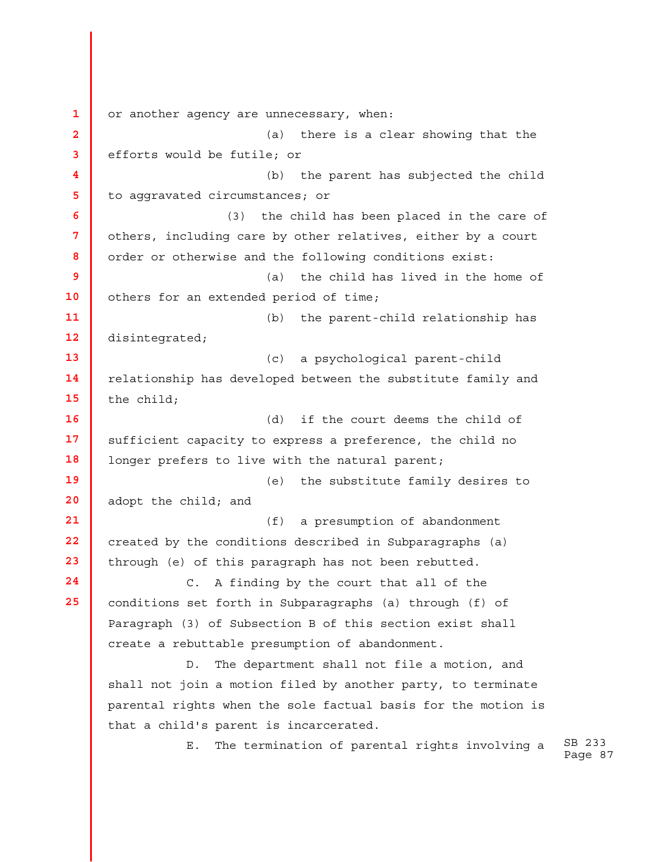SB 233 Page 87 **1 2 3 4 5 6 7 8 9 10 11 12 13 14 15 16 17 18 19 20 21 22 23 24 25**  or another agency are unnecessary, when: (a) there is a clear showing that the efforts would be futile; or (b) the parent has subjected the child to aggravated circumstances; or (3) the child has been placed in the care of others, including care by other relatives, either by a court order or otherwise and the following conditions exist: (a) the child has lived in the home of others for an extended period of time; (b) the parent-child relationship has disintegrated; (c) a psychological parent-child relationship has developed between the substitute family and the child; (d) if the court deems the child of sufficient capacity to express a preference, the child no longer prefers to live with the natural parent; (e) the substitute family desires to adopt the child; and (f) a presumption of abandonment created by the conditions described in Subparagraphs (a) through (e) of this paragraph has not been rebutted. C. A finding by the court that all of the conditions set forth in Subparagraphs (a) through (f) of Paragraph (3) of Subsection B of this section exist shall create a rebuttable presumption of abandonment. D. The department shall not file a motion, and shall not join a motion filed by another party, to terminate parental rights when the sole factual basis for the motion is that a child's parent is incarcerated. E. The termination of parental rights involving a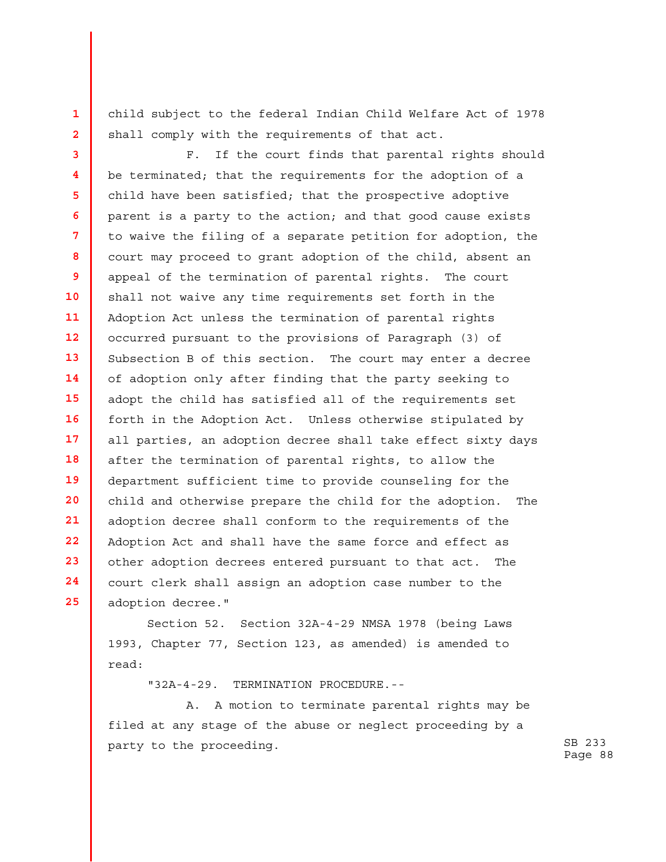child subject to the federal Indian Child Welfare Act of 1978 shall comply with the requirements of that act.

F. If the court finds that parental rights should be terminated; that the requirements for the adoption of a child have been satisfied; that the prospective adoptive parent is a party to the action; and that good cause exists to waive the filing of a separate petition for adoption, the court may proceed to grant adoption of the child, absent an appeal of the termination of parental rights. The court shall not waive any time requirements set forth in the Adoption Act unless the termination of parental rights occurred pursuant to the provisions of Paragraph (3) of Subsection B of this section. The court may enter a decree of adoption only after finding that the party seeking to adopt the child has satisfied all of the requirements set forth in the Adoption Act. Unless otherwise stipulated by all parties, an adoption decree shall take effect sixty days after the termination of parental rights, to allow the department sufficient time to provide counseling for the child and otherwise prepare the child for the adoption. The adoption decree shall conform to the requirements of the Adoption Act and shall have the same force and effect as other adoption decrees entered pursuant to that act. The court clerk shall assign an adoption case number to the adoption decree."

Section 52. Section 32A-4-29 NMSA 1978 (being Laws 1993, Chapter 77, Section 123, as amended) is amended to read:

"32A-4-29. TERMINATION PROCEDURE.--

A. A motion to terminate parental rights may be filed at any stage of the abuse or neglect proceeding by a party to the proceeding.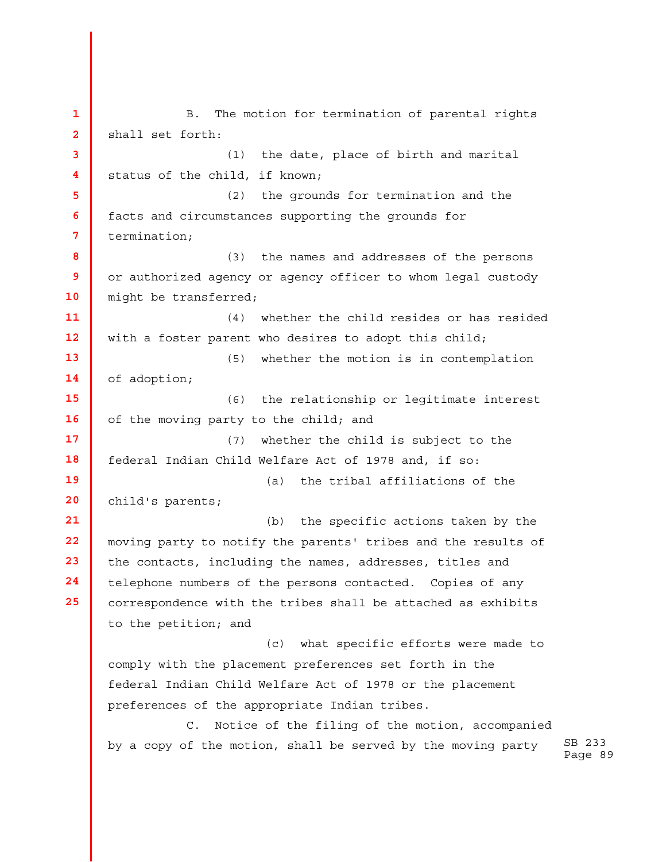SB 233 Page 89 **1 2 3 4 5 6 7 8 9 10 11 12 13 14 15 16 17 18 19 20 21 22 23 24 25**  B. The motion for termination of parental rights shall set forth: (1) the date, place of birth and marital status of the child, if known; (2) the grounds for termination and the facts and circumstances supporting the grounds for termination; (3) the names and addresses of the persons or authorized agency or agency officer to whom legal custody might be transferred; (4) whether the child resides or has resided with a foster parent who desires to adopt this child; (5) whether the motion is in contemplation of adoption; (6) the relationship or legitimate interest of the moving party to the child; and (7) whether the child is subject to the federal Indian Child Welfare Act of 1978 and, if so: (a) the tribal affiliations of the child's parents; (b) the specific actions taken by the moving party to notify the parents' tribes and the results of the contacts, including the names, addresses, titles and telephone numbers of the persons contacted. Copies of any correspondence with the tribes shall be attached as exhibits to the petition; and (c) what specific efforts were made to comply with the placement preferences set forth in the federal Indian Child Welfare Act of 1978 or the placement preferences of the appropriate Indian tribes. C. Notice of the filing of the motion, accompanied by a copy of the motion, shall be served by the moving party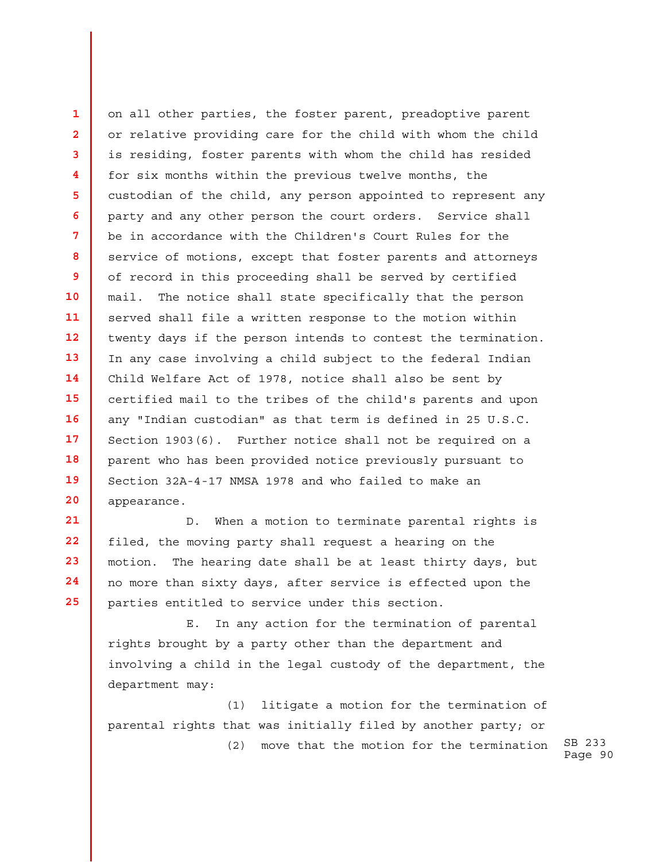**14**  on all other parties, the foster parent, preadoptive parent or relative providing care for the child with whom the child is residing, foster parents with whom the child has resided for six months within the previous twelve months, the custodian of the child, any person appointed to represent any party and any other person the court orders. Service shall be in accordance with the Children's Court Rules for the service of motions, except that foster parents and attorneys of record in this proceeding shall be served by certified mail. The notice shall state specifically that the person served shall file a written response to the motion within twenty days if the person intends to contest the termination. In any case involving a child subject to the federal Indian Child Welfare Act of 1978, notice shall also be sent by certified mail to the tribes of the child's parents and upon any "Indian custodian" as that term is defined in 25 U.S.C. Section 1903(6). Further notice shall not be required on a parent who has been provided notice previously pursuant to Section 32A-4-17 NMSA 1978 and who failed to make an appearance.

D. When a motion to terminate parental rights is filed, the moving party shall request a hearing on the motion. The hearing date shall be at least thirty days, but no more than sixty days, after service is effected upon the parties entitled to service under this section.

E. In any action for the termination of parental rights brought by a party other than the department and involving a child in the legal custody of the department, the department may:

(1) litigate a motion for the termination of parental rights that was initially filed by another party; or

(2) move that the motion for the termination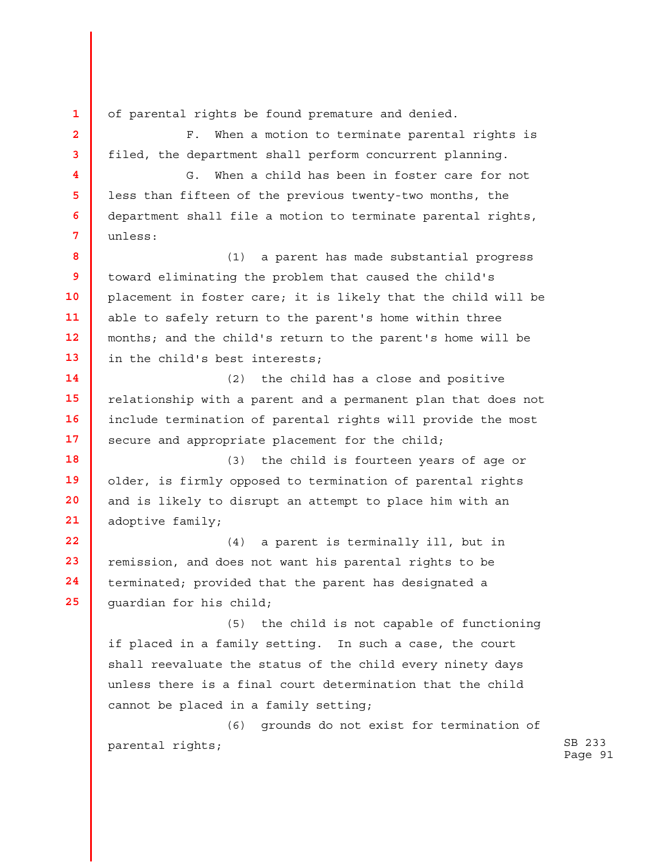of parental rights be found premature and denied.

F. When a motion to terminate parental rights is filed, the department shall perform concurrent planning.

G. When a child has been in foster care for not less than fifteen of the previous twenty-two months, the department shall file a motion to terminate parental rights, unless:

(1) a parent has made substantial progress toward eliminating the problem that caused the child's placement in foster care; it is likely that the child will be able to safely return to the parent's home within three months; and the child's return to the parent's home will be in the child's best interests;

(2) the child has a close and positive relationship with a parent and a permanent plan that does not include termination of parental rights will provide the most secure and appropriate placement for the child;

(3) the child is fourteen years of age or older, is firmly opposed to termination of parental rights and is likely to disrupt an attempt to place him with an adoptive family;

(4) a parent is terminally ill, but in remission, and does not want his parental rights to be terminated; provided that the parent has designated a guardian for his child;

(5) the child is not capable of functioning if placed in a family setting. In such a case, the court shall reevaluate the status of the child every ninety days unless there is a final court determination that the child cannot be placed in a family setting;

(6) grounds do not exist for termination of parental rights;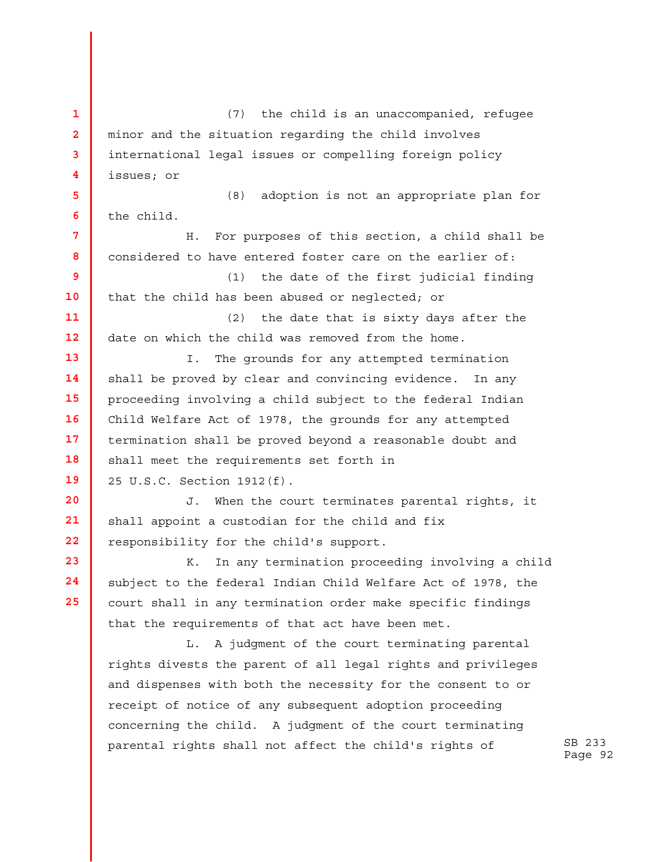**1 2 3 4 5 6 7 8**  (7) the child is an unaccompanied, refugee minor and the situation regarding the child involves international legal issues or compelling foreign policy issues; or (8) adoption is not an appropriate plan for the child. H. For purposes of this section, a child shall be considered to have entered foster care on the earlier of:

(1) the date of the first judicial finding that the child has been abused or neglected; or

(2) the date that is sixty days after the date on which the child was removed from the home.

I. The grounds for any attempted termination shall be proved by clear and convincing evidence. In any proceeding involving a child subject to the federal Indian Child Welfare Act of 1978, the grounds for any attempted termination shall be proved beyond a reasonable doubt and shall meet the requirements set forth in 25 U.S.C. Section 1912(f).

J. When the court terminates parental rights, it shall appoint a custodian for the child and fix responsibility for the child's support.

K. In any termination proceeding involving a child subject to the federal Indian Child Welfare Act of 1978, the court shall in any termination order make specific findings that the requirements of that act have been met.

L. A judgment of the court terminating parental rights divests the parent of all legal rights and privileges and dispenses with both the necessity for the consent to or receipt of notice of any subsequent adoption proceeding concerning the child. A judgment of the court terminating parental rights shall not affect the child's rights of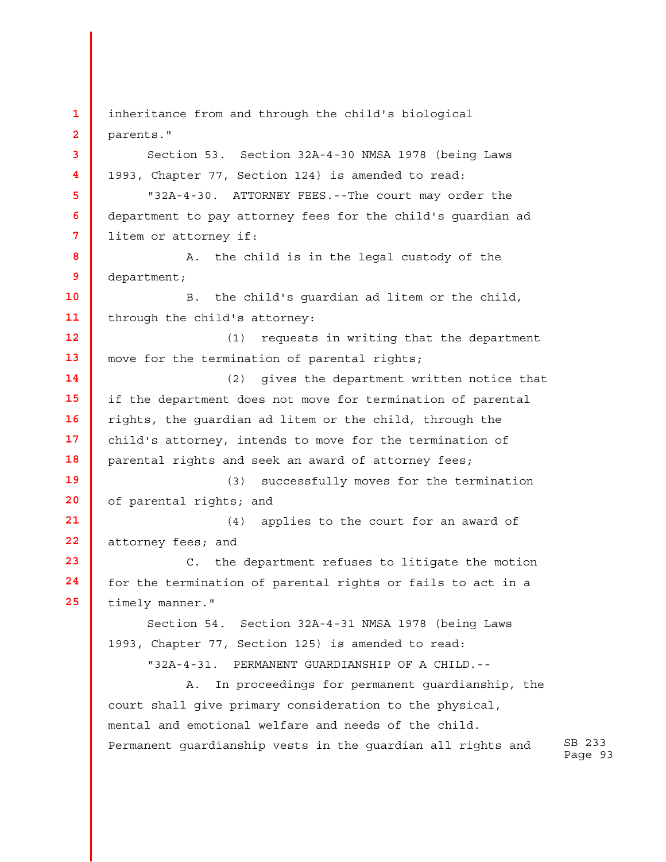SB 233 Page 93 **1 2 3 4 5 6 7 8 9 10 11 12 13 14 15 16 17 18 19 20 21 22 23 24 25**  inheritance from and through the child's biological parents." Section 53. Section 32A-4-30 NMSA 1978 (being Laws 1993, Chapter 77, Section 124) is amended to read: "32A-4-30. ATTORNEY FEES.--The court may order the department to pay attorney fees for the child's guardian ad litem or attorney if: A. the child is in the legal custody of the department; B. the child's guardian ad litem or the child, through the child's attorney: (1) requests in writing that the department move for the termination of parental rights; (2) gives the department written notice that if the department does not move for termination of parental rights, the guardian ad litem or the child, through the child's attorney, intends to move for the termination of parental rights and seek an award of attorney fees; (3) successfully moves for the termination of parental rights; and (4) applies to the court for an award of attorney fees; and C. the department refuses to litigate the motion for the termination of parental rights or fails to act in a timely manner." Section 54. Section 32A-4-31 NMSA 1978 (being Laws 1993, Chapter 77, Section 125) is amended to read: "32A-4-31. PERMANENT GUARDIANSHIP OF A CHILD.-- A. In proceedings for permanent guardianship, the court shall give primary consideration to the physical, mental and emotional welfare and needs of the child. Permanent guardianship vests in the guardian all rights and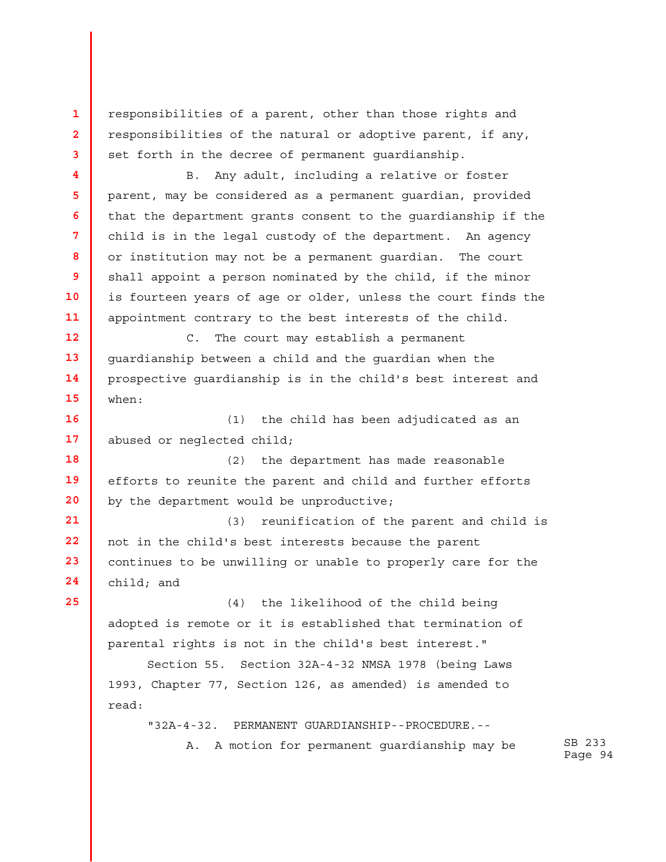responsibilities of a parent, other than those rights and responsibilities of the natural or adoptive parent, if any, set forth in the decree of permanent guardianship.

B. Any adult, including a relative or foster parent, may be considered as a permanent guardian, provided that the department grants consent to the guardianship if the child is in the legal custody of the department. An agency or institution may not be a permanent guardian. The court shall appoint a person nominated by the child, if the minor is fourteen years of age or older, unless the court finds the appointment contrary to the best interests of the child.

C. The court may establish a permanent guardianship between a child and the guardian when the prospective guardianship is in the child's best interest and when:

(1) the child has been adjudicated as an abused or neglected child;

(2) the department has made reasonable efforts to reunite the parent and child and further efforts by the department would be unproductive;

(3) reunification of the parent and child is not in the child's best interests because the parent continues to be unwilling or unable to properly care for the child; and

(4) the likelihood of the child being adopted is remote or it is established that termination of parental rights is not in the child's best interest."

Section 55. Section 32A-4-32 NMSA 1978 (being Laws 1993, Chapter 77, Section 126, as amended) is amended to read:

"32A-4-32. PERMANENT GUARDIANSHIP--PROCEDURE.--

SB 233 A. A motion for permanent guardianship may be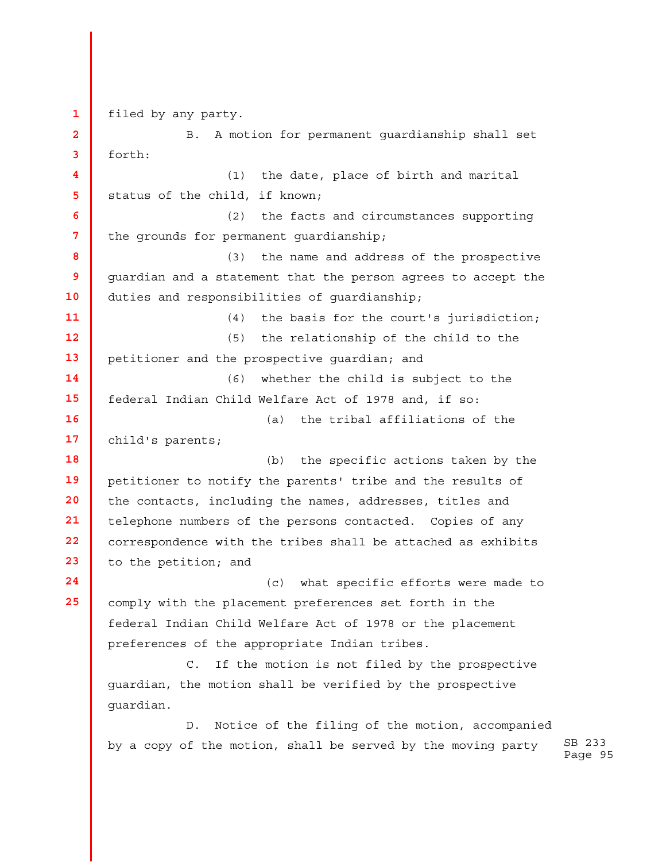**1**  filed by any party.

**2 3** 

**19** 

**24 25** 

B. A motion for permanent guardianship shall set forth:

**4 5**  (1) the date, place of birth and marital status of the child, if known;

(2) the facts and circumstances supporting the grounds for permanent guardianship;

(3) the name and address of the prospective guardian and a statement that the person agrees to accept the duties and responsibilities of guardianship;

(4) the basis for the court's jurisdiction;

(5) the relationship of the child to the petitioner and the prospective guardian; and

(6) whether the child is subject to the federal Indian Child Welfare Act of 1978 and, if so:

(a) the tribal affiliations of the child's parents;

**18 20 21 22 23**  (b) the specific actions taken by the petitioner to notify the parents' tribe and the results of the contacts, including the names, addresses, titles and telephone numbers of the persons contacted. Copies of any correspondence with the tribes shall be attached as exhibits to the petition; and

(c) what specific efforts were made to comply with the placement preferences set forth in the federal Indian Child Welfare Act of 1978 or the placement preferences of the appropriate Indian tribes.

C. If the motion is not filed by the prospective guardian, the motion shall be verified by the prospective guardian.

SB 233 D. Notice of the filing of the motion, accompanied by a copy of the motion, shall be served by the moving party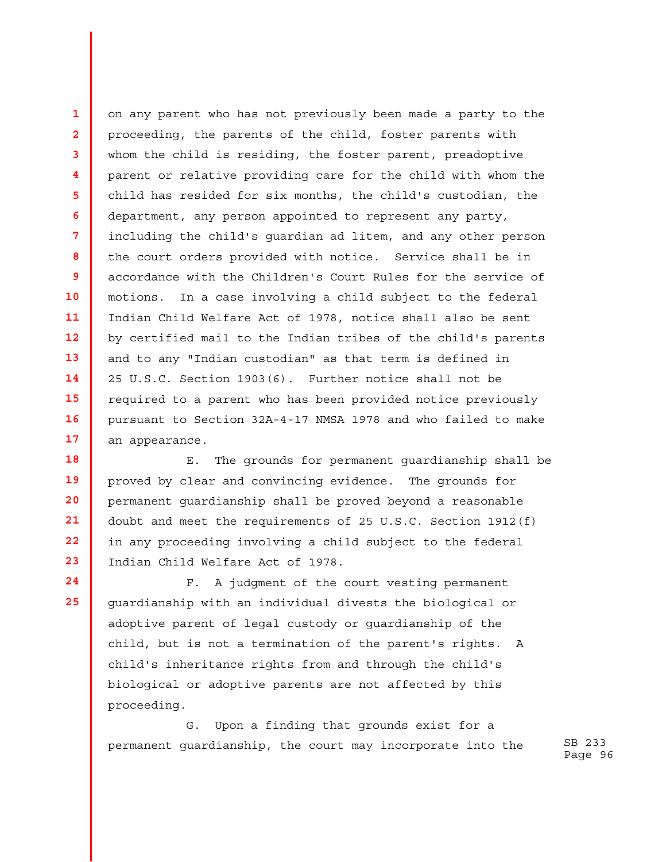**11 14 15**  on any parent who has not previously been made a party to the proceeding, the parents of the child, foster parents with whom the child is residing, the foster parent, preadoptive parent or relative providing care for the child with whom the child has resided for six months, the child's custodian, the department, any person appointed to represent any party, including the child's guardian ad litem, and any other person the court orders provided with notice. Service shall be in accordance with the Children's Court Rules for the service of motions. In a case involving a child subject to the federal Indian Child Welfare Act of 1978, notice shall also be sent by certified mail to the Indian tribes of the child's parents and to any "Indian custodian" as that term is defined in 25 U.S.C. Section 1903(6). Further notice shall not be required to a parent who has been provided notice previously pursuant to Section 32A-4-17 NMSA 1978 and who failed to make an appearance.

**12 13** 

E. The grounds for permanent guardianship shall be proved by clear and convincing evidence. The grounds for permanent guardianship shall be proved beyond a reasonable doubt and meet the requirements of 25 U.S.C. Section 1912(f) in any proceeding involving a child subject to the federal Indian Child Welfare Act of 1978.

F. A judgment of the court vesting permanent guardianship with an individual divests the biological or adoptive parent of legal custody or guardianship of the child, but is not a termination of the parent's rights. A child's inheritance rights from and through the child's biological or adoptive parents are not affected by this proceeding.

G. Upon a finding that grounds exist for a permanent guardianship, the court may incorporate into the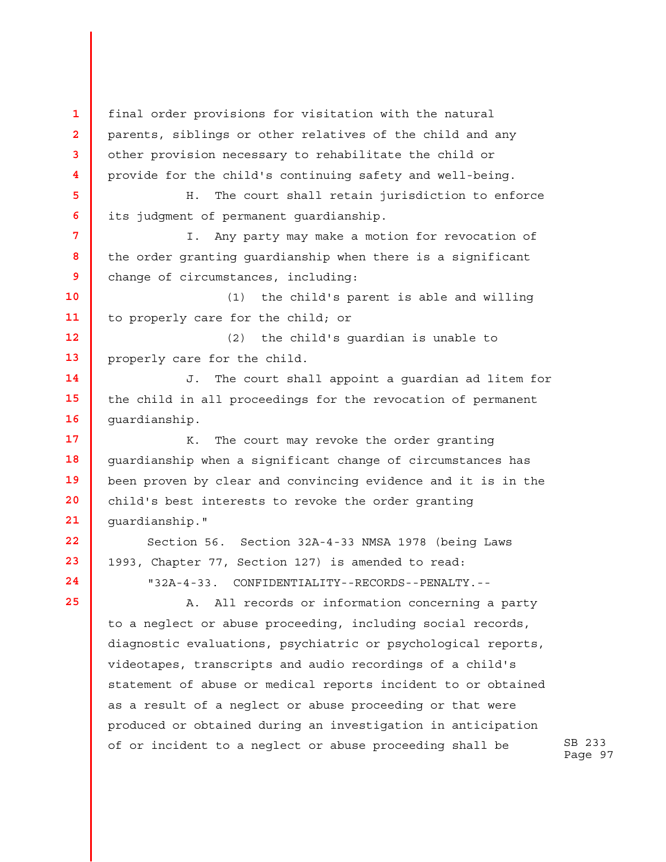final order provisions for visitation with the natural parents, siblings or other relatives of the child and any other provision necessary to rehabilitate the child or provide for the child's continuing safety and well-being.

H. The court shall retain jurisdiction to enforce its judgment of permanent guardianship.

I. Any party may make a motion for revocation of the order granting guardianship when there is a significant change of circumstances, including:

(1) the child's parent is able and willing to properly care for the child; or

(2) the child's guardian is unable to properly care for the child.

J. The court shall appoint a guardian ad litem for the child in all proceedings for the revocation of permanent guardianship.

K. The court may revoke the order granting guardianship when a significant change of circumstances has been proven by clear and convincing evidence and it is in the child's best interests to revoke the order granting guardianship."

Section 56. Section 32A-4-33 NMSA 1978 (being Laws 1993, Chapter 77, Section 127) is amended to read:

"32A-4-33. CONFIDENTIALITY--RECORDS--PENALTY.--

A. All records or information concerning a party to a neglect or abuse proceeding, including social records, diagnostic evaluations, psychiatric or psychological reports, videotapes, transcripts and audio recordings of a child's statement of abuse or medical reports incident to or obtained as a result of a neglect or abuse proceeding or that were produced or obtained during an investigation in anticipation of or incident to a neglect or abuse proceeding shall be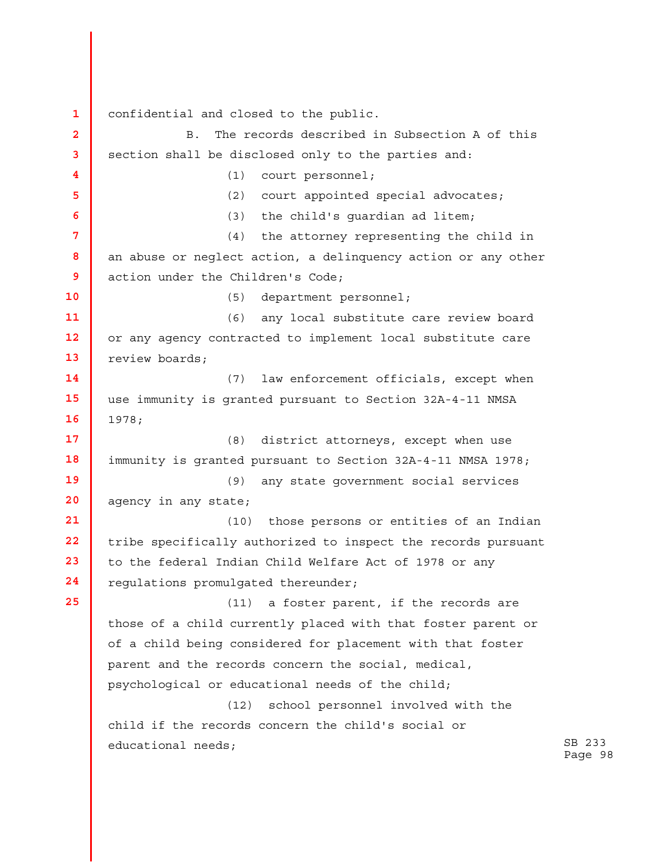**1 2 3 4 5 6 7 8 9 10 11 12 13 14 15 16 17 18 19 20 21 22 23 24 25**  confidential and closed to the public. B. The records described in Subsection A of this section shall be disclosed only to the parties and: (1) court personnel; (2) court appointed special advocates; (3) the child's guardian ad litem; (4) the attorney representing the child in an abuse or neglect action, a delinquency action or any other action under the Children's Code; (5) department personnel; (6) any local substitute care review board or any agency contracted to implement local substitute care review boards; (7) law enforcement officials, except when use immunity is granted pursuant to Section 32A-4-11 NMSA 1978; (8) district attorneys, except when use immunity is granted pursuant to Section 32A-4-11 NMSA 1978; (9) any state government social services agency in any state; (10) those persons or entities of an Indian tribe specifically authorized to inspect the records pursuant to the federal Indian Child Welfare Act of 1978 or any regulations promulgated thereunder; (11) a foster parent, if the records are those of a child currently placed with that foster parent or of a child being considered for placement with that foster parent and the records concern the social, medical, psychological or educational needs of the child; (12) school personnel involved with the child if the records concern the child's social or educational needs;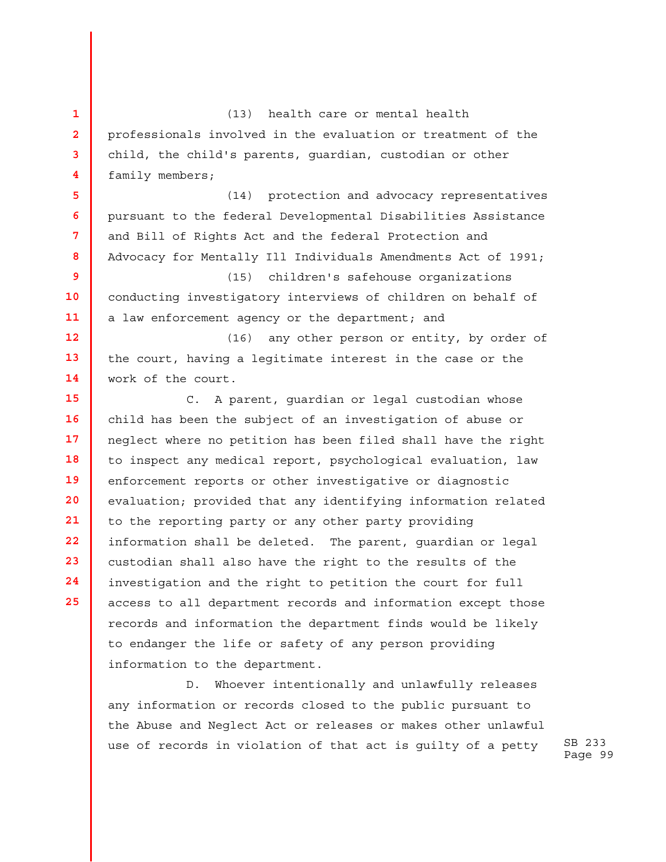(13) health care or mental health professionals involved in the evaluation or treatment of the child, the child's parents, guardian, custodian or other family members;

(14) protection and advocacy representatives pursuant to the federal Developmental Disabilities Assistance and Bill of Rights Act and the federal Protection and Advocacy for Mentally Ill Individuals Amendments Act of 1991;

(15) children's safehouse organizations conducting investigatory interviews of children on behalf of a law enforcement agency or the department; and

(16) any other person or entity, by order of the court, having a legitimate interest in the case or the work of the court.

C. A parent, guardian or legal custodian whose child has been the subject of an investigation of abuse or neglect where no petition has been filed shall have the right to inspect any medical report, psychological evaluation, law enforcement reports or other investigative or diagnostic evaluation; provided that any identifying information related to the reporting party or any other party providing information shall be deleted. The parent, guardian or legal custodian shall also have the right to the results of the investigation and the right to petition the court for full access to all department records and information except those records and information the department finds would be likely to endanger the life or safety of any person providing information to the department.

D. Whoever intentionally and unlawfully releases any information or records closed to the public pursuant to the Abuse and Neglect Act or releases or makes other unlawful use of records in violation of that act is guilty of a petty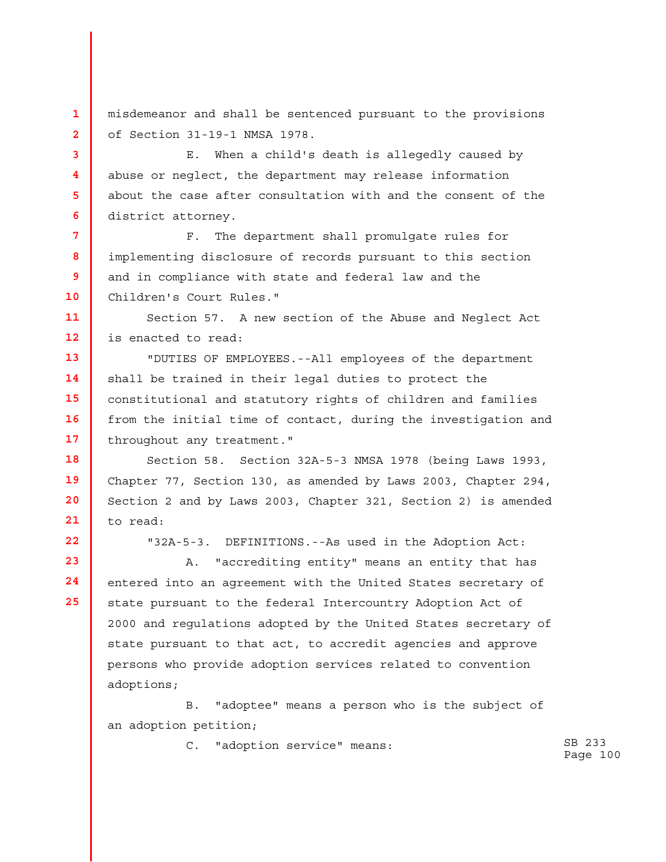misdemeanor and shall be sentenced pursuant to the provisions of Section 31-19-1 NMSA 1978.

E. When a child's death is allegedly caused by abuse or neglect, the department may release information about the case after consultation with and the consent of the district attorney.

F. The department shall promulgate rules for implementing disclosure of records pursuant to this section and in compliance with state and federal law and the Children's Court Rules."

Section 57. A new section of the Abuse and Neglect Act is enacted to read:

"DUTIES OF EMPLOYEES.--All employees of the department shall be trained in their legal duties to protect the constitutional and statutory rights of children and families from the initial time of contact, during the investigation and throughout any treatment."

Section 58. Section 32A-5-3 NMSA 1978 (being Laws 1993, Chapter 77, Section 130, as amended by Laws 2003, Chapter 294, Section 2 and by Laws 2003, Chapter 321, Section 2) is amended to read:

**22 23** 

**24 25** 

"32A-5-3. DEFINITIONS.--As used in the Adoption Act:

A. "accrediting entity" means an entity that has entered into an agreement with the United States secretary of state pursuant to the federal Intercountry Adoption Act of 2000 and regulations adopted by the United States secretary of state pursuant to that act, to accredit agencies and approve persons who provide adoption services related to convention adoptions;

B. "adoptee" means a person who is the subject of an adoption petition;

C. "adoption service" means: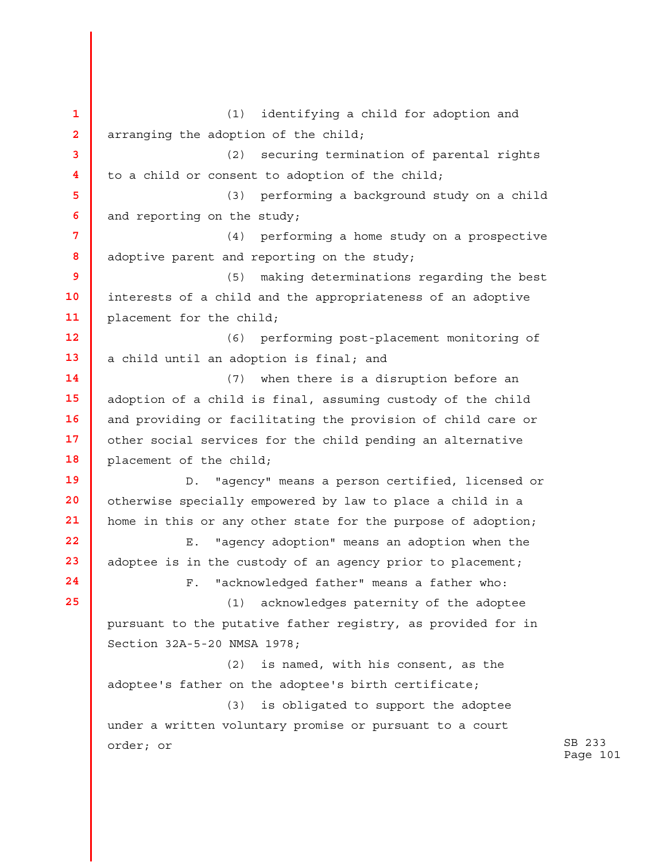SB 233 Page 101 **1 2 3 4 5 6 7 8 9 10 11 12 13 14 15 16 17 18 19 20 21 22 23 24 25**  (1) identifying a child for adoption and arranging the adoption of the child; (2) securing termination of parental rights to a child or consent to adoption of the child; (3) performing a background study on a child and reporting on the study; (4) performing a home study on a prospective adoptive parent and reporting on the study; (5) making determinations regarding the best interests of a child and the appropriateness of an adoptive placement for the child; (6) performing post-placement monitoring of a child until an adoption is final; and (7) when there is a disruption before an adoption of a child is final, assuming custody of the child and providing or facilitating the provision of child care or other social services for the child pending an alternative placement of the child; D. "agency" means a person certified, licensed or otherwise specially empowered by law to place a child in a home in this or any other state for the purpose of adoption; E. "agency adoption" means an adoption when the adoptee is in the custody of an agency prior to placement; F. "acknowledged father" means a father who: (1) acknowledges paternity of the adoptee pursuant to the putative father registry, as provided for in Section 32A-5-20 NMSA 1978; (2) is named, with his consent, as the adoptee's father on the adoptee's birth certificate; (3) is obligated to support the adoptee under a written voluntary promise or pursuant to a court order; or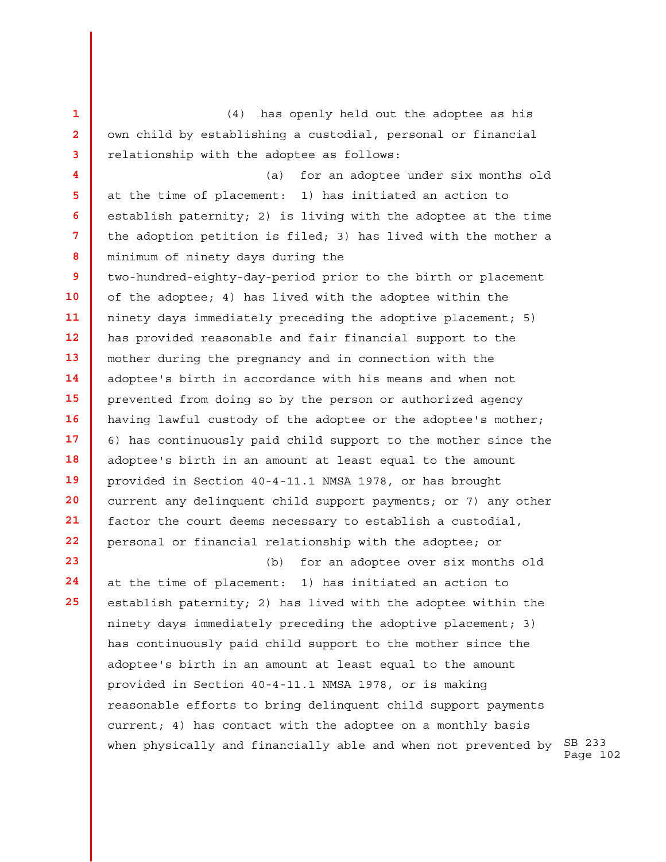(4) has openly held out the adoptee as his own child by establishing a custodial, personal or financial relationship with the adoptee as follows:

(a) for an adoptee under six months old at the time of placement: 1) has initiated an action to establish paternity; 2) is living with the adoptee at the time the adoption petition is filed; 3) has lived with the mother a minimum of ninety days during the

two-hundred-eighty-day-period prior to the birth or placement of the adoptee; 4) has lived with the adoptee within the ninety days immediately preceding the adoptive placement; 5) has provided reasonable and fair financial support to the mother during the pregnancy and in connection with the adoptee's birth in accordance with his means and when not prevented from doing so by the person or authorized agency having lawful custody of the adoptee or the adoptee's mother; 6) has continuously paid child support to the mother since the adoptee's birth in an amount at least equal to the amount provided in Section 40-4-11.1 NMSA 1978, or has brought current any delinquent child support payments; or 7) any other factor the court deems necessary to establish a custodial, personal or financial relationship with the adoptee; or

SB 233 Page 102 (b) for an adoptee over six months old at the time of placement: 1) has initiated an action to establish paternity; 2) has lived with the adoptee within the ninety days immediately preceding the adoptive placement; 3) has continuously paid child support to the mother since the adoptee's birth in an amount at least equal to the amount provided in Section 40-4-11.1 NMSA 1978, or is making reasonable efforts to bring delinquent child support payments current; 4) has contact with the adoptee on a monthly basis when physically and financially able and when not prevented by

**1 2 3**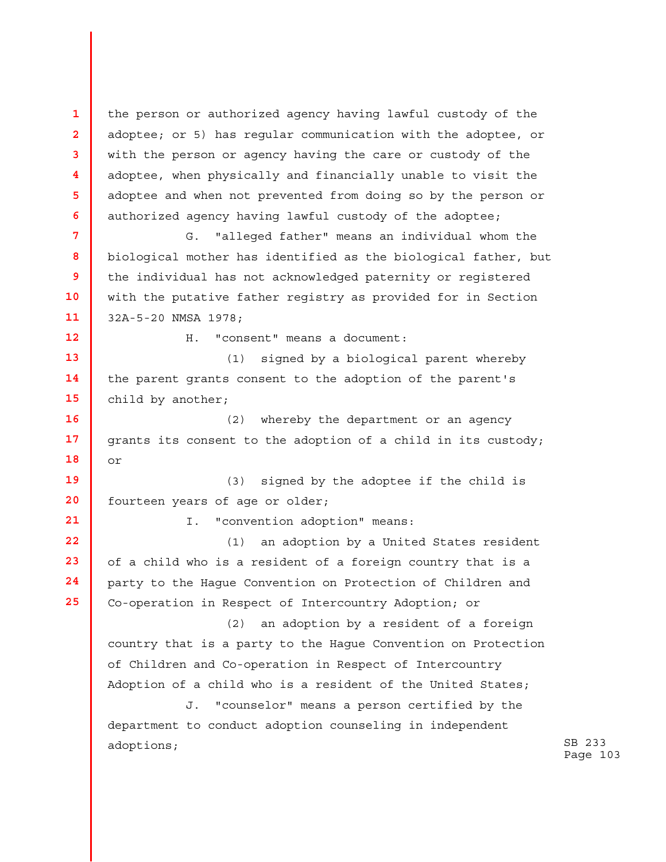**1 2 3 4 5 6**  the person or authorized agency having lawful custody of the adoptee; or 5) has regular communication with the adoptee, or with the person or agency having the care or custody of the adoptee, when physically and financially unable to visit the adoptee and when not prevented from doing so by the person or authorized agency having lawful custody of the adoptee;

G. "alleged father" means an individual whom the biological mother has identified as the biological father, but the individual has not acknowledged paternity or registered with the putative father registry as provided for in Section 32A-5-20 NMSA 1978;

**12 13** 

H. "consent" means a document:

(1) signed by a biological parent whereby the parent grants consent to the adoption of the parent's child by another;

(2) whereby the department or an agency grants its consent to the adoption of a child in its custody; or

**19 20**  (3) signed by the adoptee if the child is fourteen years of age or older;

I. "convention adoption" means:

(1) an adoption by a United States resident of a child who is a resident of a foreign country that is a party to the Hague Convention on Protection of Children and Co-operation in Respect of Intercountry Adoption; or

(2) an adoption by a resident of a foreign country that is a party to the Hague Convention on Protection of Children and Co-operation in Respect of Intercountry Adoption of a child who is a resident of the United States;

J. "counselor" means a person certified by the department to conduct adoption counseling in independent adoptions;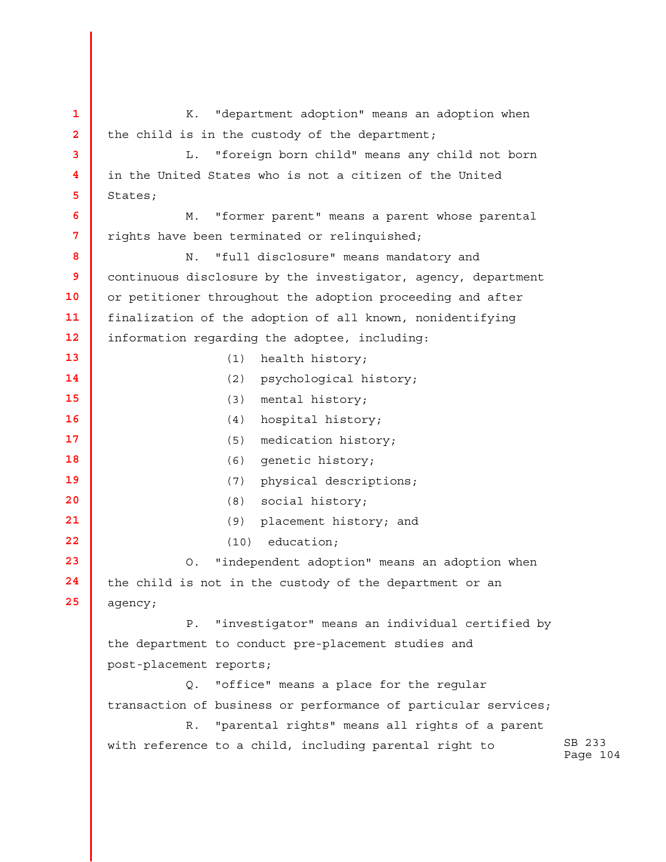SB 233 Page 104 **1 2 3 4 5 6 7 8 9 10 11 12 13 14 15 16 17 18 19 20 21 22 23 24 25**  K. "department adoption" means an adoption when the child is in the custody of the department; L. "foreign born child" means any child not born in the United States who is not a citizen of the United States; M. "former parent" means a parent whose parental rights have been terminated or relinquished; N. "full disclosure" means mandatory and continuous disclosure by the investigator, agency, department or petitioner throughout the adoption proceeding and after finalization of the adoption of all known, nonidentifying information regarding the adoptee, including: (1) health history; (2) psychological history; (3) mental history; (4) hospital history; (5) medication history; (6) genetic history; (7) physical descriptions; (8) social history; (9) placement history; and (10) education; O. "independent adoption" means an adoption when the child is not in the custody of the department or an agency; P. "investigator" means an individual certified by the department to conduct pre-placement studies and post-placement reports; Q. "office" means a place for the regular transaction of business or performance of particular services; R. "parental rights" means all rights of a parent with reference to a child, including parental right to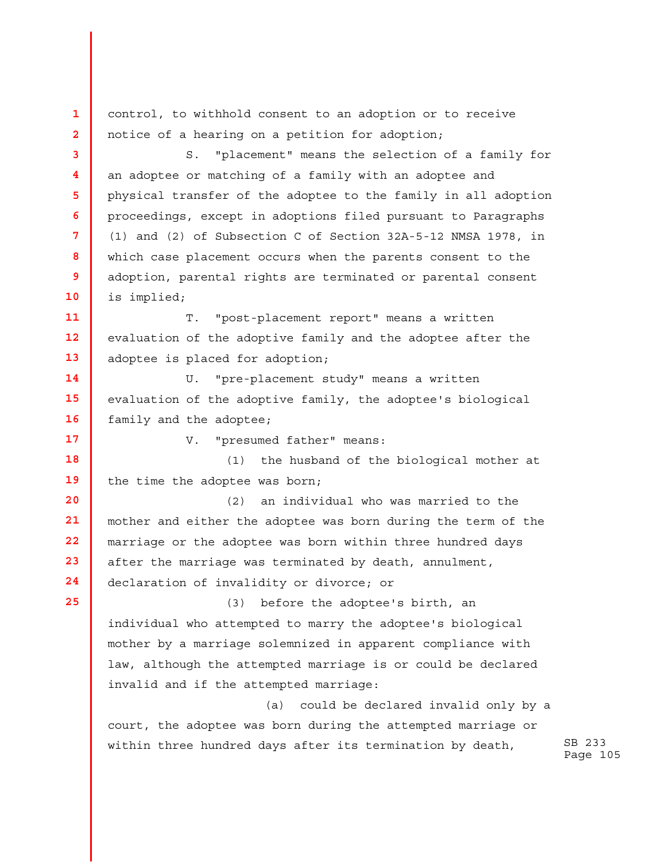**1 2**  control, to withhold consent to an adoption or to receive notice of a hearing on a petition for adoption;

S. "placement" means the selection of a family for an adoptee or matching of a family with an adoptee and physical transfer of the adoptee to the family in all adoption proceedings, except in adoptions filed pursuant to Paragraphs (1) and (2) of Subsection C of Section 32A-5-12 NMSA 1978, in which case placement occurs when the parents consent to the adoption, parental rights are terminated or parental consent is implied;

T. "post-placement report" means a written evaluation of the adoptive family and the adoptee after the adoptee is placed for adoption;

U. "pre-placement study" means a written evaluation of the adoptive family, the adoptee's biological family and the adoptee;

V. "presumed father" means:

(1) the husband of the biological mother at the time the adoptee was born;

(2) an individual who was married to the mother and either the adoptee was born during the term of the marriage or the adoptee was born within three hundred days after the marriage was terminated by death, annulment, declaration of invalidity or divorce; or

(3) before the adoptee's birth, an individual who attempted to marry the adoptee's biological mother by a marriage solemnized in apparent compliance with law, although the attempted marriage is or could be declared invalid and if the attempted marriage:

(a) could be declared invalid only by a court, the adoptee was born during the attempted marriage or within three hundred days after its termination by death,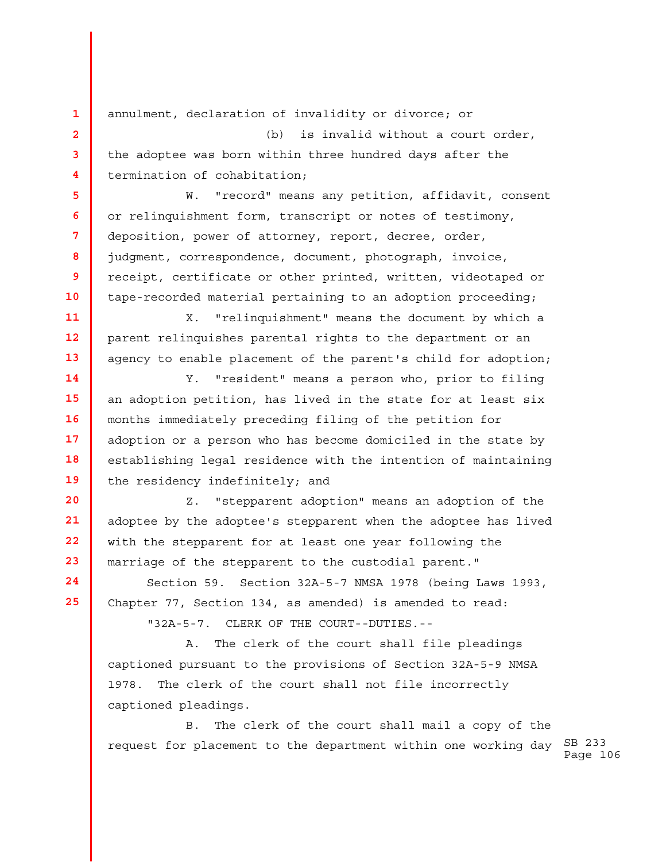annulment, declaration of invalidity or divorce; or (b) is invalid without a court order, the adoptee was born within three hundred days after the termination of cohabitation;

W. "record" means any petition, affidavit, consent or relinquishment form, transcript or notes of testimony, deposition, power of attorney, report, decree, order, judgment, correspondence, document, photograph, invoice, receipt, certificate or other printed, written, videotaped or tape-recorded material pertaining to an adoption proceeding;

X. "relinquishment" means the document by which a parent relinquishes parental rights to the department or an agency to enable placement of the parent's child for adoption;

Y. "resident" means a person who, prior to filing an adoption petition, has lived in the state for at least six months immediately preceding filing of the petition for adoption or a person who has become domiciled in the state by establishing legal residence with the intention of maintaining the residency indefinitely; and

Z. "stepparent adoption" means an adoption of the adoptee by the adoptee's stepparent when the adoptee has lived with the stepparent for at least one year following the marriage of the stepparent to the custodial parent."

Section 59. Section 32A-5-7 NMSA 1978 (being Laws 1993, Chapter 77, Section 134, as amended) is amended to read:

"32A-5-7. CLERK OF THE COURT--DUTIES.--

A. The clerk of the court shall file pleadings captioned pursuant to the provisions of Section 32A-5-9 NMSA 1978. The clerk of the court shall not file incorrectly captioned pleadings.

SB 233 B. The clerk of the court shall mail a copy of the request for placement to the department within one working day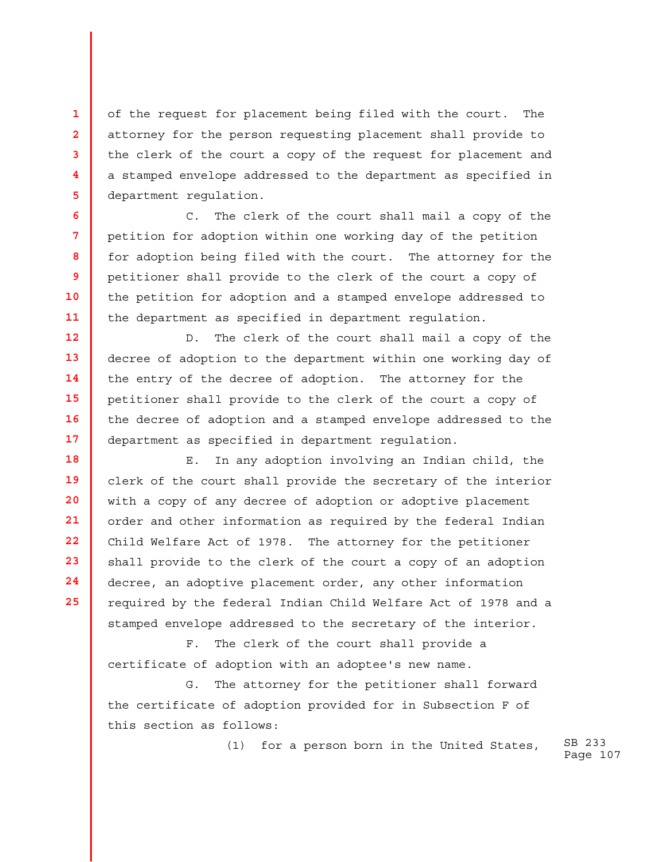of the request for placement being filed with the court. The attorney for the person requesting placement shall provide to the clerk of the court a copy of the request for placement and a stamped envelope addressed to the department as specified in department regulation.

**6 7** 

> C. The clerk of the court shall mail a copy of the petition for adoption within one working day of the petition for adoption being filed with the court. The attorney for the petitioner shall provide to the clerk of the court a copy of the petition for adoption and a stamped envelope addressed to the department as specified in department regulation.

D. The clerk of the court shall mail a copy of the decree of adoption to the department within one working day of the entry of the decree of adoption. The attorney for the petitioner shall provide to the clerk of the court a copy of the decree of adoption and a stamped envelope addressed to the department as specified in department regulation.

E. In any adoption involving an Indian child, the clerk of the court shall provide the secretary of the interior with a copy of any decree of adoption or adoptive placement order and other information as required by the federal Indian Child Welfare Act of 1978. The attorney for the petitioner shall provide to the clerk of the court a copy of an adoption decree, an adoptive placement order, any other information required by the federal Indian Child Welfare Act of 1978 and a stamped envelope addressed to the secretary of the interior.

F. The clerk of the court shall provide a certificate of adoption with an adoptee's new name.

G. The attorney for the petitioner shall forward the certificate of adoption provided for in Subsection F of this section as follows:

> SB 233 (1) for a person born in the United States,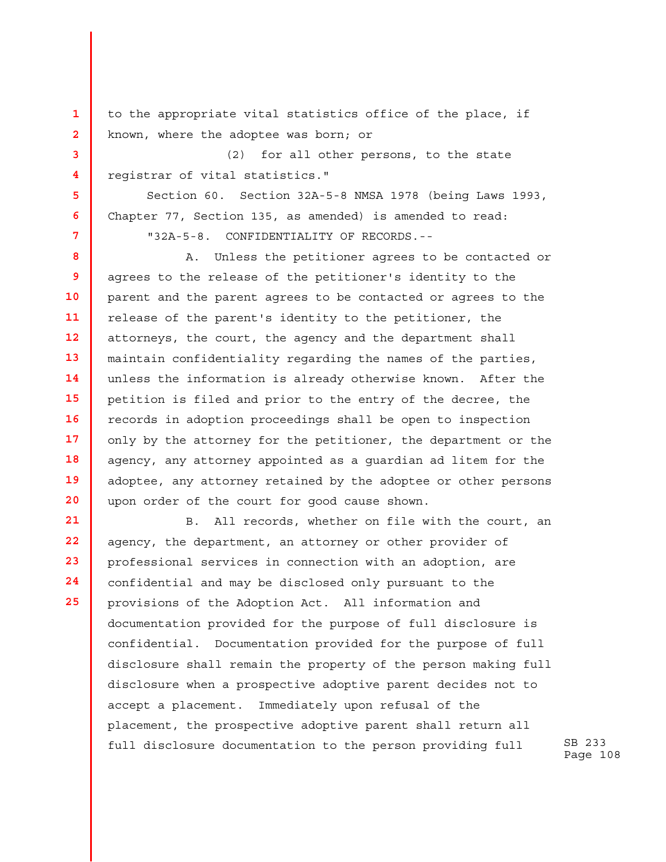to the appropriate vital statistics office of the place, if known, where the adoptee was born; or

(2) for all other persons, to the state registrar of vital statistics."

Section 60. Section 32A-5-8 NMSA 1978 (being Laws 1993, Chapter 77, Section 135, as amended) is amended to read: "32A-5-8. CONFIDENTIALITY OF RECORDS.--

A. Unless the petitioner agrees to be contacted or agrees to the release of the petitioner's identity to the parent and the parent agrees to be contacted or agrees to the release of the parent's identity to the petitioner, the attorneys, the court, the agency and the department shall maintain confidentiality regarding the names of the parties, unless the information is already otherwise known. After the petition is filed and prior to the entry of the decree, the records in adoption proceedings shall be open to inspection only by the attorney for the petitioner, the department or the agency, any attorney appointed as a guardian ad litem for the adoptee, any attorney retained by the adoptee or other persons upon order of the court for good cause shown.

B. All records, whether on file with the court, an agency, the department, an attorney or other provider of professional services in connection with an adoption, are confidential and may be disclosed only pursuant to the provisions of the Adoption Act. All information and documentation provided for the purpose of full disclosure is confidential. Documentation provided for the purpose of full disclosure shall remain the property of the person making full disclosure when a prospective adoptive parent decides not to accept a placement. Immediately upon refusal of the placement, the prospective adoptive parent shall return all full disclosure documentation to the person providing full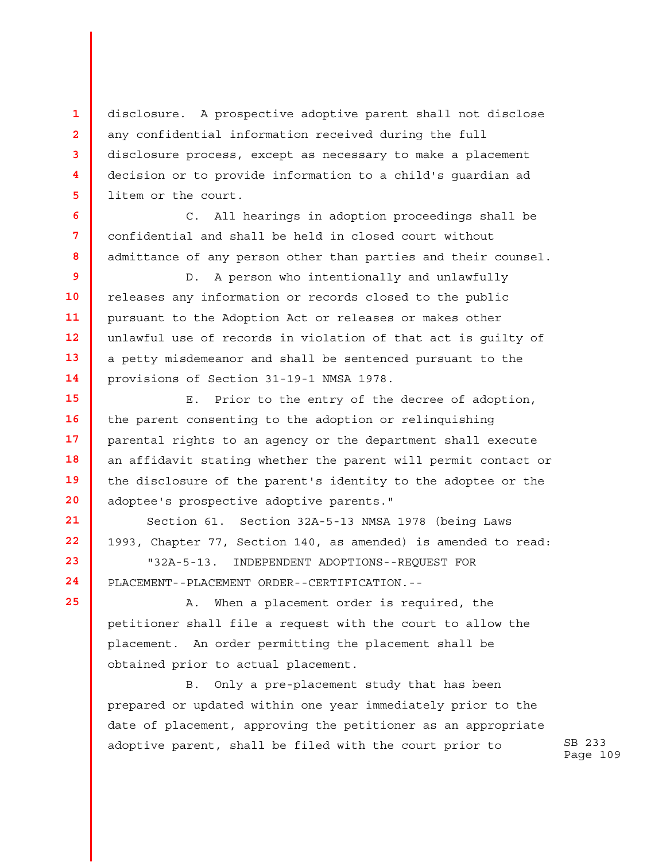disclosure. A prospective adoptive parent shall not disclose any confidential information received during the full disclosure process, except as necessary to make a placement decision or to provide information to a child's guardian ad litem or the court.

C. All hearings in adoption proceedings shall be confidential and shall be held in closed court without admittance of any person other than parties and their counsel.

D. A person who intentionally and unlawfully releases any information or records closed to the public pursuant to the Adoption Act or releases or makes other unlawful use of records in violation of that act is guilty of a petty misdemeanor and shall be sentenced pursuant to the provisions of Section 31-19-1 NMSA 1978.

E. Prior to the entry of the decree of adoption, the parent consenting to the adoption or relinquishing parental rights to an agency or the department shall execute an affidavit stating whether the parent will permit contact or the disclosure of the parent's identity to the adoptee or the adoptee's prospective adoptive parents."

Section 61. Section 32A-5-13 NMSA 1978 (being Laws 1993, Chapter 77, Section 140, as amended) is amended to read:

"32A-5-13. INDEPENDENT ADOPTIONS--REQUEST FOR PLACEMENT--PLACEMENT ORDER--CERTIFICATION.--

A. When a placement order is required, the petitioner shall file a request with the court to allow the placement. An order permitting the placement shall be obtained prior to actual placement.

B. Only a pre-placement study that has been prepared or updated within one year immediately prior to the date of placement, approving the petitioner as an appropriate adoptive parent, shall be filed with the court prior to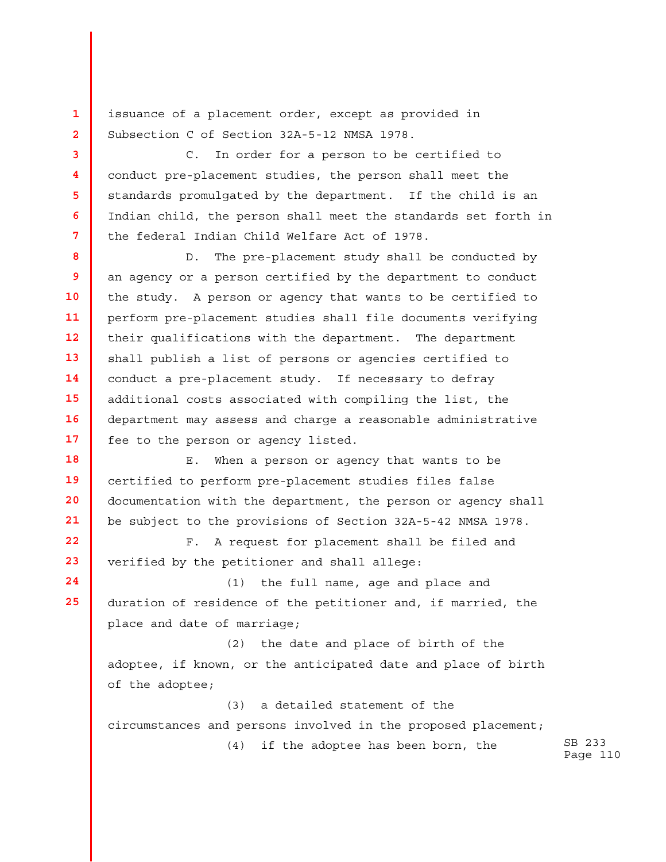issuance of a placement order, except as provided in Subsection C of Section 32A-5-12 NMSA 1978.

C. In order for a person to be certified to conduct pre-placement studies, the person shall meet the standards promulgated by the department. If the child is an Indian child, the person shall meet the standards set forth in the federal Indian Child Welfare Act of 1978.

D. The pre-placement study shall be conducted by an agency or a person certified by the department to conduct the study. A person or agency that wants to be certified to perform pre-placement studies shall file documents verifying their qualifications with the department. The department shall publish a list of persons or agencies certified to conduct a pre-placement study. If necessary to defray additional costs associated with compiling the list, the department may assess and charge a reasonable administrative fee to the person or agency listed.

E. When a person or agency that wants to be certified to perform pre-placement studies files false documentation with the department, the person or agency shall be subject to the provisions of Section 32A-5-42 NMSA 1978.

F. A request for placement shall be filed and verified by the petitioner and shall allege:

(1) the full name, age and place and duration of residence of the petitioner and, if married, the place and date of marriage;

(2) the date and place of birth of the adoptee, if known, or the anticipated date and place of birth of the adoptee;

(3) a detailed statement of the circumstances and persons involved in the proposed placement;

(4) if the adoptee has been born, the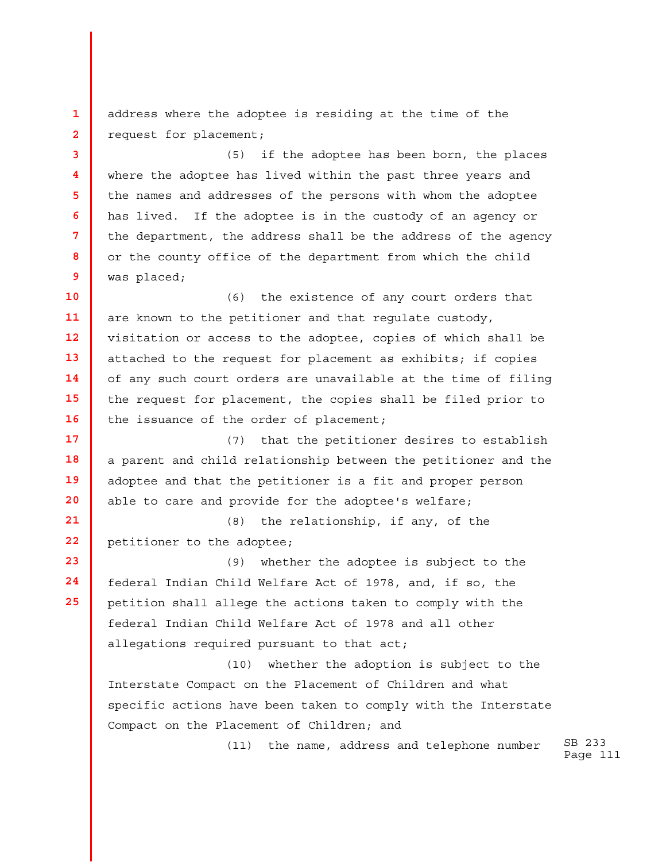**1 2**  address where the adoptee is residing at the time of the request for placement;

(5) if the adoptee has been born, the places where the adoptee has lived within the past three years and the names and addresses of the persons with whom the adoptee has lived. If the adoptee is in the custody of an agency or the department, the address shall be the address of the agency or the county office of the department from which the child was placed;

(6) the existence of any court orders that are known to the petitioner and that regulate custody, visitation or access to the adoptee, copies of which shall be attached to the request for placement as exhibits; if copies of any such court orders are unavailable at the time of filing the request for placement, the copies shall be filed prior to the issuance of the order of placement;

(7) that the petitioner desires to establish a parent and child relationship between the petitioner and the adoptee and that the petitioner is a fit and proper person able to care and provide for the adoptee's welfare;

(8) the relationship, if any, of the petitioner to the adoptee;

(9) whether the adoptee is subject to the federal Indian Child Welfare Act of 1978, and, if so, the petition shall allege the actions taken to comply with the federal Indian Child Welfare Act of 1978 and all other allegations required pursuant to that act;

(10) whether the adoption is subject to the Interstate Compact on the Placement of Children and what specific actions have been taken to comply with the Interstate Compact on the Placement of Children; and

> SB 233 (11) the name, address and telephone number

Page 111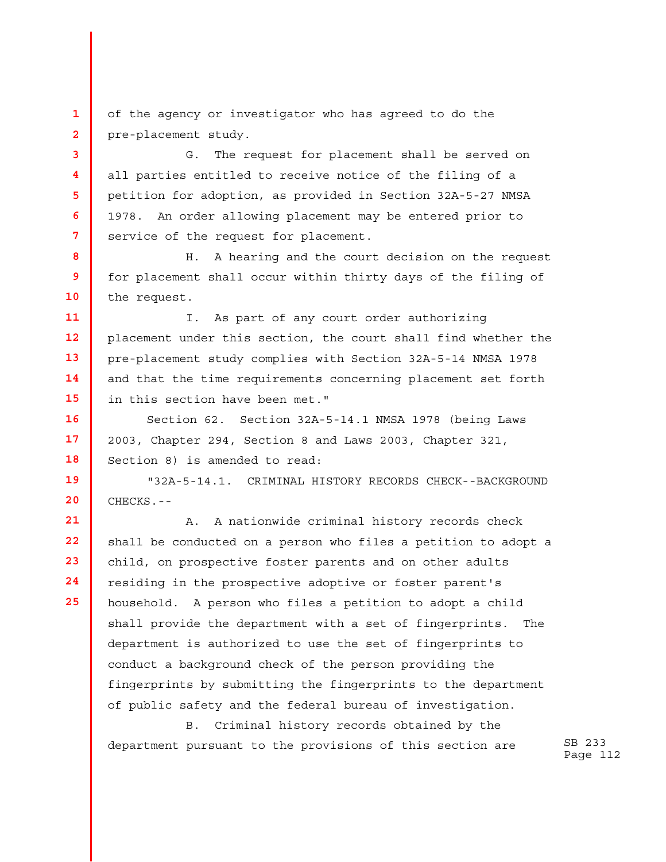**1 2**  of the agency or investigator who has agreed to do the pre-placement study.

G. The request for placement shall be served on all parties entitled to receive notice of the filing of a petition for adoption, as provided in Section 32A-5-27 NMSA 1978. An order allowing placement may be entered prior to service of the request for placement.

H. A hearing and the court decision on the request for placement shall occur within thirty days of the filing of the request.

I. As part of any court order authorizing placement under this section, the court shall find whether the pre-placement study complies with Section 32A-5-14 NMSA 1978 and that the time requirements concerning placement set forth in this section have been met."

Section 62. Section 32A-5-14.1 NMSA 1978 (being Laws 2003, Chapter 294, Section 8 and Laws 2003, Chapter 321, Section 8) is amended to read:

"32A-5-14.1. CRIMINAL HISTORY RECORDS CHECK--BACKGROUND CHECKS.--

A. A nationwide criminal history records check shall be conducted on a person who files a petition to adopt a child, on prospective foster parents and on other adults residing in the prospective adoptive or foster parent's household. A person who files a petition to adopt a child shall provide the department with a set of fingerprints. The department is authorized to use the set of fingerprints to conduct a background check of the person providing the fingerprints by submitting the fingerprints to the department of public safety and the federal bureau of investigation.

B. Criminal history records obtained by the department pursuant to the provisions of this section are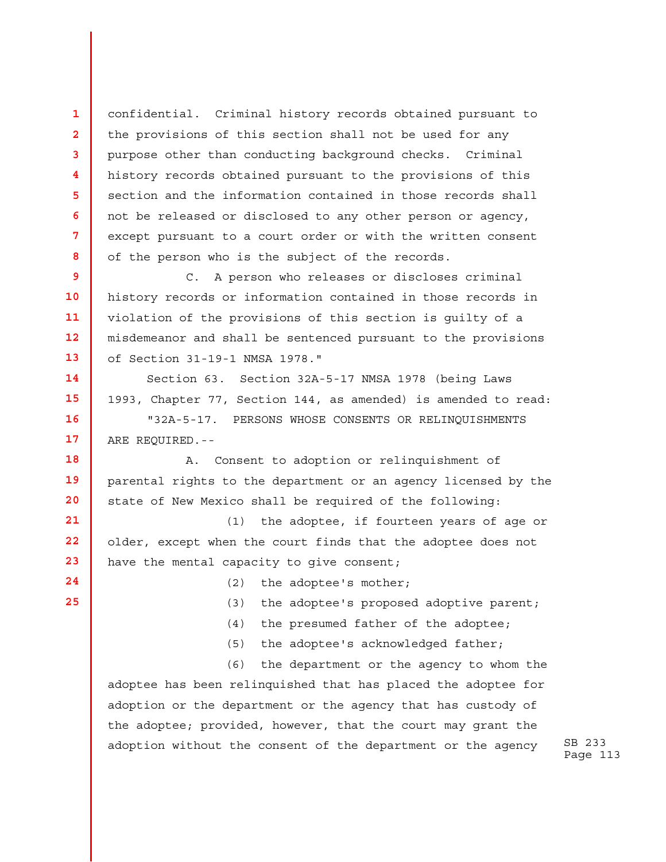confidential. Criminal history records obtained pursuant to the provisions of this section shall not be used for any purpose other than conducting background checks. Criminal history records obtained pursuant to the provisions of this section and the information contained in those records shall not be released or disclosed to any other person or agency, except pursuant to a court order or with the written consent of the person who is the subject of the records.

C. A person who releases or discloses criminal history records or information contained in those records in violation of the provisions of this section is guilty of a misdemeanor and shall be sentenced pursuant to the provisions of Section 31-19-1 NMSA 1978."

Section 63. Section 32A-5-17 NMSA 1978 (being Laws 1993, Chapter 77, Section 144, as amended) is amended to read:

"32A-5-17. PERSONS WHOSE CONSENTS OR RELINQUISHMENTS ARE REQUIRED.--

A. Consent to adoption or relinquishment of parental rights to the department or an agency licensed by the state of New Mexico shall be required of the following:

(1) the adoptee, if fourteen years of age or older, except when the court finds that the adoptee does not have the mental capacity to give consent;

**24 25** 

(2) the adoptee's mother;

- (3) the adoptee's proposed adoptive parent;
- (4) the presumed father of the adoptee;
- (5) the adoptee's acknowledged father;

(6) the department or the agency to whom the adoptee has been relinquished that has placed the adoptee for adoption or the department or the agency that has custody of the adoptee; provided, however, that the court may grant the adoption without the consent of the department or the agency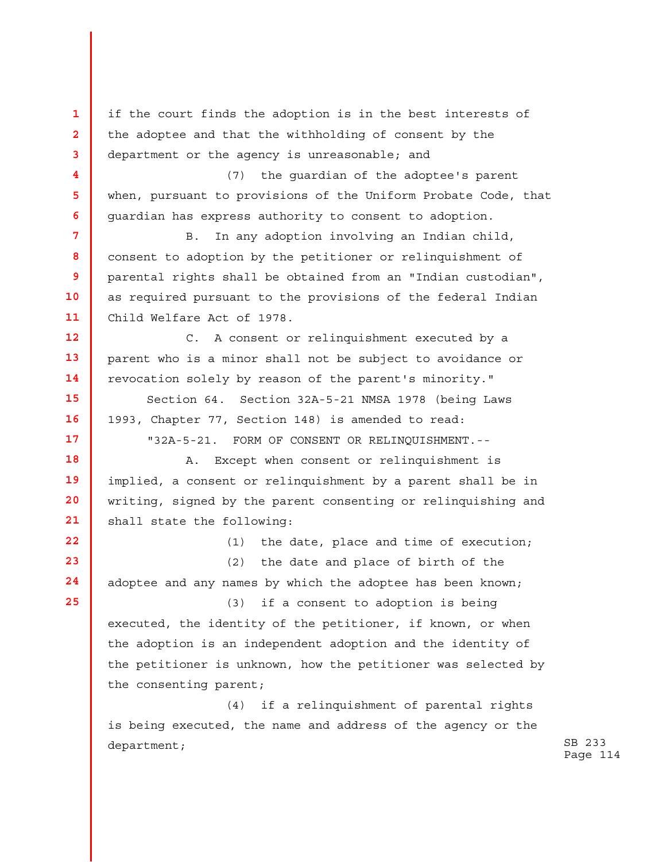if the court finds the adoption is in the best interests of the adoptee and that the withholding of consent by the department or the agency is unreasonable; and

(7) the guardian of the adoptee's parent when, pursuant to provisions of the Uniform Probate Code, that guardian has express authority to consent to adoption.

B. In any adoption involving an Indian child, consent to adoption by the petitioner or relinquishment of parental rights shall be obtained from an "Indian custodian", as required pursuant to the provisions of the federal Indian Child Welfare Act of 1978.

C. A consent or relinquishment executed by a parent who is a minor shall not be subject to avoidance or revocation solely by reason of the parent's minority."

Section 64. Section 32A-5-21 NMSA 1978 (being Laws 1993, Chapter 77, Section 148) is amended to read: "32A-5-21. FORM OF CONSENT OR RELINQUISHMENT.--

A. Except when consent or relinquishment is implied, a consent or relinquishment by a parent shall be in writing, signed by the parent consenting or relinquishing and shall state the following:

(1) the date, place and time of execution;

(2) the date and place of birth of the adoptee and any names by which the adoptee has been known;

(3) if a consent to adoption is being executed, the identity of the petitioner, if known, or when the adoption is an independent adoption and the identity of the petitioner is unknown, how the petitioner was selected by the consenting parent;

(4) if a relinquishment of parental rights is being executed, the name and address of the agency or the department;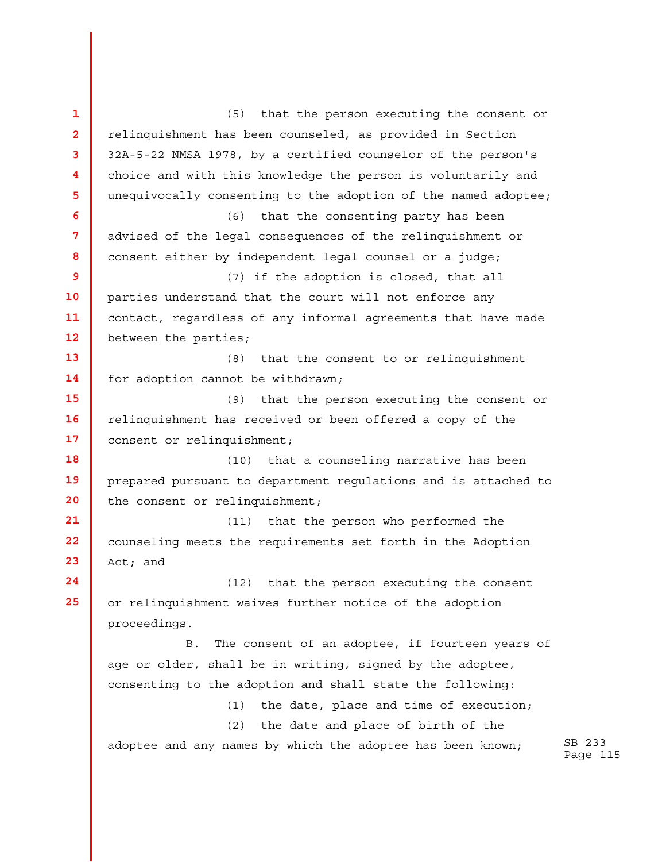SB 233 Page 115 **1 2 3 4 5 6 7 8 9 10 11 12 13 14 15 16 17 18 19 20 21 22 23 24 25**  (5) that the person executing the consent or relinquishment has been counseled, as provided in Section 32A-5-22 NMSA 1978, by a certified counselor of the person's choice and with this knowledge the person is voluntarily and unequivocally consenting to the adoption of the named adoptee; (6) that the consenting party has been advised of the legal consequences of the relinquishment or consent either by independent legal counsel or a judge; (7) if the adoption is closed, that all parties understand that the court will not enforce any contact, regardless of any informal agreements that have made between the parties; (8) that the consent to or relinquishment for adoption cannot be withdrawn; (9) that the person executing the consent or relinquishment has received or been offered a copy of the consent or relinquishment; (10) that a counseling narrative has been prepared pursuant to department regulations and is attached to the consent or relinquishment; (11) that the person who performed the counseling meets the requirements set forth in the Adoption Act; and (12) that the person executing the consent or relinquishment waives further notice of the adoption proceedings. B. The consent of an adoptee, if fourteen years of age or older, shall be in writing, signed by the adoptee, consenting to the adoption and shall state the following: (1) the date, place and time of execution; (2) the date and place of birth of the adoptee and any names by which the adoptee has been known;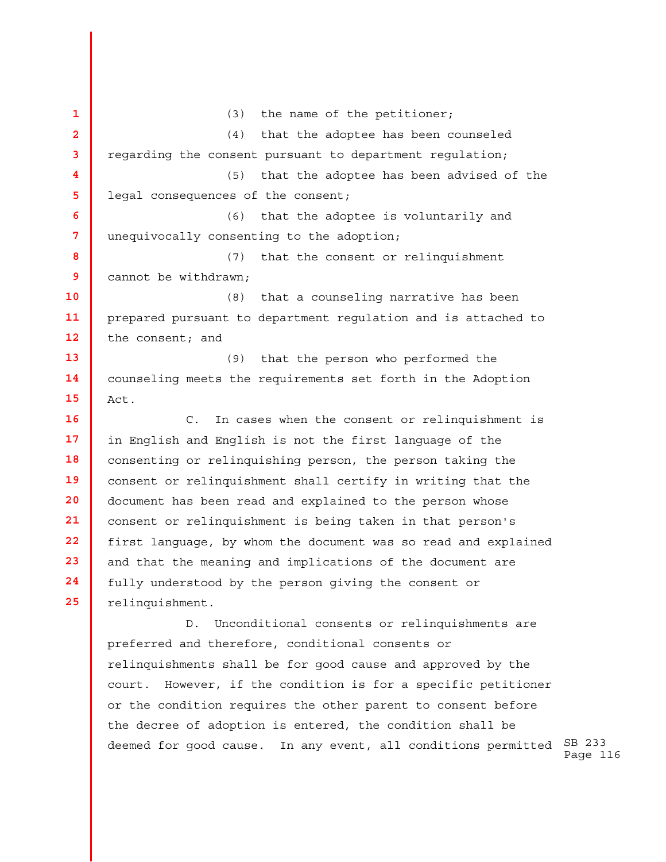**1 2 3 4 5 6 7 8 9 10 11 12 13 14 15 16 17 18 19 20 21 22 23 24 25**  (3) the name of the petitioner; (4) that the adoptee has been counseled regarding the consent pursuant to department regulation; (5) that the adoptee has been advised of the legal consequences of the consent; (6) that the adoptee is voluntarily and unequivocally consenting to the adoption; (7) that the consent or relinquishment cannot be withdrawn; (8) that a counseling narrative has been prepared pursuant to department regulation and is attached to the consent; and (9) that the person who performed the counseling meets the requirements set forth in the Adoption Act. C. In cases when the consent or relinquishment is in English and English is not the first language of the consenting or relinquishing person, the person taking the consent or relinquishment shall certify in writing that the document has been read and explained to the person whose consent or relinquishment is being taken in that person's first language, by whom the document was so read and explained and that the meaning and implications of the document are fully understood by the person giving the consent or relinquishment.

deemed for good cause. In any event, all conditions permitted SB 233 D. Unconditional consents or relinquishments are preferred and therefore, conditional consents or relinquishments shall be for good cause and approved by the court. However, if the condition is for a specific petitioner or the condition requires the other parent to consent before the decree of adoption is entered, the condition shall be

Page 116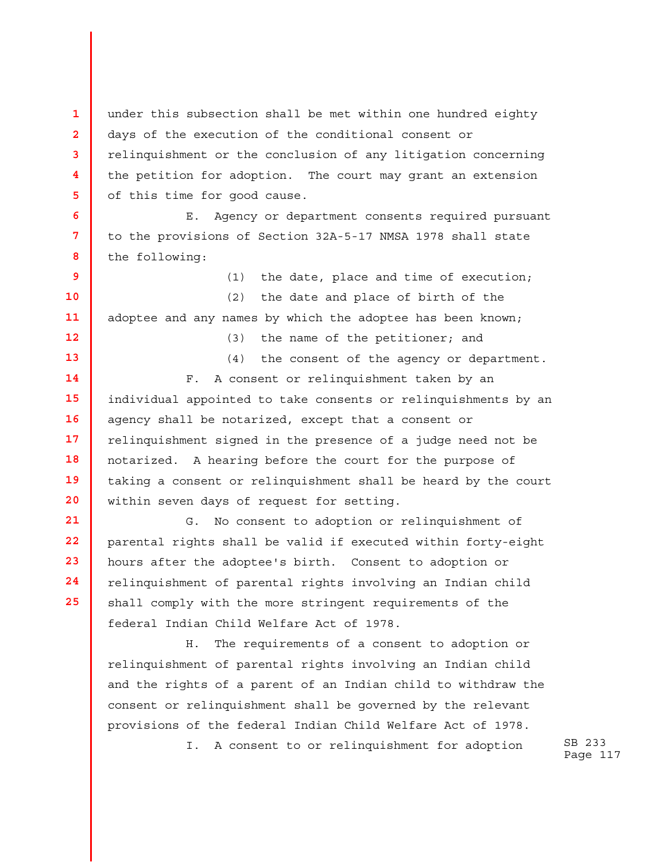**1 2 3 4 5**  under this subsection shall be met within one hundred eighty days of the execution of the conditional consent or relinquishment or the conclusion of any litigation concerning the petition for adoption. The court may grant an extension of this time for good cause.

E. Agency or department consents required pursuant to the provisions of Section 32A-5-17 NMSA 1978 shall state the following:

(1) the date, place and time of execution; (2) the date and place of birth of the adoptee and any names by which the adoptee has been known;

(3) the name of the petitioner; and

(4) the consent of the agency or department.

**14**  F. A consent or relinquishment taken by an individual appointed to take consents or relinquishments by an agency shall be notarized, except that a consent or relinquishment signed in the presence of a judge need not be notarized. A hearing before the court for the purpose of taking a consent or relinquishment shall be heard by the court within seven days of request for setting.

G. No consent to adoption or relinquishment of parental rights shall be valid if executed within forty-eight hours after the adoptee's birth. Consent to adoption or relinquishment of parental rights involving an Indian child shall comply with the more stringent requirements of the federal Indian Child Welfare Act of 1978.

H. The requirements of a consent to adoption or relinquishment of parental rights involving an Indian child and the rights of a parent of an Indian child to withdraw the consent or relinquishment shall be governed by the relevant provisions of the federal Indian Child Welfare Act of 1978.

I. A consent to or relinquishment for adoption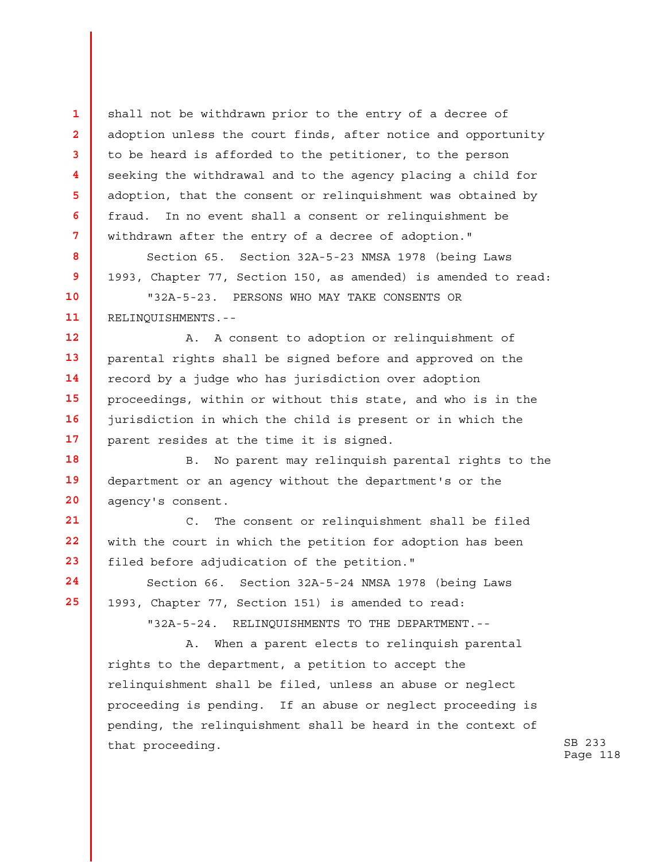shall not be withdrawn prior to the entry of a decree of adoption unless the court finds, after notice and opportunity to be heard is afforded to the petitioner, to the person seeking the withdrawal and to the agency placing a child for adoption, that the consent or relinquishment was obtained by fraud. In no event shall a consent or relinquishment be withdrawn after the entry of a decree of adoption."

Section 65. Section 32A-5-23 NMSA 1978 (being Laws 1993, Chapter 77, Section 150, as amended) is amended to read:

"32A-5-23. PERSONS WHO MAY TAKE CONSENTS OR RELINQUISHMENTS.--

A. A consent to adoption or relinquishment of parental rights shall be signed before and approved on the record by a judge who has jurisdiction over adoption proceedings, within or without this state, and who is in the jurisdiction in which the child is present or in which the parent resides at the time it is signed.

B. No parent may relinquish parental rights to the department or an agency without the department's or the agency's consent.

C. The consent or relinquishment shall be filed with the court in which the petition for adoption has been filed before adjudication of the petition."

Section 66. Section 32A-5-24 NMSA 1978 (being Laws 1993, Chapter 77, Section 151) is amended to read:

"32A-5-24. RELINQUISHMENTS TO THE DEPARTMENT.--

A. When a parent elects to relinquish parental rights to the department, a petition to accept the relinquishment shall be filed, unless an abuse or neglect proceeding is pending. If an abuse or neglect proceeding is pending, the relinquishment shall be heard in the context of that proceeding.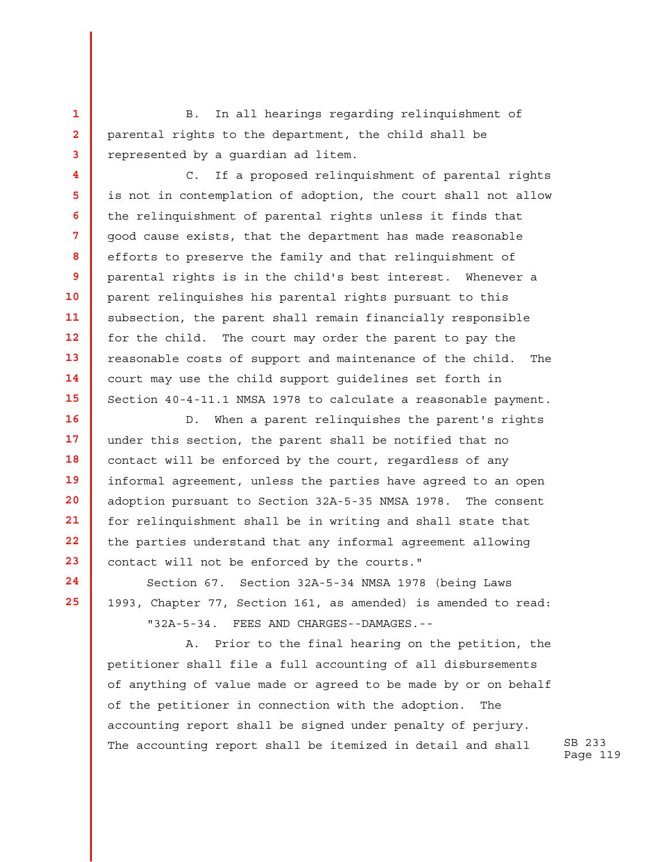B. In all hearings regarding relinquishment of parental rights to the department, the child shall be represented by a guardian ad litem.

C. If a proposed relinquishment of parental rights is not in contemplation of adoption, the court shall not allow the relinquishment of parental rights unless it finds that good cause exists, that the department has made reasonable efforts to preserve the family and that relinquishment of parental rights is in the child's best interest. Whenever a parent relinquishes his parental rights pursuant to this subsection, the parent shall remain financially responsible for the child. The court may order the parent to pay the reasonable costs of support and maintenance of the child. The court may use the child support guidelines set forth in Section 40-4-11.1 NMSA 1978 to calculate a reasonable payment.

D. When a parent relinquishes the parent's rights under this section, the parent shall be notified that no contact will be enforced by the court, regardless of any informal agreement, unless the parties have agreed to an open adoption pursuant to Section 32A-5-35 NMSA 1978. The consent for relinquishment shall be in writing and shall state that the parties understand that any informal agreement allowing contact will not be enforced by the courts."

Section 67. Section 32A-5-34 NMSA 1978 (being Laws 1993, Chapter 77, Section 161, as amended) is amended to read: "32A-5-34. FEES AND CHARGES--DAMAGES.--

A. Prior to the final hearing on the petition, the petitioner shall file a full accounting of all disbursements of anything of value made or agreed to be made by or on behalf of the petitioner in connection with the adoption. The accounting report shall be signed under penalty of perjury. The accounting report shall be itemized in detail and shall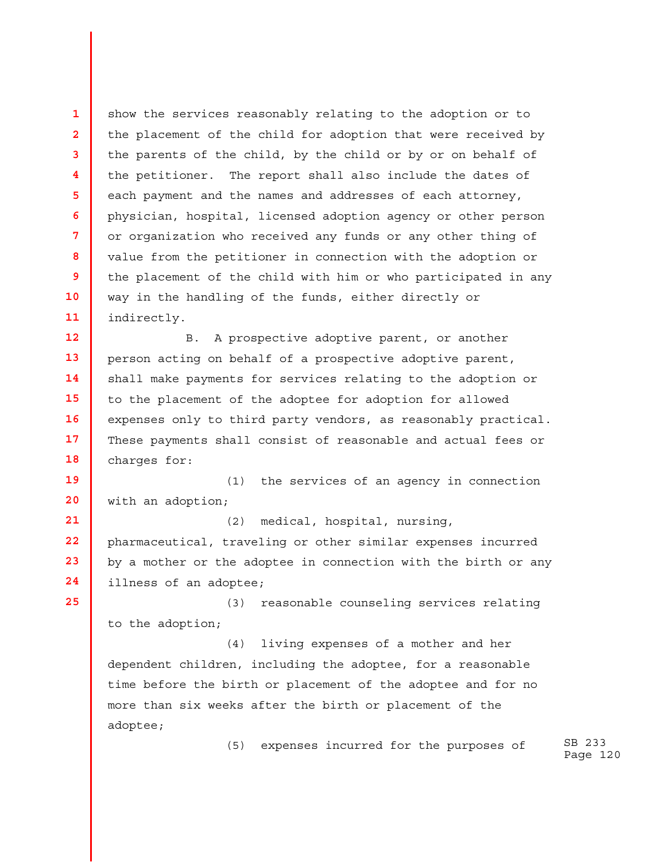**1 2 3 4 5 6 7 8 9 10 11**  show the services reasonably relating to the adoption or to the placement of the child for adoption that were received by the parents of the child, by the child or by or on behalf of the petitioner. The report shall also include the dates of each payment and the names and addresses of each attorney, physician, hospital, licensed adoption agency or other person or organization who received any funds or any other thing of value from the petitioner in connection with the adoption or the placement of the child with him or who participated in any way in the handling of the funds, either directly or indirectly.

B. A prospective adoptive parent, or another person acting on behalf of a prospective adoptive parent, shall make payments for services relating to the adoption or to the placement of the adoptee for adoption for allowed expenses only to third party vendors, as reasonably practical. These payments shall consist of reasonable and actual fees or charges for:

**19 20**  (1) the services of an agency in connection with an adoption;

(2) medical, hospital, nursing, pharmaceutical, traveling or other similar expenses incurred by a mother or the adoptee in connection with the birth or any illness of an adoptee;

(3) reasonable counseling services relating to the adoption;

(4) living expenses of a mother and her dependent children, including the adoptee, for a reasonable time before the birth or placement of the adoptee and for no more than six weeks after the birth or placement of the adoptee;

(5) expenses incurred for the purposes of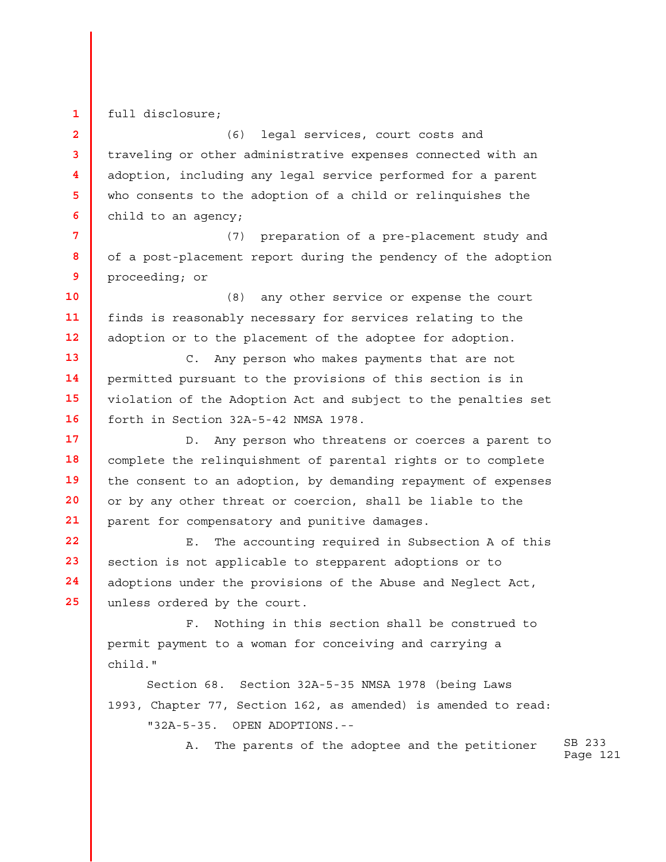full disclosure;

(6) legal services, court costs and traveling or other administrative expenses connected with an adoption, including any legal service performed for a parent who consents to the adoption of a child or relinquishes the child to an agency;

(7) preparation of a pre-placement study and of a post-placement report during the pendency of the adoption proceeding; or

(8) any other service or expense the court finds is reasonably necessary for services relating to the adoption or to the placement of the adoptee for adoption.

C. Any person who makes payments that are not permitted pursuant to the provisions of this section is in violation of the Adoption Act and subject to the penalties set forth in Section 32A-5-42 NMSA 1978.

D. Any person who threatens or coerces a parent to complete the relinquishment of parental rights or to complete the consent to an adoption, by demanding repayment of expenses or by any other threat or coercion, shall be liable to the parent for compensatory and punitive damages.

E. The accounting required in Subsection A of this section is not applicable to stepparent adoptions or to adoptions under the provisions of the Abuse and Neglect Act, unless ordered by the court.

F. Nothing in this section shall be construed to permit payment to a woman for conceiving and carrying a child."

Section 68. Section 32A-5-35 NMSA 1978 (being Laws 1993, Chapter 77, Section 162, as amended) is amended to read: "32A-5-35. OPEN ADOPTIONS.--

> SB 233 A. The parents of the adoptee and the petitioner

Page 121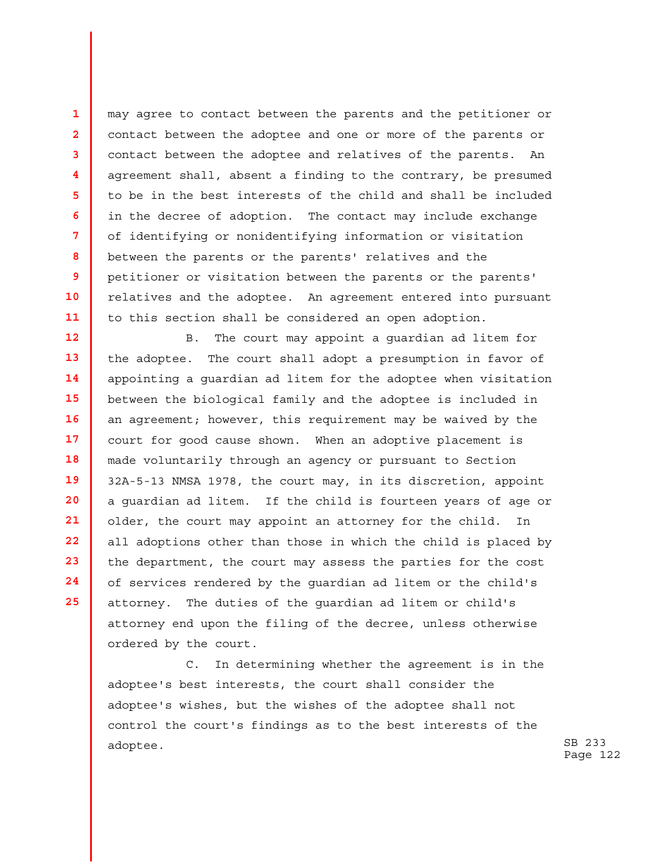may agree to contact between the parents and the petitioner or contact between the adoptee and one or more of the parents or contact between the adoptee and relatives of the parents. An agreement shall, absent a finding to the contrary, be presumed to be in the best interests of the child and shall be included in the decree of adoption. The contact may include exchange of identifying or nonidentifying information or visitation between the parents or the parents' relatives and the petitioner or visitation between the parents or the parents' relatives and the adoptee. An agreement entered into pursuant to this section shall be considered an open adoption.

B. The court may appoint a guardian ad litem for the adoptee. The court shall adopt a presumption in favor of appointing a guardian ad litem for the adoptee when visitation between the biological family and the adoptee is included in an agreement; however, this requirement may be waived by the court for good cause shown. When an adoptive placement is made voluntarily through an agency or pursuant to Section 32A-5-13 NMSA 1978, the court may, in its discretion, appoint a guardian ad litem. If the child is fourteen years of age or older, the court may appoint an attorney for the child. In all adoptions other than those in which the child is placed by the department, the court may assess the parties for the cost of services rendered by the guardian ad litem or the child's attorney. The duties of the guardian ad litem or child's attorney end upon the filing of the decree, unless otherwise ordered by the court.

C. In determining whether the agreement is in the adoptee's best interests, the court shall consider the adoptee's wishes, but the wishes of the adoptee shall not control the court's findings as to the best interests of the adoptee.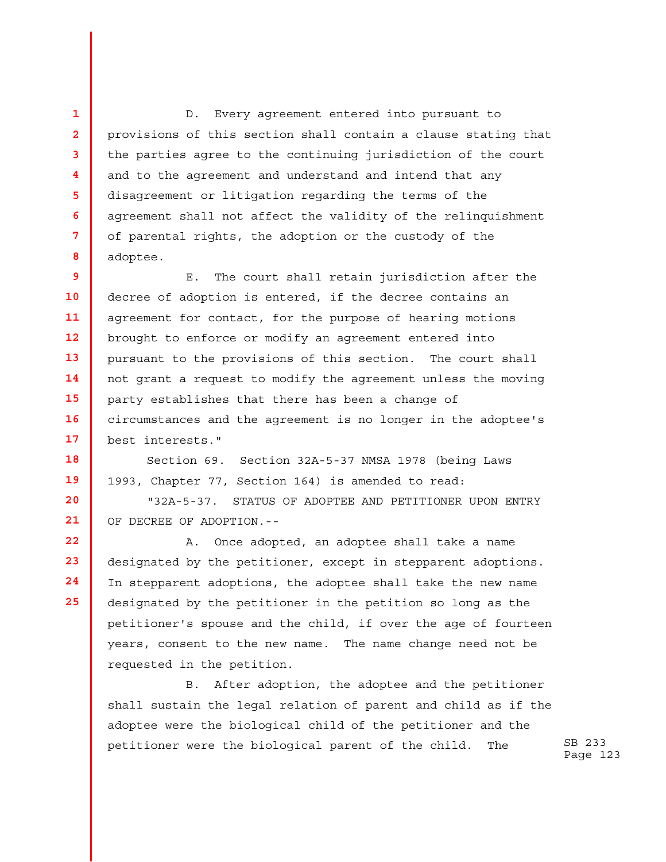D. Every agreement entered into pursuant to provisions of this section shall contain a clause stating that the parties agree to the continuing jurisdiction of the court and to the agreement and understand and intend that any disagreement or litigation regarding the terms of the agreement shall not affect the validity of the relinquishment of parental rights, the adoption or the custody of the adoptee.

E. The court shall retain jurisdiction after the decree of adoption is entered, if the decree contains an agreement for contact, for the purpose of hearing motions brought to enforce or modify an agreement entered into pursuant to the provisions of this section. The court shall not grant a request to modify the agreement unless the moving party establishes that there has been a change of circumstances and the agreement is no longer in the adoptee's best interests."

Section 69. Section 32A-5-37 NMSA 1978 (being Laws 1993, Chapter 77, Section 164) is amended to read:

"32A-5-37. STATUS OF ADOPTEE AND PETITIONER UPON ENTRY OF DECREE OF ADOPTION.--

A. Once adopted, an adoptee shall take a name designated by the petitioner, except in stepparent adoptions. In stepparent adoptions, the adoptee shall take the new name designated by the petitioner in the petition so long as the petitioner's spouse and the child, if over the age of fourteen years, consent to the new name. The name change need not be requested in the petition.

B. After adoption, the adoptee and the petitioner shall sustain the legal relation of parent and child as if the adoptee were the biological child of the petitioner and the petitioner were the biological parent of the child. The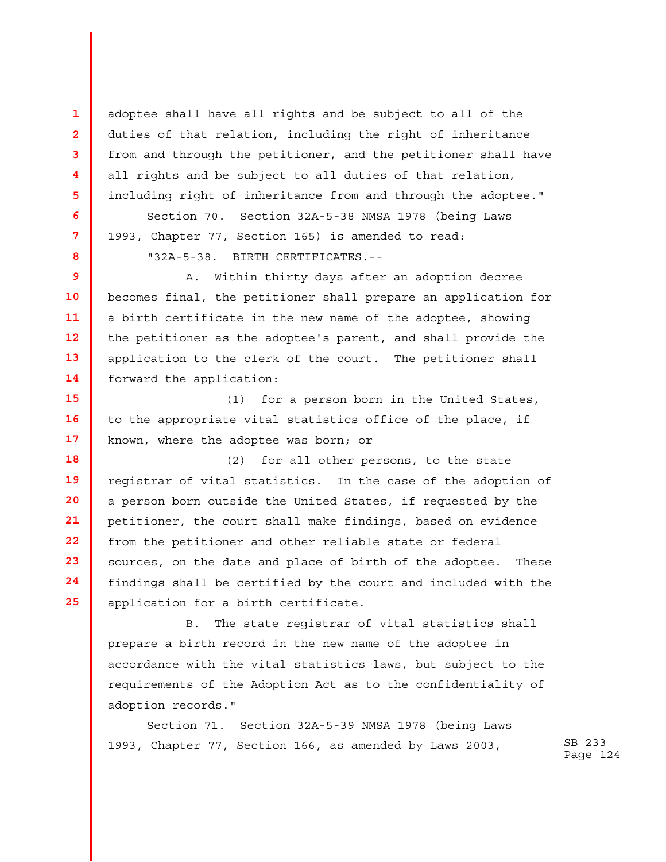adoptee shall have all rights and be subject to all of the duties of that relation, including the right of inheritance from and through the petitioner, and the petitioner shall have all rights and be subject to all duties of that relation, including right of inheritance from and through the adoptee."

Section 70. Section 32A-5-38 NMSA 1978 (being Laws 1993, Chapter 77, Section 165) is amended to read:

"32A-5-38. BIRTH CERTIFICATES.--

A. Within thirty days after an adoption decree becomes final, the petitioner shall prepare an application for a birth certificate in the new name of the adoptee, showing the petitioner as the adoptee's parent, and shall provide the application to the clerk of the court. The petitioner shall forward the application:

(1) for a person born in the United States, to the appropriate vital statistics office of the place, if known, where the adoptee was born; or

(2) for all other persons, to the state registrar of vital statistics. In the case of the adoption of a person born outside the United States, if requested by the petitioner, the court shall make findings, based on evidence from the petitioner and other reliable state or federal sources, on the date and place of birth of the adoptee. These findings shall be certified by the court and included with the application for a birth certificate.

B. The state registrar of vital statistics shall prepare a birth record in the new name of the adoptee in accordance with the vital statistics laws, but subject to the requirements of the Adoption Act as to the confidentiality of adoption records."

SB 233 Section 71. Section 32A-5-39 NMSA 1978 (being Laws 1993, Chapter 77, Section 166, as amended by Laws 2003,

Page 124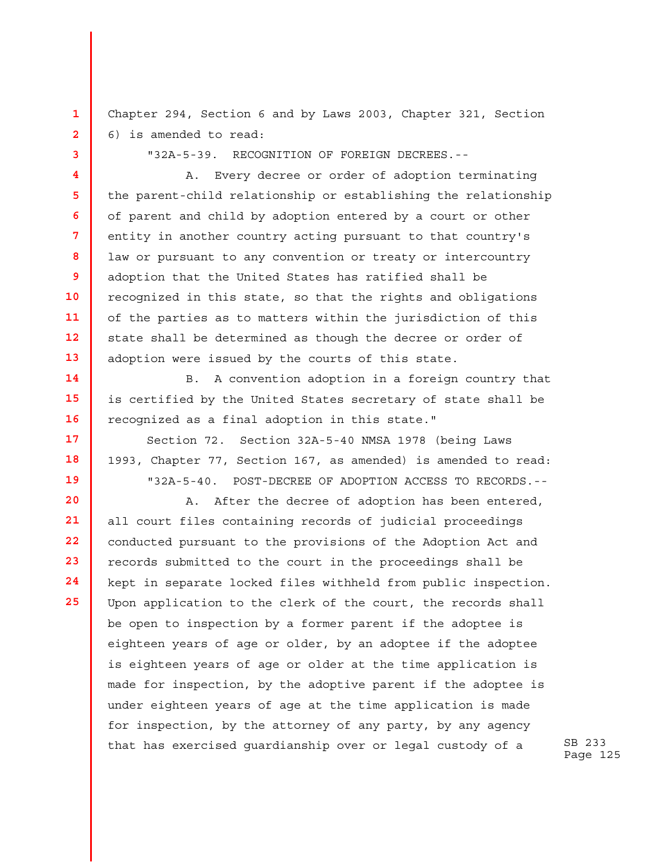Chapter 294, Section 6 and by Laws 2003, Chapter 321, Section 6) is amended to read:

"32A-5-39. RECOGNITION OF FOREIGN DECREES.--

A. Every decree or order of adoption terminating the parent-child relationship or establishing the relationship of parent and child by adoption entered by a court or other entity in another country acting pursuant to that country's law or pursuant to any convention or treaty or intercountry adoption that the United States has ratified shall be recognized in this state, so that the rights and obligations of the parties as to matters within the jurisdiction of this state shall be determined as though the decree or order of adoption were issued by the courts of this state.

B. A convention adoption in a foreign country that is certified by the United States secretary of state shall be recognized as a final adoption in this state."

Section 72. Section 32A-5-40 NMSA 1978 (being Laws 1993, Chapter 77, Section 167, as amended) is amended to read: "32A-5-40. POST-DECREE OF ADOPTION ACCESS TO RECORDS.--

A. After the decree of adoption has been entered, all court files containing records of judicial proceedings conducted pursuant to the provisions of the Adoption Act and records submitted to the court in the proceedings shall be kept in separate locked files withheld from public inspection. Upon application to the clerk of the court, the records shall be open to inspection by a former parent if the adoptee is eighteen years of age or older, by an adoptee if the adoptee is eighteen years of age or older at the time application is made for inspection, by the adoptive parent if the adoptee is under eighteen years of age at the time application is made for inspection, by the attorney of any party, by any agency that has exercised guardianship over or legal custody of a

SB 233 Page 125

**25**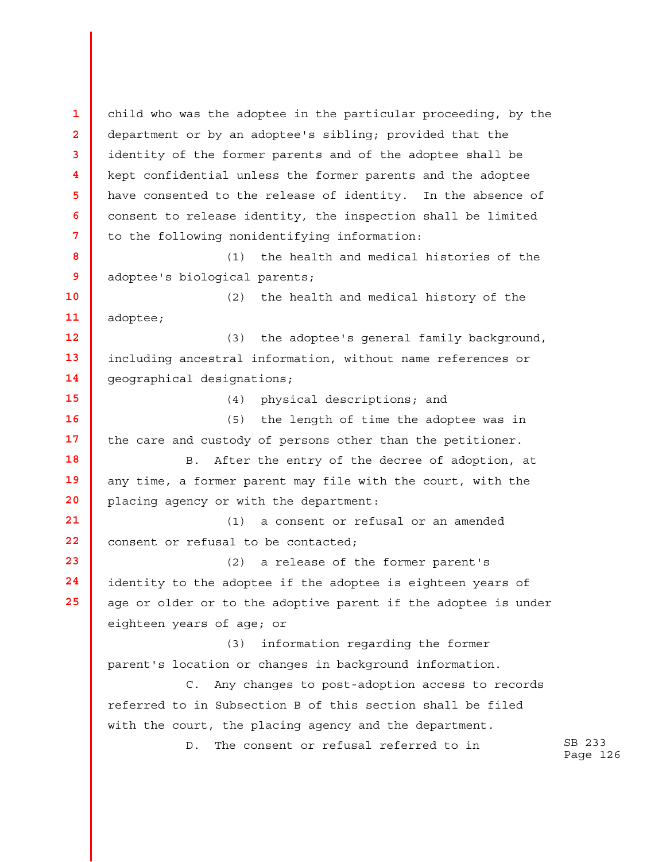**1 2 3 4 5 6 7 8 9 10 11 12 13 14 15 16 17 18 19 20 21 22 23 24 25**  child who was the adoptee in the particular proceeding, by the department or by an adoptee's sibling; provided that the identity of the former parents and of the adoptee shall be kept confidential unless the former parents and the adoptee have consented to the release of identity. In the absence of consent to release identity, the inspection shall be limited to the following nonidentifying information: (1) the health and medical histories of the adoptee's biological parents; (2) the health and medical history of the adoptee; (3) the adoptee's general family background, including ancestral information, without name references or geographical designations; (4) physical descriptions; and (5) the length of time the adoptee was in the care and custody of persons other than the petitioner. B. After the entry of the decree of adoption, at any time, a former parent may file with the court, with the placing agency or with the department: (1) a consent or refusal or an amended consent or refusal to be contacted; (2) a release of the former parent's identity to the adoptee if the adoptee is eighteen years of age or older or to the adoptive parent if the adoptee is under eighteen years of age; or (3) information regarding the former parent's location or changes in background information. C. Any changes to post-adoption access to records referred to in Subsection B of this section shall be filed with the court, the placing agency and the department. D. The consent or refusal referred to in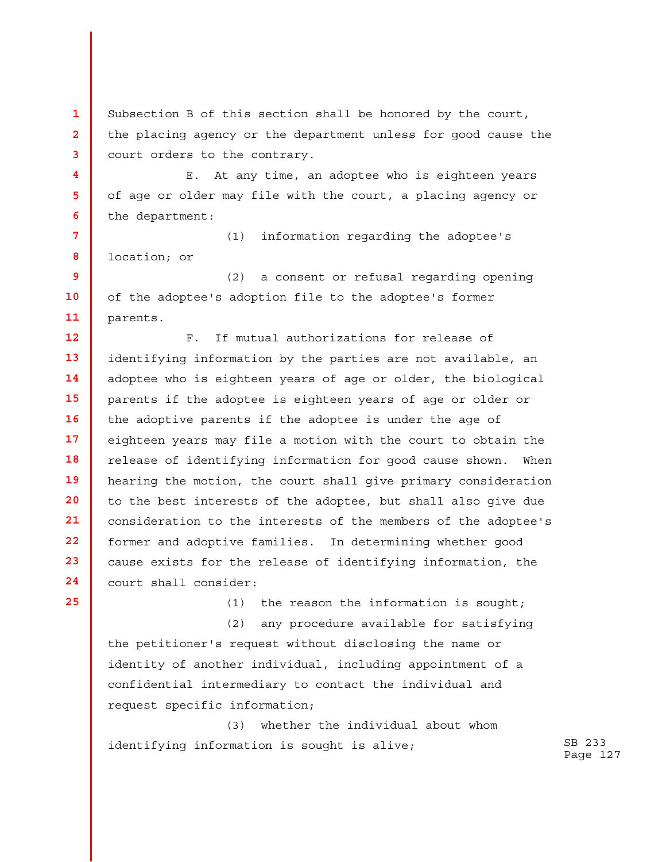**1 2 3**  Subsection B of this section shall be honored by the court, the placing agency or the department unless for good cause the court orders to the contrary.

E. At any time, an adoptee who is eighteen years of age or older may file with the court, a placing agency or the department:

(1) information regarding the adoptee's location; or

(2) a consent or refusal regarding opening of the adoptee's adoption file to the adoptee's former parents.

**12 13 14 15 16 17 18 19 20 21 22 23 24**  F. If mutual authorizations for release of identifying information by the parties are not available, an adoptee who is eighteen years of age or older, the biological parents if the adoptee is eighteen years of age or older or the adoptive parents if the adoptee is under the age of eighteen years may file a motion with the court to obtain the release of identifying information for good cause shown. When hearing the motion, the court shall give primary consideration to the best interests of the adoptee, but shall also give due consideration to the interests of the members of the adoptee's former and adoptive families. In determining whether good cause exists for the release of identifying information, the court shall consider:

**25** 

(1) the reason the information is sought;

(2) any procedure available for satisfying the petitioner's request without disclosing the name or identity of another individual, including appointment of a confidential intermediary to contact the individual and request specific information;

(3) whether the individual about whom identifying information is sought is alive;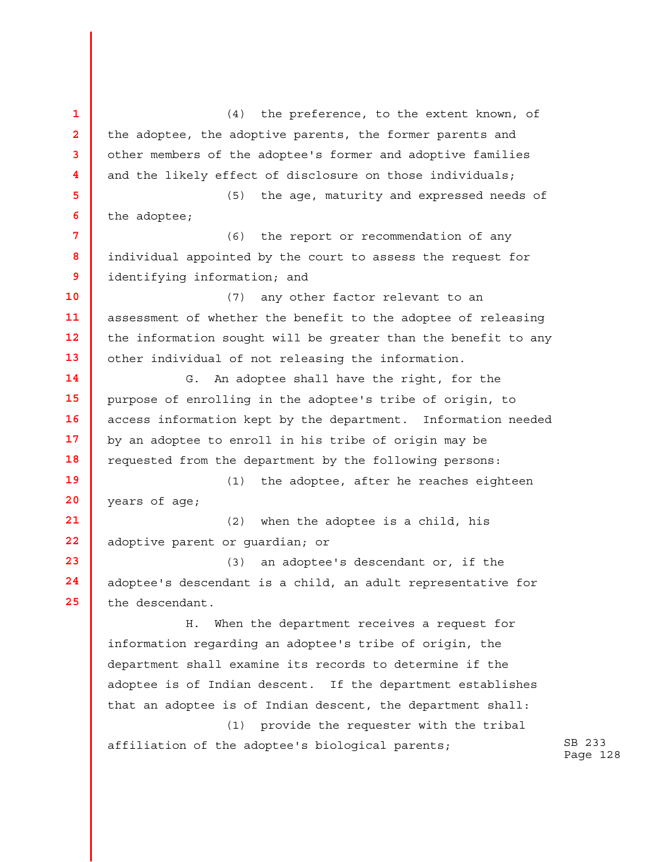(4) the preference, to the extent known, of the adoptee, the adoptive parents, the former parents and other members of the adoptee's former and adoptive families and the likely effect of disclosure on those individuals;

**21 22** 

(5) the age, maturity and expressed needs of the adoptee;

(6) the report or recommendation of any individual appointed by the court to assess the request for identifying information; and

(7) any other factor relevant to an assessment of whether the benefit to the adoptee of releasing the information sought will be greater than the benefit to any other individual of not releasing the information.

G. An adoptee shall have the right, for the purpose of enrolling in the adoptee's tribe of origin, to access information kept by the department. Information needed by an adoptee to enroll in his tribe of origin may be requested from the department by the following persons:

**19 20**  (1) the adoptee, after he reaches eighteen years of age;

(2) when the adoptee is a child, his adoptive parent or guardian; or

**23 24 25**  (3) an adoptee's descendant or, if the adoptee's descendant is a child, an adult representative for the descendant.

H. When the department receives a request for information regarding an adoptee's tribe of origin, the department shall examine its records to determine if the adoptee is of Indian descent. If the department establishes that an adoptee is of Indian descent, the department shall:

(1) provide the requester with the tribal affiliation of the adoptee's biological parents;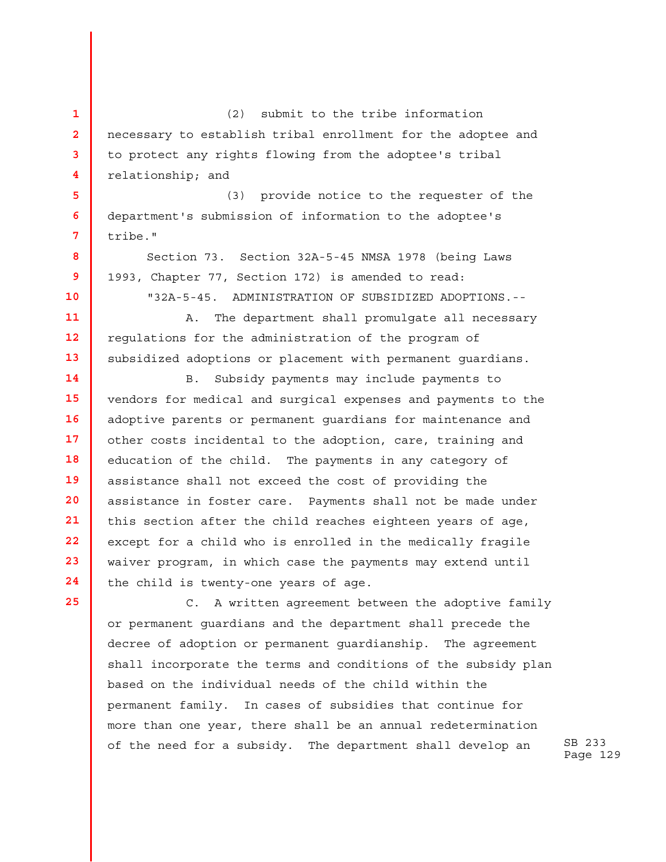(2) submit to the tribe information necessary to establish tribal enrollment for the adoptee and to protect any rights flowing from the adoptee's tribal relationship; and

(3) provide notice to the requester of the department's submission of information to the adoptee's tribe."

Section 73. Section 32A-5-45 NMSA 1978 (being Laws 1993, Chapter 77, Section 172) is amended to read:

"32A-5-45. ADMINISTRATION OF SUBSIDIZED ADOPTIONS.--

A. The department shall promulgate all necessary regulations for the administration of the program of subsidized adoptions or placement with permanent guardians.

B. Subsidy payments may include payments to vendors for medical and surgical expenses and payments to the adoptive parents or permanent guardians for maintenance and other costs incidental to the adoption, care, training and education of the child. The payments in any category of assistance shall not exceed the cost of providing the assistance in foster care. Payments shall not be made under this section after the child reaches eighteen years of age, except for a child who is enrolled in the medically fragile waiver program, in which case the payments may extend until the child is twenty-one years of age.

C. A written agreement between the adoptive family or permanent guardians and the department shall precede the decree of adoption or permanent guardianship. The agreement shall incorporate the terms and conditions of the subsidy plan based on the individual needs of the child within the permanent family. In cases of subsidies that continue for more than one year, there shall be an annual redetermination of the need for a subsidy. The department shall develop an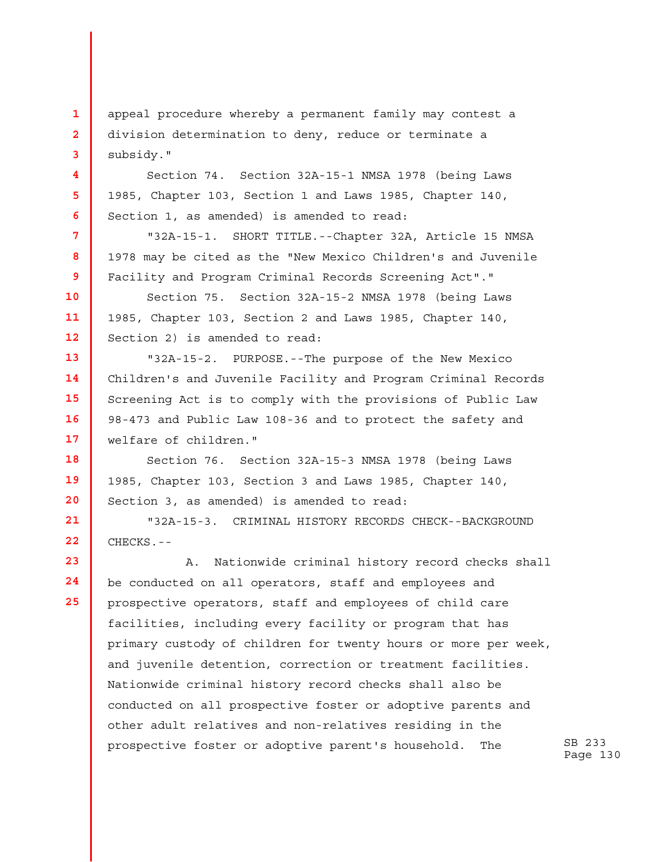appeal procedure whereby a permanent family may contest a division determination to deny, reduce or terminate a subsidy."

Section 74. Section 32A-15-1 NMSA 1978 (being Laws 1985, Chapter 103, Section 1 and Laws 1985, Chapter 140, Section 1, as amended) is amended to read:

"32A-15-1. SHORT TITLE.--Chapter 32A, Article 15 NMSA 1978 may be cited as the "New Mexico Children's and Juvenile Facility and Program Criminal Records Screening Act"."

Section 75. Section 32A-15-2 NMSA 1978 (being Laws 1985, Chapter 103, Section 2 and Laws 1985, Chapter 140, Section 2) is amended to read:

"32A-15-2. PURPOSE.--The purpose of the New Mexico Children's and Juvenile Facility and Program Criminal Records Screening Act is to comply with the provisions of Public Law 98-473 and Public Law 108-36 and to protect the safety and welfare of children."

Section 76. Section 32A-15-3 NMSA 1978 (being Laws 1985, Chapter 103, Section 3 and Laws 1985, Chapter 140, Section 3, as amended) is amended to read:

"32A-15-3. CRIMINAL HISTORY RECORDS CHECK--BACKGROUND CHECKS.--

A. Nationwide criminal history record checks shall be conducted on all operators, staff and employees and prospective operators, staff and employees of child care facilities, including every facility or program that has primary custody of children for twenty hours or more per week, and juvenile detention, correction or treatment facilities. Nationwide criminal history record checks shall also be conducted on all prospective foster or adoptive parents and other adult relatives and non-relatives residing in the prospective foster or adoptive parent's household. The

SB 233 Page 130

**1**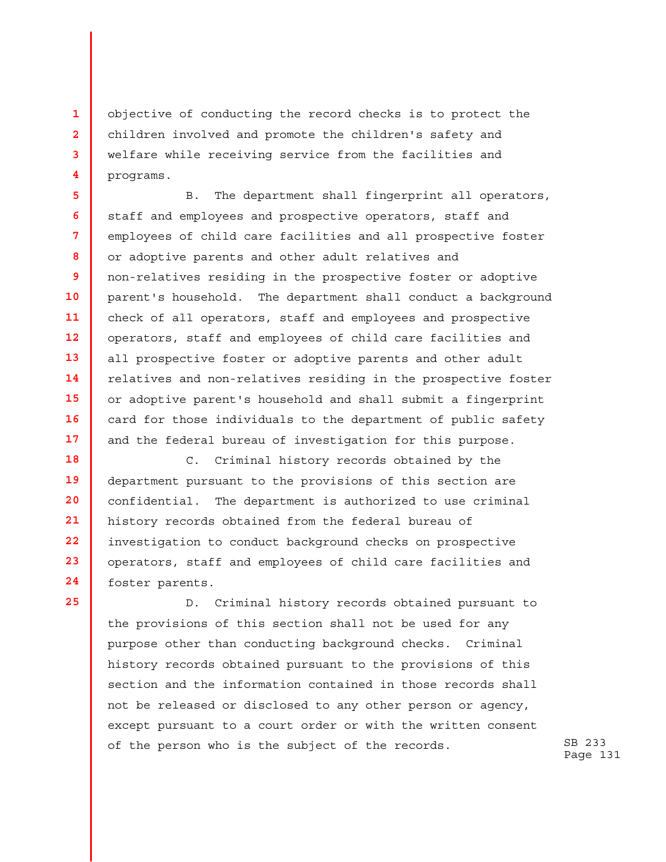objective of conducting the record checks is to protect the children involved and promote the children's safety and welfare while receiving service from the facilities and programs.

B. The department shall fingerprint all operators, staff and employees and prospective operators, staff and employees of child care facilities and all prospective foster or adoptive parents and other adult relatives and non-relatives residing in the prospective foster or adoptive parent's household. The department shall conduct a background check of all operators, staff and employees and prospective operators, staff and employees of child care facilities and all prospective foster or adoptive parents and other adult relatives and non-relatives residing in the prospective foster or adoptive parent's household and shall submit a fingerprint card for those individuals to the department of public safety and the federal bureau of investigation for this purpose.

C. Criminal history records obtained by the department pursuant to the provisions of this section are confidential. The department is authorized to use criminal history records obtained from the federal bureau of investigation to conduct background checks on prospective operators, staff and employees of child care facilities and foster parents.

D. Criminal history records obtained pursuant to the provisions of this section shall not be used for any purpose other than conducting background checks. Criminal history records obtained pursuant to the provisions of this section and the information contained in those records shall not be released or disclosed to any other person or agency, except pursuant to a court order or with the written consent of the person who is the subject of the records.